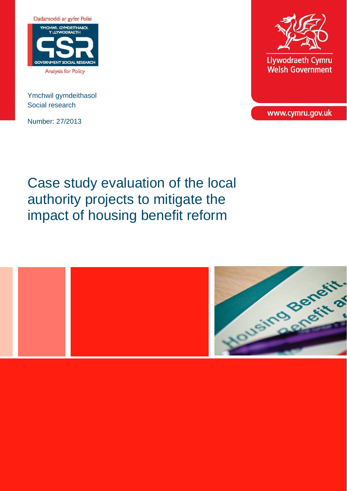

Ymchwil gymdeithasol Social research

Number: 27/2013



**Llywodraeth Cymru Welsh Government** 

www.cymru.gov.uk

# Case study evaluation of the local authority projects to mitigate the impact of housing benefit reform

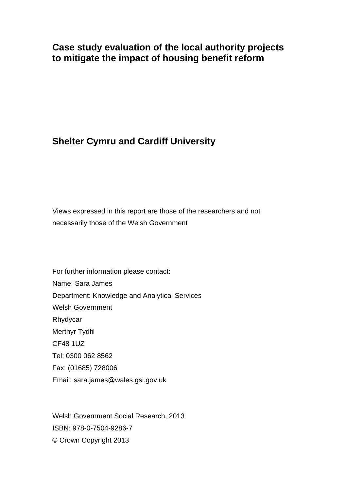# **Case study evaluation of the local authority projects to mitigate the impact of housing benefit reform**

# **Shelter Cymru and Cardiff University**

Views expressed in this report are those of the researchers and not necessarily those of the Welsh Government

For further information please contact: Name: Sara James Department: Knowledge and Analytical Services Welsh Government Rhydycar Merthyr Tydfil CF48 1UZ Tel: 0300 062 8562 Fax: (01685) 728006 Email: sara.james@wales.gsi.gov.uk

Welsh Government Social Research, 2013 ISBN: 978-0-7504-9286-7 © Crown Copyright 2013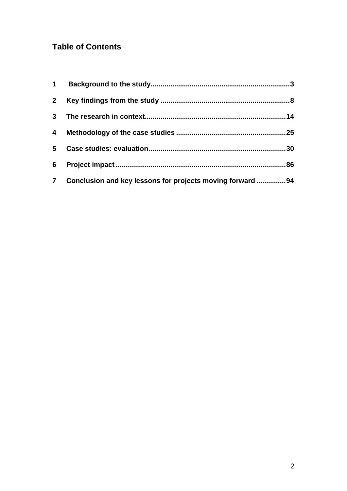# **Table of Contents**

| 2 <sup>1</sup> |                                                           |     |
|----------------|-----------------------------------------------------------|-----|
| 3 <sup>1</sup> |                                                           |     |
| 4              |                                                           |     |
| 5              |                                                           | .30 |
| 6              |                                                           | 86  |
| 7 <sup>1</sup> | Conclusion and key lessons for projects moving forward 94 |     |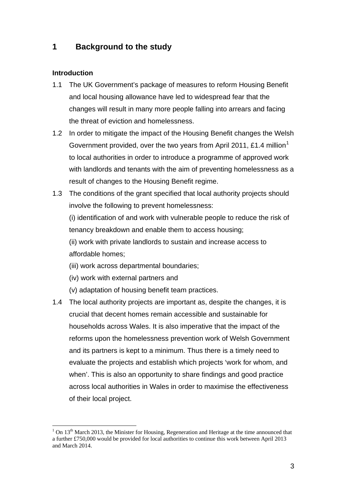## <span id="page-3-0"></span>**1 Background to the study**

#### **Introduction**

 $\overline{a}$ 

- 1.1 The UK Government's package of measures to reform Housing Benefit and local housing allowance have led to widespread fear that the changes will result in many more people falling into arrears and facing the threat of eviction and homelessness.
- 1.2 In order to mitigate the impact of the Housing Benefit changes the Welsh Government provided, over the two years from April 20[1](#page-3-1)1, £1.4 million<sup>1</sup> to local authorities in order to introduce a programme of approved work with landlords and tenants with the aim of preventing homelessness as a result of changes to the Housing Benefit regime.
- 1.3 The conditions of the grant specified that local authority projects should involve the following to prevent homelessness:

(i) identification of and work with vulnerable people to reduce the risk of tenancy breakdown and enable them to access housing;

(ii) work with private landlords to sustain and increase access to affordable homes;

- (iii) work across departmental boundaries;
- (iv) work with external partners and
- (v) adaptation of housing benefit team practices.
- 1.4 The local authority projects are important as, despite the changes, it is crucial that decent homes remain accessible and sustainable for households across Wales. It is also imperative that the impact of the reforms upon the homelessness prevention work of Welsh Government and its partners is kept to a minimum. Thus there is a timely need to evaluate the projects and establish which projects 'work for whom, and when'. This is also an opportunity to share findings and good practice across local authorities in Wales in order to maximise the effectiveness of their local project.

<span id="page-3-1"></span> $1$  On 13<sup>th</sup> March 2013, the Minister for Housing, Regeneration and Heritage at the time announced that a further £750,000 would be provided for local authorities to continue this work between April 2013 and March 2014.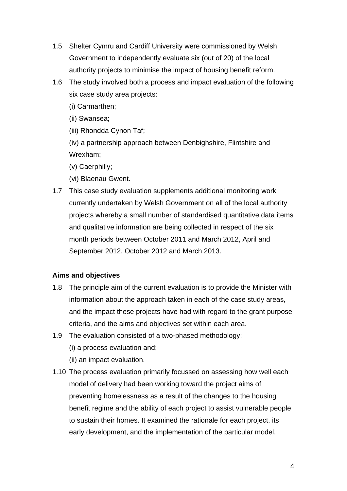- 1.5 Shelter Cymru and Cardiff University were commissioned by Welsh Government to independently evaluate six (out of 20) of the local authority projects to minimise the impact of housing benefit reform.
- 1.6 The study involved both a process and impact evaluation of the following six case study area projects:
	- (i) Carmarthen;
	- (ii) Swansea;
	- (iii) Rhondda Cynon Taf;

(iv) a partnership approach between Denbighshire, Flintshire and Wrexham;

- (v) Caerphilly;
- (vi) Blaenau Gwent.
- 1.7 This case study evaluation supplements additional monitoring work currently undertaken by Welsh Government on all of the local authority projects whereby a small number of standardised quantitative data items and qualitative information are being collected in respect of the six month periods between October 2011 and March 2012, April and September 2012, October 2012 and March 2013.

#### **Aims and objectives**

- 1.8 The principle aim of the current evaluation is to provide the Minister with information about the approach taken in each of the case study areas, and the impact these projects have had with regard to the grant purpose criteria, and the aims and objectives set within each area.
- 1.9 The evaluation consisted of a two-phased methodology:
	- (i) a process evaluation and;
	- (ii) an impact evaluation.
- 1.10 The process evaluation primarily focussed on assessing how well each model of delivery had been working toward the project aims of preventing homelessness as a result of the changes to the housing benefit regime and the ability of each project to assist vulnerable people to sustain their homes. It examined the rationale for each project, its early development, and the implementation of the particular model.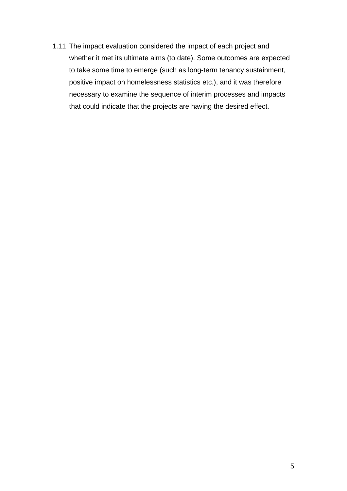1.11 The impact evaluation considered the impact of each project and whether it met its ultimate aims (to date). Some outcomes are expected to take some time to emerge (such as long-term tenancy sustainment, positive impact on homelessness statistics etc.), and it was therefore necessary to examine the sequence of interim processes and impacts that could indicate that the projects are having the desired effect.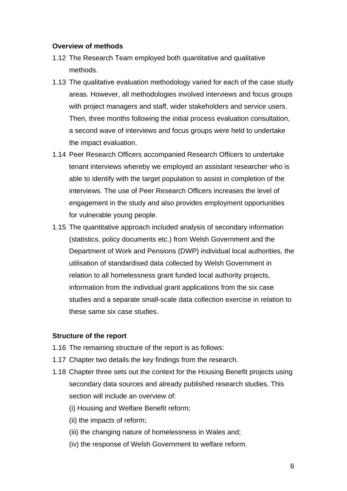#### **Overview of methods**

- 1.12 The Research Team employed both quantitative and qualitative methods.
- 1.13 The qualitative evaluation methodology varied for each of the case study areas. However, all methodologies involved interviews and focus groups with project managers and staff, wider stakeholders and service users. Then, three months following the initial process evaluation consultation, a second wave of interviews and focus groups were held to undertake the impact evaluation.
- 1.14 Peer Research Officers accompanied Research Officers to undertake tenant interviews whereby we employed an assistant researcher who is able to identify with the target population to assist in completion of the interviews. The use of Peer Research Officers increases the level of engagement in the study and also provides employment opportunities for vulnerable young people.
- 1.15 The quantitative approach included analysis of secondary information (statistics, policy documents etc.) from Welsh Government and the Department of Work and Pensions (DWP) individual local authorities, the utilisation of standardised data collected by Welsh Government in relation to all homelessness grant funded local authority projects, information from the individual grant applications from the six case studies and a separate small-scale data collection exercise in relation to these same six case studies.

#### **Structure of the report**

- 1.16 The remaining structure of the report is as follows:
- 1.17 Chapter two details the key findings from the research.
- 1.18 Chapter three sets out the context for the Housing Benefit projects using secondary data sources and already published research studies. This section will include an overview of:
	- (i) Housing and Welfare Benefit reform;
	- (ii) the impacts of reform;
	- (iii) the changing nature of homelessness in Wales and;
	- (iv) the response of Welsh Government to welfare reform.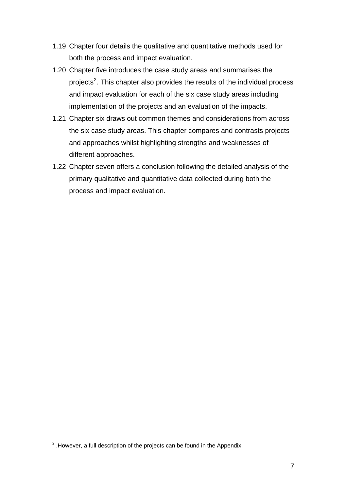- 1.19 Chapter four details the qualitative and quantitative methods used for both the process and impact evaluation.
- 1.20 Chapter five introduces the case study areas and summarises the projects<sup>[2](#page-7-0)</sup>. This chapter also provides the results of the individual process and impact evaluation for each of the six case study areas including implementation of the projects and an evaluation of the impacts.
- 1.21 Chapter six draws out common themes and considerations from across the six case study areas. This chapter compares and contrasts projects and approaches whilst highlighting strengths and weaknesses of different approaches.
- 1.22 Chapter seven offers a conclusion following the detailed analysis of the primary qualitative and quantitative data collected during both the process and impact evaluation.

<span id="page-7-0"></span> 2 .However, a full description of the projects can be found in the Appendix.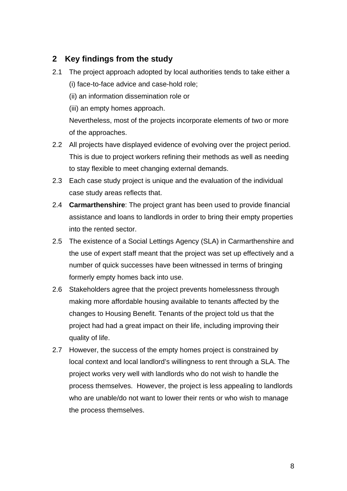## <span id="page-8-0"></span>**2 Key findings from the study**

- 2.1 The project approach adopted by local authorities tends to take either a (i) face-to-face advice and case-hold role;
	- (ii) an information dissemination role or
	- (iii) an empty homes approach.

Nevertheless, most of the projects incorporate elements of two or more of the approaches.

- 2.2 All projects have displayed evidence of evolving over the project period. This is due to project workers refining their methods as well as needing to stay flexible to meet changing external demands.
- 2.3 Each case study project is unique and the evaluation of the individual case study areas reflects that.
- 2.4 **Carmarthenshire**: The project grant has been used to provide financial assistance and loans to landlords in order to bring their empty properties into the rented sector.
- 2.5 The existence of a Social Lettings Agency (SLA) in Carmarthenshire and the use of expert staff meant that the project was set up effectively and a number of quick successes have been witnessed in terms of bringing formerly empty homes back into use.
- 2.6 Stakeholders agree that the project prevents homelessness through making more affordable housing available to tenants affected by the changes to Housing Benefit. Tenants of the project told us that the project had had a great impact on their life, including improving their quality of life.
- 2.7 However, the success of the empty homes project is constrained by local context and local landlord's willingness to rent through a SLA. The project works very well with landlords who do not wish to handle the process themselves. However, the project is less appealing to landlords who are unable/do not want to lower their rents or who wish to manage the process themselves.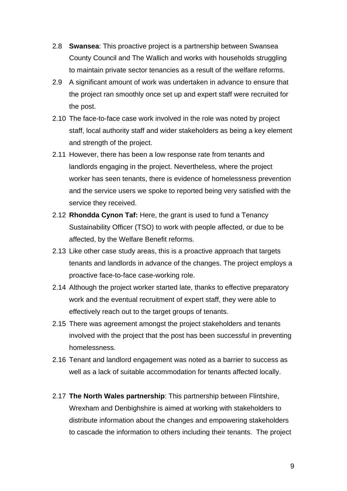- 2.8 **Swansea**: This proactive project is a partnership between Swansea County Council and The Wallich and works with households struggling to maintain private sector tenancies as a result of the welfare reforms.
- 2.9 A significant amount of work was undertaken in advance to ensure that the project ran smoothly once set up and expert staff were recruited for the post.
- 2.10 The face-to-face case work involved in the role was noted by project staff, local authority staff and wider stakeholders as being a key element and strength of the project.
- 2.11 However, there has been a low response rate from tenants and landlords engaging in the project. Nevertheless, where the project worker has seen tenants, there is evidence of homelessness prevention and the service users we spoke to reported being very satisfied with the service they received.
- 2.12 **Rhondda Cynon Taf:** Here, the grant is used to fund a Tenancy Sustainability Officer (TSO) to work with people affected, or due to be affected, by the Welfare Benefit reforms.
- 2.13 Like other case study areas, this is a proactive approach that targets tenants and landlords in advance of the changes. The project employs a proactive face-to-face case-working role.
- 2.14 Although the project worker started late, thanks to effective preparatory work and the eventual recruitment of expert staff, they were able to effectively reach out to the target groups of tenants.
- 2.15 There was agreement amongst the project stakeholders and tenants involved with the project that the post has been successful in preventing homelessness.
- 2.16 Tenant and landlord engagement was noted as a barrier to success as well as a lack of suitable accommodation for tenants affected locally.
- 2.17 **The North Wales partnership**: This partnership between Flintshire, Wrexham and Denbighshire is aimed at working with stakeholders to distribute information about the changes and empowering stakeholders to cascade the information to others including their tenants. The project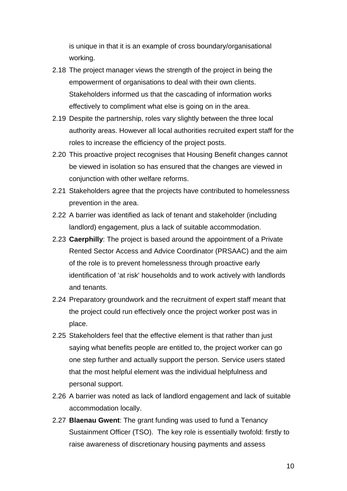is unique in that it is an example of cross boundary/organisational working.

- 2.18 The project manager views the strength of the project in being the empowerment of organisations to deal with their own clients. Stakeholders informed us that the cascading of information works effectively to compliment what else is going on in the area.
- 2.19 Despite the partnership, roles vary slightly between the three local authority areas. However all local authorities recruited expert staff for the roles to increase the efficiency of the project posts.
- 2.20 This proactive project recognises that Housing Benefit changes cannot be viewed in isolation so has ensured that the changes are viewed in conjunction with other welfare reforms.
- 2.21 Stakeholders agree that the projects have contributed to homelessness prevention in the area.
- 2.22 A barrier was identified as lack of tenant and stakeholder (including landlord) engagement, plus a lack of suitable accommodation.
- 2.23 **Caerphilly**: The project is based around the appointment of a Private Rented Sector Access and Advice Coordinator (PRSAAC) and the aim of the role is to prevent homelessness through proactive early identification of 'at risk' households and to work actively with landlords and tenants.
- 2.24 Preparatory groundwork and the recruitment of expert staff meant that the project could run effectively once the project worker post was in place.
- 2.25 Stakeholders feel that the effective element is that rather than just saying what benefits people are entitled to, the project worker can go one step further and actually support the person. Service users stated that the most helpful element was the individual helpfulness and personal support.
- 2.26 A barrier was noted as lack of landlord engagement and lack of suitable accommodation locally.
- 2.27 **Blaenau Gwent**: The grant funding was used to fund a Tenancy Sustainment Officer (TSO). The key role is essentially twofold: firstly to raise awareness of discretionary housing payments and assess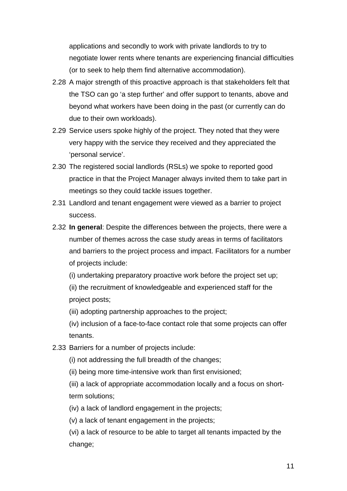applications and secondly to work with private landlords to try to negotiate lower rents where tenants are experiencing financial difficulties (or to seek to help them find alternative accommodation).

- 2.28 A major strength of this proactive approach is that stakeholders felt that the TSO can go 'a step further' and offer support to tenants, above and beyond what workers have been doing in the past (or currently can do due to their own workloads).
- 2.29 Service users spoke highly of the project. They noted that they were very happy with the service they received and they appreciated the 'personal service'.
- 2.30 The registered social landlords (RSLs) we spoke to reported good practice in that the Project Manager always invited them to take part in meetings so they could tackle issues together.
- 2.31 Landlord and tenant engagement were viewed as a barrier to project success.
- 2.32 **In general**: Despite the differences between the projects, there were a number of themes across the case study areas in terms of facilitators and barriers to the project process and impact. Facilitators for a number of projects include:

(i) undertaking preparatory proactive work before the project set up;

(ii) the recruitment of knowledgeable and experienced staff for the project posts;

(iii) adopting partnership approaches to the project;

(iv) inclusion of a face-to-face contact role that some projects can offer tenants.

2.33 Barriers for a number of projects include:

(i) not addressing the full breadth of the changes;

(ii) being more time-intensive work than first envisioned;

(iii) a lack of appropriate accommodation locally and a focus on shortterm solutions;

(iv) a lack of landlord engagement in the projects;

(v) a lack of tenant engagement in the projects;

(vi) a lack of resource to be able to target all tenants impacted by the change;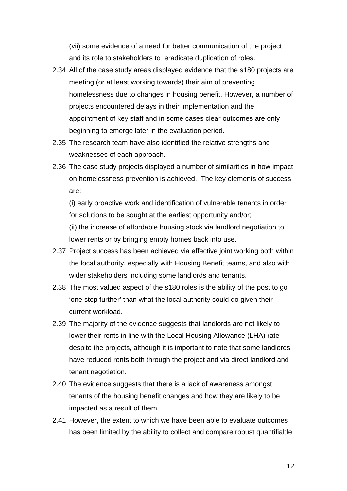(vii) some evidence of a need for better communication of the project and its role to stakeholders to eradicate duplication of roles.

- 2.34 All of the case study areas displayed evidence that the s180 projects are meeting (or at least working towards) their aim of preventing homelessness due to changes in housing benefit. However, a number of projects encountered delays in their implementation and the appointment of key staff and in some cases clear outcomes are only beginning to emerge later in the evaluation period.
- 2.35 The research team have also identified the relative strengths and weaknesses of each approach.
- 2.36 The case study projects displayed a number of similarities in how impact on homelessness prevention is achieved. The key elements of success are:

(i) early proactive work and identification of vulnerable tenants in order for solutions to be sought at the earliest opportunity and/or;

(ii) the increase of affordable housing stock via landlord negotiation to lower rents or by bringing empty homes back into use.

- 2.37 Project success has been achieved via effective joint working both within the local authority, especially with Housing Benefit teams, and also with wider stakeholders including some landlords and tenants.
- 2.38 The most valued aspect of the s180 roles is the ability of the post to go 'one step further' than what the local authority could do given their current workload.
- 2.39 The majority of the evidence suggests that landlords are not likely to lower their rents in line with the Local Housing Allowance (LHA) rate despite the projects, although it is important to note that some landlords have reduced rents both through the project and via direct landlord and tenant negotiation.
- 2.40 The evidence suggests that there is a lack of awareness amongst tenants of the housing benefit changes and how they are likely to be impacted as a result of them.
- 2.41 However, the extent to which we have been able to evaluate outcomes has been limited by the ability to collect and compare robust quantifiable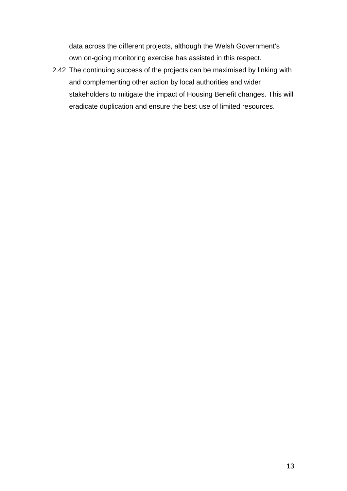data across the different projects, although the Welsh Government's own on-going monitoring exercise has assisted in this respect.

2.42 The continuing success of the projects can be maximised by linking with and complementing other action by local authorities and wider stakeholders to mitigate the impact of Housing Benefit changes. This will eradicate duplication and ensure the best use of limited resources.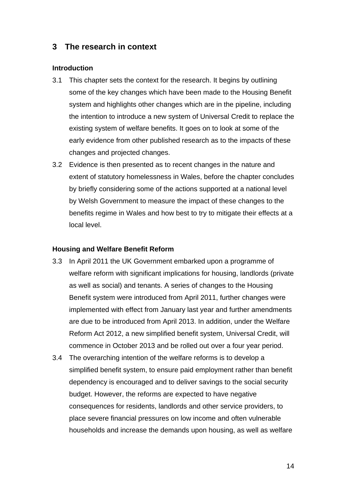### <span id="page-14-0"></span>**3 The research in context**

#### **Introduction**

- 3.1 This chapter sets the context for the research. It begins by outlining some of the key changes which have been made to the Housing Benefit system and highlights other changes which are in the pipeline, including the intention to introduce a new system of Universal Credit to replace the existing system of welfare benefits. It goes on to look at some of the early evidence from other published research as to the impacts of these changes and projected changes.
- 3.2 Evidence is then presented as to recent changes in the nature and extent of statutory homelessness in Wales, before the chapter concludes by briefly considering some of the actions supported at a national level by Welsh Government to measure the impact of these changes to the benefits regime in Wales and how best to try to mitigate their effects at a local level.

#### **Housing and Welfare Benefit Reform**

- 3.3 In April 2011 the UK Government embarked upon a programme of welfare reform with significant implications for housing, landlords (private as well as social) and tenants. A series of changes to the Housing Benefit system were introduced from April 2011, further changes were implemented with effect from January last year and further amendments are due to be introduced from April 2013. In addition, under the Welfare Reform Act 2012, a new simplified benefit system, Universal Credit, will commence in October 2013 and be rolled out over a four year period.
- 3.4 The overarching intention of the welfare reforms is to develop a simplified benefit system, to ensure paid employment rather than benefit dependency is encouraged and to deliver savings to the social security budget. However, the reforms are expected to have negative consequences for residents, landlords and other service providers, to place severe financial pressures on low income and often vulnerable households and increase the demands upon housing, as well as welfare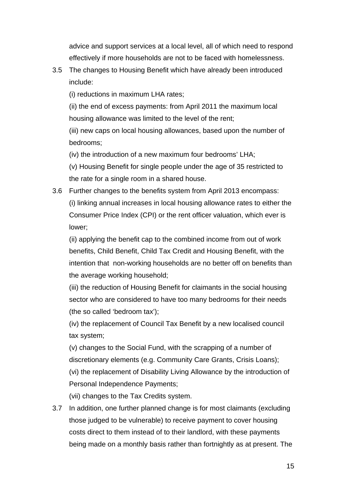advice and support services at a local level, all of which need to respond effectively if more households are not to be faced with homelessness.

3.5 The changes to Housing Benefit which have already been introduced include:

(i) reductions in maximum LHA rates;

(ii) the end of excess payments: from April 2011 the maximum local housing allowance was limited to the level of the rent;

(iii) new caps on local housing allowances, based upon the number of bedrooms;

(iv) the introduction of a new maximum four bedrooms' LHA;

(v) Housing Benefit for single people under the age of 35 restricted to the rate for a single room in a shared house.

3.6 Further changes to the benefits system from April 2013 encompass: (i) linking annual increases in local housing allowance rates to either the Consumer Price Index (CPI) or the rent officer valuation, which ever is lower;

(ii) applying the benefit cap to the combined income from out of work benefits, Child Benefit, Child Tax Credit and Housing Benefit, with the intention that non-working households are no better off on benefits than the average working household;

(iii) the reduction of Housing Benefit for claimants in the social housing sector who are considered to have too many bedrooms for their needs (the so called 'bedroom tax');

(iv) the replacement of Council Tax Benefit by a new localised council tax system;

(v) changes to the Social Fund, with the scrapping of a number of discretionary elements (e.g. Community Care Grants, Crisis Loans); (vi) the replacement of Disability Living Allowance by the introduction of Personal Independence Payments;

(vii) changes to the Tax Credits system.

3.7 In addition, one further planned change is for most claimants (excluding those judged to be vulnerable) to receive payment to cover housing costs direct to them instead of to their landlord, with these payments being made on a monthly basis rather than fortnightly as at present. The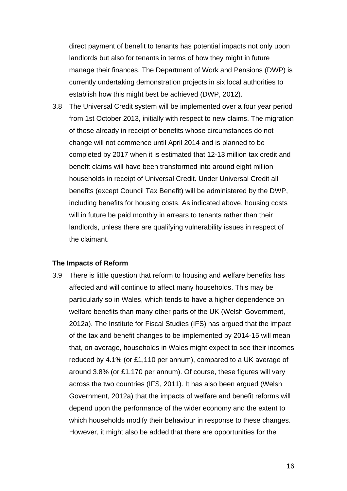direct payment of benefit to tenants has potential impacts not only upon landlords but also for tenants in terms of how they might in future manage their finances. The Department of Work and Pensions (DWP) is currently undertaking demonstration projects in six local authorities to establish how this might best be achieved (DWP, 2012).

3.8 The Universal Credit system will be implemented over a four year period from 1st October 2013, initially with respect to new claims. The migration of those already in receipt of benefits whose circumstances do not change will not commence until April 2014 and is planned to be completed by 2017 when it is estimated that 12-13 million tax credit and benefit claims will have been transformed into around eight million households in receipt of Universal Credit. Under Universal Credit all benefits (except Council Tax Benefit) will be administered by the DWP, including benefits for housing costs. As indicated above, housing costs will in future be paid monthly in arrears to tenants rather than their landlords, unless there are qualifying vulnerability issues in respect of the claimant.

#### **The Impacts of Reform**

3.9 There is little question that reform to housing and welfare benefits has affected and will continue to affect many households. This may be particularly so in Wales, which tends to have a higher dependence on welfare benefits than many other parts of the UK (Welsh Government, 2012a). The Institute for Fiscal Studies (IFS) has argued that the impact of the tax and benefit changes to be implemented by 2014-15 will mean that, on average, households in Wales might expect to see their incomes reduced by 4.1% (or £1,110 per annum), compared to a UK average of around 3.8% (or £1,170 per annum). Of course, these figures will vary across the two countries (IFS, 2011). It has also been argued (Welsh Government, 2012a) that the impacts of welfare and benefit reforms will depend upon the performance of the wider economy and the extent to which households modify their behaviour in response to these changes. However, it might also be added that there are opportunities for the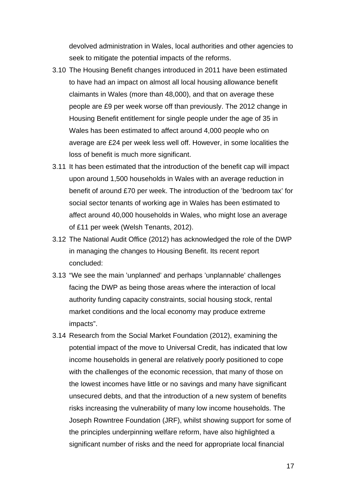devolved administration in Wales, local authorities and other agencies to seek to mitigate the potential impacts of the reforms.

- 3.10 The Housing Benefit changes introduced in 2011 have been estimated to have had an impact on almost all local housing allowance benefit claimants in Wales (more than 48,000), and that on average these people are £9 per week worse off than previously. The 2012 change in Housing Benefit entitlement for single people under the age of 35 in Wales has been estimated to affect around 4,000 people who on average are £24 per week less well off. However, in some localities the loss of benefit is much more significant.
- 3.11 It has been estimated that the introduction of the benefit cap will impact upon around 1,500 households in Wales with an average reduction in benefit of around £70 per week. The introduction of the 'bedroom tax' for social sector tenants of working age in Wales has been estimated to affect around 40,000 households in Wales, who might lose an average of £11 per week (Welsh Tenants, 2012).
- 3.12 The National Audit Office (2012) has acknowledged the role of the DWP in managing the changes to Housing Benefit. Its recent report concluded:
- 3.13 "We see the main 'unplanned' and perhaps 'unplannable' challenges facing the DWP as being those areas where the interaction of local authority funding capacity constraints, social housing stock, rental market conditions and the local economy may produce extreme impacts".
- 3.14 Research from the Social Market Foundation (2012), examining the potential impact of the move to Universal Credit, has indicated that low income households in general are relatively poorly positioned to cope with the challenges of the economic recession, that many of those on the lowest incomes have little or no savings and many have significant unsecured debts, and that the introduction of a new system of benefits risks increasing the vulnerability of many low income households. The Joseph Rowntree Foundation (JRF), whilst showing support for some of the principles underpinning welfare reform, have also highlighted a significant number of risks and the need for appropriate local financial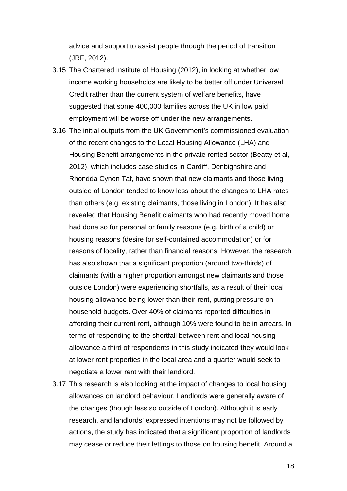advice and support to assist people through the period of transition (JRF, 2012).

- 3.15 The Chartered Institute of Housing (2012), in looking at whether low income working households are likely to be better off under Universal Credit rather than the current system of welfare benefits, have suggested that some 400,000 families across the UK in low paid employment will be worse off under the new arrangements.
- 3.16 The initial outputs from the UK Government's commissioned evaluation of the recent changes to the Local Housing Allowance (LHA) and Housing Benefit arrangements in the private rented sector (Beatty et al, 2012), which includes case studies in Cardiff, Denbighshire and Rhondda Cynon Taf, have shown that new claimants and those living outside of London tended to know less about the changes to LHA rates than others (e.g. existing claimants, those living in London). It has also revealed that Housing Benefit claimants who had recently moved home had done so for personal or family reasons (e.g. birth of a child) or housing reasons (desire for self-contained accommodation) or for reasons of locality, rather than financial reasons. However, the research has also shown that a significant proportion (around two-thirds) of claimants (with a higher proportion amongst new claimants and those outside London) were experiencing shortfalls, as a result of their local housing allowance being lower than their rent, putting pressure on household budgets. Over 40% of claimants reported difficulties in affording their current rent, although 10% were found to be in arrears. In terms of responding to the shortfall between rent and local housing allowance a third of respondents in this study indicated they would look at lower rent properties in the local area and a quarter would seek to negotiate a lower rent with their landlord.
- 3.17 This research is also looking at the impact of changes to local housing allowances on landlord behaviour. Landlords were generally aware of the changes (though less so outside of London). Although it is early research, and landlords' expressed intentions may not be followed by actions, the study has indicated that a significant proportion of landlords may cease or reduce their lettings to those on housing benefit. Around a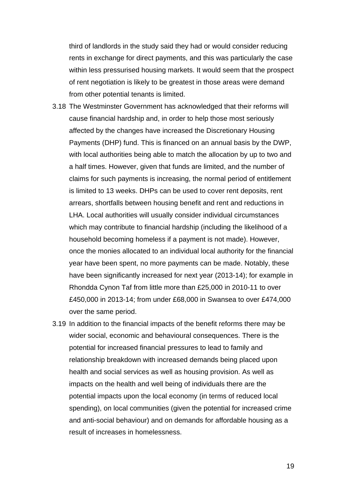third of landlords in the study said they had or would consider reducing rents in exchange for direct payments, and this was particularly the case within less pressurised housing markets. It would seem that the prospect of rent negotiation is likely to be greatest in those areas were demand from other potential tenants is limited.

- 3.18 The Westminster Government has acknowledged that their reforms will cause financial hardship and, in order to help those most seriously affected by the changes have increased the Discretionary Housing Payments (DHP) fund. This is financed on an annual basis by the DWP, with local authorities being able to match the allocation by up to two and a half times. However, given that funds are limited, and the number of claims for such payments is increasing, the normal period of entitlement is limited to 13 weeks. DHPs can be used to cover rent deposits, rent arrears, shortfalls between housing benefit and rent and reductions in LHA. Local authorities will usually consider individual circumstances which may contribute to financial hardship (including the likelihood of a household becoming homeless if a payment is not made). However, once the monies allocated to an individual local authority for the financial year have been spent, no more payments can be made. Notably, these have been significantly increased for next year (2013-14); for example in Rhondda Cynon Taf from little more than £25,000 in 2010-11 to over £450,000 in 2013-14; from under £68,000 in Swansea to over £474,000 over the same period.
- 3.19 In addition to the financial impacts of the benefit reforms there may be wider social, economic and behavioural consequences. There is the potential for increased financial pressures to lead to family and relationship breakdown with increased demands being placed upon health and social services as well as housing provision. As well as impacts on the health and well being of individuals there are the potential impacts upon the local economy (in terms of reduced local spending), on local communities (given the potential for increased crime and anti-social behaviour) and on demands for affordable housing as a result of increases in homelessness.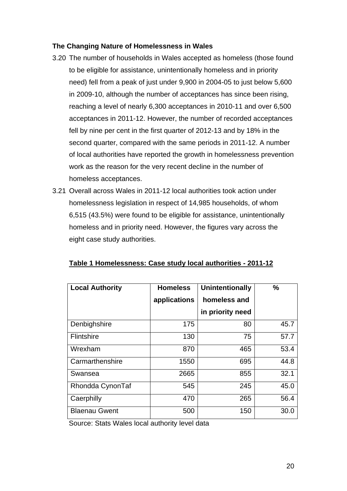#### **The Changing Nature of Homelessness in Wales**

- 3.20 The number of households in Wales accepted as homeless (those found to be eligible for assistance, unintentionally homeless and in priority need) fell from a peak of just under 9,900 in 2004-05 to just below 5,600 in 2009-10, although the number of acceptances has since been rising, reaching a level of nearly 6,300 acceptances in 2010-11 and over 6,500 acceptances in 2011-12. However, the number of recorded acceptances fell by nine per cent in the first quarter of 2012-13 and by 18% in the second quarter, compared with the same periods in 2011-12. A number of local authorities have reported the growth in homelessness prevention work as the reason for the very recent decline in the number of homeless acceptances.
- 3.21 Overall across Wales in 2011-12 local authorities took action under homelessness legislation in respect of 14,985 households, of whom 6,515 (43.5%) were found to be eligible for assistance, unintentionally homeless and in priority need. However, the figures vary across the eight case study authorities.

| <b>Local Authority</b> | <b>Homeless</b><br>applications | <b>Unintentionally</b><br>homeless and | $\frac{0}{0}$ |
|------------------------|---------------------------------|----------------------------------------|---------------|
|                        |                                 | in priority need                       |               |
| Denbighshire           | 175                             | 80                                     | 45.7          |
| Flintshire             | 130                             | 75                                     | 57.7          |
| Wrexham                | 870                             | 465                                    | 53.4          |
| Carmarthenshire        | 1550                            | 695                                    | 44.8          |
| Swansea                | 2665                            | 855                                    | 32.1          |
| Rhondda CynonTaf       | 545                             | 245                                    | 45.0          |
| Caerphilly             | 470                             | 265                                    | 56.4          |
| <b>Blaenau Gwent</b>   | 500                             | 150                                    | 30.0          |

#### **Table 1 Homelessness: Case study local authorities - 2011-12**

Source: Stats Wales local authority level data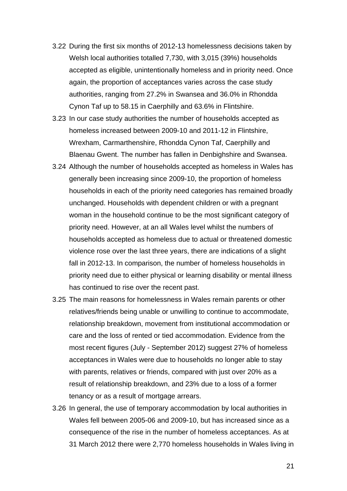- 3.22 During the first six months of 2012-13 homelessness decisions taken by Welsh local authorities totalled 7,730, with 3,015 (39%) households accepted as eligible, unintentionally homeless and in priority need. Once again, the proportion of acceptances varies across the case study authorities, ranging from 27.2% in Swansea and 36.0% in Rhondda Cynon Taf up to 58.15 in Caerphilly and 63.6% in Flintshire.
- 3.23 In our case study authorities the number of households accepted as homeless increased between 2009-10 and 2011-12 in Flintshire, Wrexham, Carmarthenshire, Rhondda Cynon Taf, Caerphilly and Blaenau Gwent. The number has fallen in Denbighshire and Swansea.
- 3.24 Although the number of households accepted as homeless in Wales has generally been increasing since 2009-10, the proportion of homeless households in each of the priority need categories has remained broadly unchanged. Households with dependent children or with a pregnant woman in the household continue to be the most significant category of priority need. However, at an all Wales level whilst the numbers of households accepted as homeless due to actual or threatened domestic violence rose over the last three years, there are indications of a slight fall in 2012-13. In comparison, the number of homeless households in priority need due to either physical or learning disability or mental illness has continued to rise over the recent past.
- 3.25 The main reasons for homelessness in Wales remain parents or other relatives/friends being unable or unwilling to continue to accommodate, relationship breakdown, movement from institutional accommodation or care and the loss of rented or tied accommodation. Evidence from the most recent figures (July - September 2012) suggest 27% of homeless acceptances in Wales were due to households no longer able to stay with parents, relatives or friends, compared with just over 20% as a result of relationship breakdown, and 23% due to a loss of a former tenancy or as a result of mortgage arrears.
- 3.26 In general, the use of temporary accommodation by local authorities in Wales fell between 2005-06 and 2009-10, but has increased since as a consequence of the rise in the number of homeless acceptances. As at 31 March 2012 there were 2,770 homeless households in Wales living in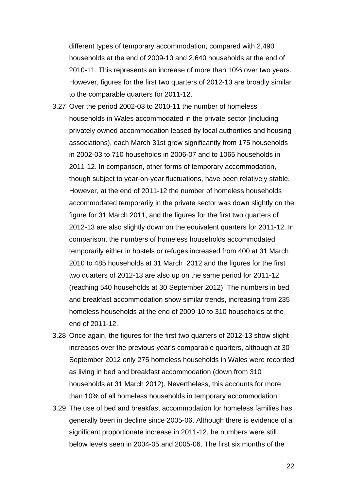different types of temporary accommodation, compared with 2,490 households at the end of 2009-10 and 2,640 households at the end of 2010-11. This represents an increase of more than 10% over two years. However, figures for the first two quarters of 2012-13 are broadly similar to the comparable quarters for 2011-12.

- 3.27 Over the period 2002-03 to 2010-11 the number of homeless households in Wales accommodated in the private sector (including privately owned accommodation leased by local authorities and housing associations), each March 31st grew significantly from 175 households in 2002-03 to 710 households in 2006-07 and to 1065 households in 2011-12. In comparison, other forms of temporary accommodation, though subject to year-on-year fluctuations, have been relatively stable. However, at the end of 2011-12 the number of homeless households accommodated temporarily in the private sector was down slightly on the figure for 31 March 2011, and the figures for the first two quarters of 2012-13 are also slightly down on the equivalent quarters for 2011-12. In comparison, the numbers of homeless households accommodated temporarily either in hostels or refuges increased from 400 at 31 March 2010 to 485 households at 31 March 2012 and the figures for the first two quarters of 2012-13 are also up on the same period for 2011-12 (reaching 540 households at 30 September 2012). The numbers in bed and breakfast accommodation show similar trends, increasing from 235 homeless households at the end of 2009-10 to 310 households at the end of 2011-12.
- 3.28 Once again, the figures for the first two quarters of 2012-13 show slight increases over the previous year's comparable quarters, although at 30 September 2012 only 275 homeless households in Wales were recorded as living in bed and breakfast accommodation (down from 310 households at 31 March 2012). Nevertheless, this accounts for more than 10% of all homeless households in temporary accommodation.
- 3.29 The use of bed and breakfast accommodation for homeless families has generally been in decline since 2005-06. Although there is evidence of a significant proportionate increase in 2011-12, he numbers were still below levels seen in 2004-05 and 2005-06. The first six months of the

22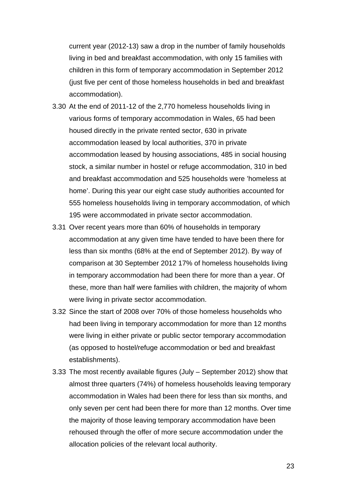current year (2012-13) saw a drop in the number of family households living in bed and breakfast accommodation, with only 15 families with children in this form of temporary accommodation in September 2012 (just five per cent of those homeless households in bed and breakfast accommodation).

- 3.30 At the end of 2011-12 of the 2,770 homeless households living in various forms of temporary accommodation in Wales, 65 had been housed directly in the private rented sector, 630 in private accommodation leased by local authorities, 370 in private accommodation leased by housing associations, 485 in social housing stock, a similar number in hostel or refuge accommodation, 310 in bed and breakfast accommodation and 525 households were 'homeless at home'. During this year our eight case study authorities accounted for 555 homeless households living in temporary accommodation, of which 195 were accommodated in private sector accommodation.
- 3.31 Over recent years more than 60% of households in temporary accommodation at any given time have tended to have been there for less than six months (68% at the end of September 2012). By way of comparison at 30 September 2012 17% of homeless households living in temporary accommodation had been there for more than a year. Of these, more than half were families with children, the majority of whom were living in private sector accommodation.
- 3.32 Since the start of 2008 over 70% of those homeless households who had been living in temporary accommodation for more than 12 months were living in either private or public sector temporary accommodation (as opposed to hostel/refuge accommodation or bed and breakfast establishments).
- 3.33 The most recently available figures (July September 2012) show that almost three quarters (74%) of homeless households leaving temporary accommodation in Wales had been there for less than six months, and only seven per cent had been there for more than 12 months. Over time the majority of those leaving temporary accommodation have been rehoused through the offer of more secure accommodation under the allocation policies of the relevant local authority.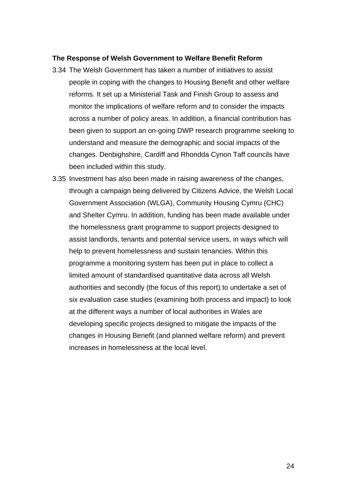#### **The Response of Welsh Government to Welfare Benefit Reform**

- 3.34 The Welsh Government has taken a number of initiatives to assist people in coping with the changes to Housing Benefit and other welfare reforms. It set up a Ministerial Task and Finish Group to assess and monitor the implications of welfare reform and to consider the impacts across a number of policy areas. In addition, a financial contribution has been given to support an on-going DWP research programme seeking to understand and measure the demographic and social impacts of the changes. Denbighshire, Cardiff and Rhondda Cynon Taff councils have been included within this study.
- 3.35 Investment has also been made in raising awareness of the changes, through a campaign being delivered by Citizens Advice, the Welsh Local Government Association (WLGA), Community Housing Cymru (CHC) and Shelter Cymru. In addition, funding has been made available under the homelessness grant programme to support projects designed to assist landlords, tenants and potential service users, in ways which will help to prevent homelessness and sustain tenancies. Within this programme a monitoring system has been put in place to collect a limited amount of standardised quantitative data across all Welsh authorities and secondly (the focus of this report) to undertake a set of six evaluation case studies (examining both process and impact) to look at the different ways a number of local authorities in Wales are developing specific projects designed to mitigate the impacts of the changes in Housing Benefit (and planned welfare reform) and prevent increases in homelessness at the local level.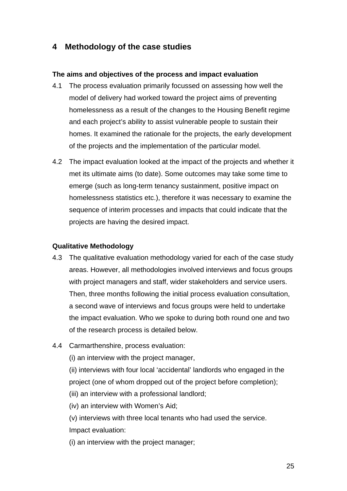## <span id="page-25-0"></span>**4 Methodology of the case studies**

#### **The aims and objectives of the process and impact evaluation**

- 4.1 The process evaluation primarily focussed on assessing how well the model of delivery had worked toward the project aims of preventing homelessness as a result of the changes to the Housing Benefit regime and each project's ability to assist vulnerable people to sustain their homes. It examined the rationale for the projects, the early development of the projects and the implementation of the particular model.
- 4.2 The impact evaluation looked at the impact of the projects and whether it met its ultimate aims (to date). Some outcomes may take some time to emerge (such as long-term tenancy sustainment, positive impact on homelessness statistics etc.), therefore it was necessary to examine the sequence of interim processes and impacts that could indicate that the projects are having the desired impact.

#### **Qualitative Methodology**

- 4.3 The qualitative evaluation methodology varied for each of the case study areas. However, all methodologies involved interviews and focus groups with project managers and staff, wider stakeholders and service users. Then, three months following the initial process evaluation consultation, a second wave of interviews and focus groups were held to undertake the impact evaluation. Who we spoke to during both round one and two of the research process is detailed below.
- 4.4 Carmarthenshire, process evaluation:
	- (i) an interview with the project manager,

(ii) interviews with four local 'accidental' landlords who engaged in the project (one of whom dropped out of the project before completion);

- (iii) an interview with a professional landlord;
- (iv) an interview with Women's Aid;
- (v) interviews with three local tenants who had used the service. Impact evaluation:
- (i) an interview with the project manager;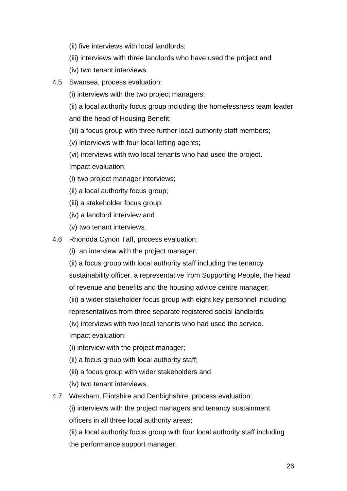- (ii) five interviews with local landlords;
- (iii) interviews with three landlords who have used the project and
- (iv) two tenant interviews.
- 4.5 Swansea, process evaluation:
	- (i) interviews with the two project managers;

(ii) a local authority focus group including the homelessness team leader and the head of Housing Benefit;

- (iii) a focus group with three further local authority staff members;
- (v) interviews with four local letting agents;
- (vi) interviews with two local tenants who had used the project.

Impact evaluation:

- (i) two project manager interviews;
- (ii) a local authority focus group;
- (iii) a stakeholder focus group;
- (iv) a landlord interview and
- (v) two tenant interviews.
- 4.6 Rhondda Cynon Taff, process evaluation:
	- (i) an interview with the project manager;
	- (ii) a focus group with local authority staff including the tenancy
	- sustainability officer, a representative from Supporting People, the head
	- of revenue and benefits and the housing advice centre manager;
	- (iii) a wider stakeholder focus group with eight key personnel including representatives from three separate registered social landlords;

(iv) interviews with two local tenants who had used the service.

Impact evaluation:

- (i) interview with the project manager;
- (ii) a focus group with local authority staff;
- (iii) a focus group with wider stakeholders and
- (iv) two tenant interviews.
- 4.7 Wrexham, Flintshire and Denbighshire, process evaluation:

(i) interviews with the project managers and tenancy sustainment officers in all three local authority areas;

(ii) a local authority focus group with four local authority staff including the performance support manager;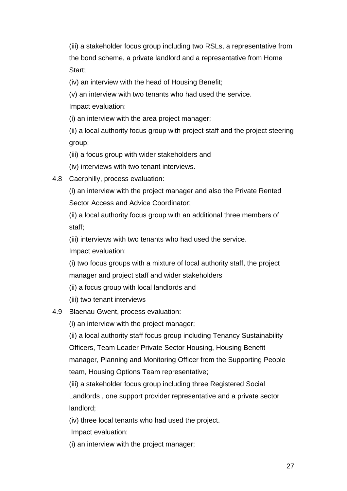(iii) a stakeholder focus group including two RSLs, a representative from the bond scheme, a private landlord and a representative from Home Start;

(iv) an interview with the head of Housing Benefit;

(v) an interview with two tenants who had used the service.

Impact evaluation:

(i) an interview with the area project manager;

(ii) a local authority focus group with project staff and the project steering group;

(iii) a focus group with wider stakeholders and

(iv) interviews with two tenant interviews.

4.8 Caerphilly, process evaluation:

(i) an interview with the project manager and also the Private Rented Sector Access and Advice Coordinator;

(ii) a local authority focus group with an additional three members of staff;

(iii) interviews with two tenants who had used the service.

Impact evaluation:

(i) two focus groups with a mixture of local authority staff, the project manager and project staff and wider stakeholders

(ii) a focus group with local landlords and

(iii) two tenant interviews

## 4.9 Blaenau Gwent, process evaluation:

(i) an interview with the project manager;

(ii) a local authority staff focus group including Tenancy Sustainability Officers, Team Leader Private Sector Housing, Housing Benefit manager, Planning and Monitoring Officer from the Supporting People team, Housing Options Team representative;

(iii) a stakeholder focus group including three Registered Social Landlords , one support provider representative and a private sector landlord;

(iv) three local tenants who had used the project.

Impact evaluation:

(i) an interview with the project manager;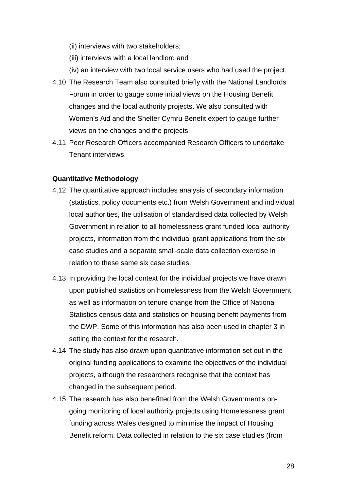- (ii) interviews with two stakeholders;
- (iii) interviews with a local landlord and
- (iv) an interview with two local service users who had used the project.
- 4.10 The Research Team also consulted briefly with the National Landlords Forum in order to gauge some initial views on the Housing Benefit changes and the local authority projects. We also consulted with Women's Aid and the Shelter Cymru Benefit expert to gauge further views on the changes and the projects.
- 4.11 Peer Research Officers accompanied Research Officers to undertake Tenant interviews.

#### **Quantitative Methodology**

- 4.12 The quantitative approach includes analysis of secondary information (statistics, policy documents etc.) from Welsh Government and individual local authorities, the utilisation of standardised data collected by Welsh Government in relation to all homelessness grant funded local authority projects, information from the individual grant applications from the six case studies and a separate small-scale data collection exercise in relation to these same six case studies.
- 4.13 In providing the local context for the individual projects we have drawn upon published statistics on homelessness from the Welsh Government as well as information on tenure change from the Office of National Statistics census data and statistics on housing benefit payments from the DWP. Some of this information has also been used in chapter 3 in setting the context for the research.
- 4.14 The study has also drawn upon quantitative information set out in the original funding applications to examine the objectives of the individual projects, although the researchers recognise that the context has changed in the subsequent period.
- 4.15 The research has also benefitted from the Welsh Government's ongoing monitoring of local authority projects using Homelessness grant funding across Wales designed to minimise the impact of Housing Benefit reform. Data collected in relation to the six case studies (from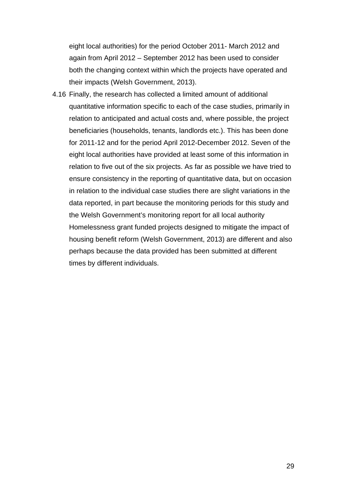eight local authorities) for the period October 2011- March 2012 and again from April 2012 – September 2012 has been used to consider both the changing context within which the projects have operated and their impacts (Welsh Government, 2013).

4.16 Finally, the research has collected a limited amount of additional quantitative information specific to each of the case studies, primarily in relation to anticipated and actual costs and, where possible, the project beneficiaries (households, tenants, landlords etc.). This has been done for 2011-12 and for the period April 2012-December 2012. Seven of the eight local authorities have provided at least some of this information in relation to five out of the six projects. As far as possible we have tried to ensure consistency in the reporting of quantitative data, but on occasion in relation to the individual case studies there are slight variations in the data reported, in part because the monitoring periods for this study and the Welsh Government's monitoring report for all local authority Homelessness grant funded projects designed to mitigate the impact of housing benefit reform (Welsh Government, 2013) are different and also perhaps because the data provided has been submitted at different times by different individuals.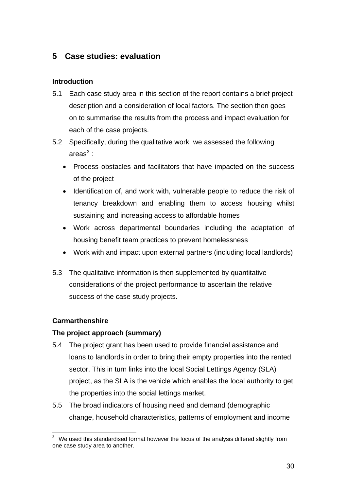## <span id="page-30-0"></span>**5 Case studies: evaluation**

#### **Introduction**

- 5.1 Each case study area in this section of the report contains a brief project description and a consideration of local factors. The section then goes on to summarise the results from the process and impact evaluation for each of the case projects.
- 5.2 Specifically, during the qualitative work we assessed the following areas $^3$  $^3$  :
	- Process obstacles and facilitators that have impacted on the success of the project
	- Identification of, and work with, vulnerable people to reduce the risk of tenancy breakdown and enabling them to access housing whilst sustaining and increasing access to affordable homes
	- Work across departmental boundaries including the adaptation of housing benefit team practices to prevent homelessness
	- Work with and impact upon external partners (including local landlords)
- 5.3 The qualitative information is then supplemented by quantitative considerations of the project performance to ascertain the relative success of the case study projects.

#### **Carmarthenshire**

#### **The project approach (summary)**

- 5.4 The project grant has been used to provide financial assistance and loans to landlords in order to bring their empty properties into the rented sector. This in turn links into the local Social Lettings Agency (SLA) project, as the SLA is the vehicle which enables the local authority to get the properties into the social lettings market.
- 5.5 The broad indicators of housing need and demand (demographic change, household characteristics, patterns of employment and income

<span id="page-30-1"></span>**EXECUTE:**<br><sup>3</sup> We used this standardised format however the focus of the analysis differed slightly from one case study area to another.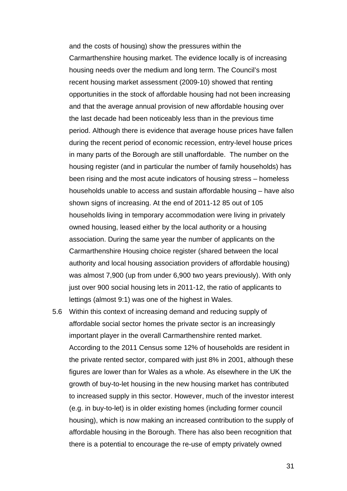and the costs of housing) show the pressures within the Carmarthenshire housing market. The evidence locally is of increasing housing needs over the medium and long term. The Council's most recent housing market assessment (2009-10) showed that renting opportunities in the stock of affordable housing had not been increasing and that the average annual provision of new affordable housing over the last decade had been noticeably less than in the previous time period. Although there is evidence that average house prices have fallen during the recent period of economic recession, entry-level house prices in many parts of the Borough are still unaffordable. The number on the housing register (and in particular the number of family households) has been rising and the most acute indicators of housing stress – homeless households unable to access and sustain affordable housing – have also shown signs of increasing. At the end of 2011-12 85 out of 105 households living in temporary accommodation were living in privately owned housing, leased either by the local authority or a housing association. During the same year the number of applicants on the Carmarthenshire Housing choice register (shared between the local authority and local housing association providers of affordable housing) was almost 7,900 (up from under 6,900 two years previously). With only just over 900 social housing lets in 2011-12, the ratio of applicants to lettings (almost 9:1) was one of the highest in Wales.

5.6 Within this context of increasing demand and reducing supply of affordable social sector homes the private sector is an increasingly important player in the overall Carmarthenshire rented market. According to the 2011 Census some 12% of households are resident in the private rented sector, compared with just 8% in 2001, although these figures are lower than for Wales as a whole. As elsewhere in the UK the growth of buy-to-let housing in the new housing market has contributed to increased supply in this sector. However, much of the investor interest (e.g. in buy-to-let) is in older existing homes (including former council housing), which is now making an increased contribution to the supply of affordable housing in the Borough. There has also been recognition that there is a potential to encourage the re-use of empty privately owned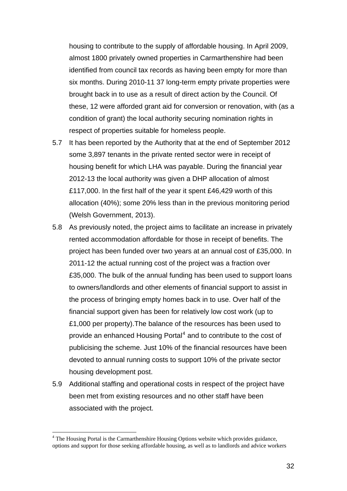housing to contribute to the supply of affordable housing. In April 2009, almost 1800 privately owned properties in Carmarthenshire had been identified from council tax records as having been empty for more than six months. During 2010-11 37 long-term empty private properties were brought back in to use as a result of direct action by the Council. Of these, 12 were afforded grant aid for conversion or renovation, with (as a condition of grant) the local authority securing nomination rights in respect of properties suitable for homeless people.

- 5.7 It has been reported by the Authority that at the end of September 2012 some 3,897 tenants in the private rented sector were in receipt of housing benefit for which LHA was payable. During the financial year 2012-13 the local authority was given a DHP allocation of almost £117,000. In the first half of the year it spent £46,429 worth of this allocation (40%); some 20% less than in the previous monitoring period (Welsh Government, 2013).
- 5.8 As previously noted, the project aims to facilitate an increase in privately rented accommodation affordable for those in receipt of benefits. The project has been funded over two years at an annual cost of £35,000. In 2011-12 the actual running cost of the project was a fraction over £35,000. The bulk of the annual funding has been used to support loans to owners/landlords and other elements of financial support to assist in the process of bringing empty homes back in to use. Over half of the financial support given has been for relatively low cost work (up to £1,000 per property).The balance of the resources has been used to provide an enhanced Housing Portal<sup>[4](#page-32-0)</sup> and to contribute to the cost of publicising the scheme. Just 10% of the financial resources have been devoted to annual running costs to support 10% of the private sector housing development post.
- 5.9 Additional staffing and operational costs in respect of the project have been met from existing resources and no other staff have been associated with the project.

 $\overline{a}$ 

<span id="page-32-0"></span><sup>&</sup>lt;sup>4</sup> The Housing Portal is the Carmarthenshire Housing Options website which provides guidance, options and support for those seeking affordable housing, as well as to landlords and advice workers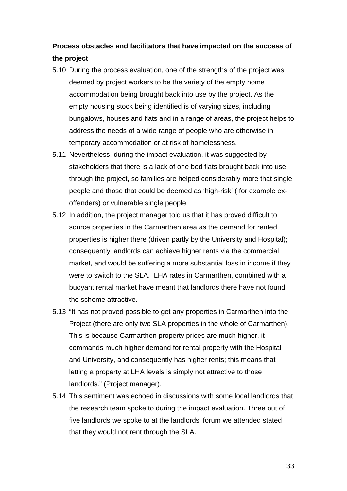## **Process obstacles and facilitators that have impacted on the success of the project**

- 5.10 During the process evaluation, one of the strengths of the project was deemed by project workers to be the variety of the empty home accommodation being brought back into use by the project. As the empty housing stock being identified is of varying sizes, including bungalows, houses and flats and in a range of areas, the project helps to address the needs of a wide range of people who are otherwise in temporary accommodation or at risk of homelessness.
- 5.11 Nevertheless, during the impact evaluation, it was suggested by stakeholders that there is a lack of one bed flats brought back into use through the project, so families are helped considerably more that single people and those that could be deemed as 'high-risk' ( for example exoffenders) or vulnerable single people.
- 5.12 In addition, the project manager told us that it has proved difficult to source properties in the Carmarthen area as the demand for rented properties is higher there (driven partly by the University and Hospital); consequently landlords can achieve higher rents via the commercial market, and would be suffering a more substantial loss in income if they were to switch to the SLA. LHA rates in Carmarthen, combined with a buoyant rental market have meant that landlords there have not found the scheme attractive.
- 5.13 "It has not proved possible to get any properties in Carmarthen into the Project (there are only two SLA properties in the whole of Carmarthen). This is because Carmarthen property prices are much higher, it commands much higher demand for rental property with the Hospital and University, and consequently has higher rents; this means that letting a property at LHA levels is simply not attractive to those landlords." (Project manager).
- 5.14 This sentiment was echoed in discussions with some local landlords that the research team spoke to during the impact evaluation. Three out of five landlords we spoke to at the landlords' forum we attended stated that they would not rent through the SLA.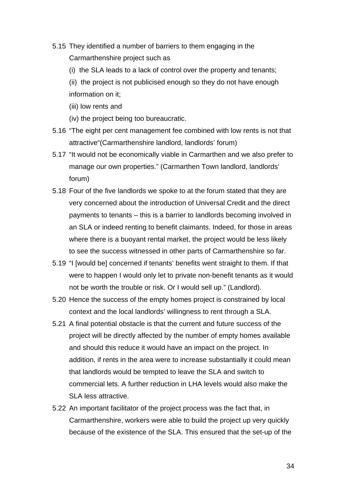- 5.15 They identified a number of barriers to them engaging in the Carmarthenshire project such as
	- (i) the SLA leads to a lack of control over the property and tenants;
	- (ii) the project is not publicised enough so they do not have enough information on it;
	- (iii) low rents and
	- (iv) the project being too bureaucratic.
- 5.16 "The eight per cent management fee combined with low rents is not that attractive"(Carmarthenshire landlord, landlords' forum)
- 5.17 "It would not be economically viable in Carmarthen and we also prefer to manage our own properties." (Carmarthen Town landlord, landlords' forum)
- 5.18 Four of the five landlords we spoke to at the forum stated that they are very concerned about the introduction of Universal Credit and the direct payments to tenants – this is a barrier to landlords becoming involved in an SLA or indeed renting to benefit claimants. Indeed, for those in areas where there is a buoyant rental market, the project would be less likely to see the success witnessed in other parts of Carmarthenshire so far.
- 5.19 "I [would be] concerned if tenants' benefits went straight to them. If that were to happen I would only let to private non-benefit tenants as it would not be worth the trouble or risk. Or I would sell up." (Landlord).
- 5.20 Hence the success of the empty homes project is constrained by local context and the local landlords' willingness to rent through a SLA.
- 5.21 A final potential obstacle is that the current and future success of the project will be directly affected by the number of empty homes available and should this reduce it would have an impact on the project. In addition, if rents in the area were to increase substantially it could mean that landlords would be tempted to leave the SLA and switch to commercial lets. A further reduction in LHA levels would also make the SLA less attractive.
- 5.22 An important facilitator of the project process was the fact that, in Carmarthenshire, workers were able to build the project up very quickly because of the existence of the SLA. This ensured that the set-up of the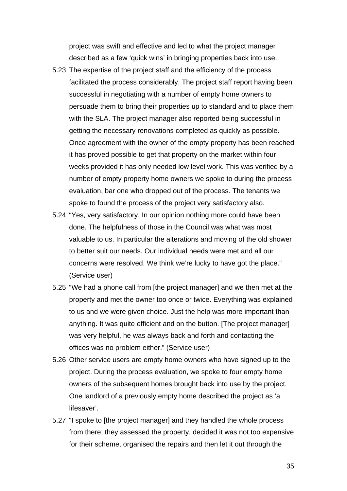project was swift and effective and led to what the project manager described as a few 'quick wins' in bringing properties back into use.

- 5.23 The expertise of the project staff and the efficiency of the process facilitated the process considerably. The project staff report having been successful in negotiating with a number of empty home owners to persuade them to bring their properties up to standard and to place them with the SLA. The project manager also reported being successful in getting the necessary renovations completed as quickly as possible. Once agreement with the owner of the empty property has been reached it has proved possible to get that property on the market within four weeks provided it has only needed low level work. This was verified by a number of empty property home owners we spoke to during the process evaluation, bar one who dropped out of the process. The tenants we spoke to found the process of the project very satisfactory also.
- 5.24 "Yes, very satisfactory. In our opinion nothing more could have been done. The helpfulness of those in the Council was what was most valuable to us. In particular the alterations and moving of the old shower to better suit our needs. Our individual needs were met and all our concerns were resolved. We think we're lucky to have got the place." (Service user)
- 5.25 "We had a phone call from [the project manager] and we then met at the property and met the owner too once or twice. Everything was explained to us and we were given choice. Just the help was more important than anything. It was quite efficient and on the button. [The project manager] was very helpful, he was always back and forth and contacting the offices was no problem either." (Service user)
- 5.26 Other service users are empty home owners who have signed up to the project. During the process evaluation, we spoke to four empty home owners of the subsequent homes brought back into use by the project. One landlord of a previously empty home described the project as 'a lifesaver'.
- 5.27 "I spoke to [the project manager] and they handled the whole process from there; they assessed the property, decided it was not too expensive for their scheme, organised the repairs and then let it out through the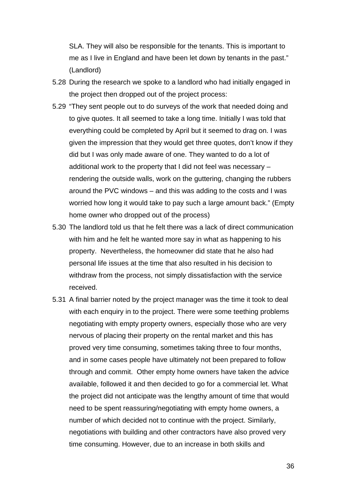SLA. They will also be responsible for the tenants. This is important to me as I live in England and have been let down by tenants in the past." (Landlord)

- 5.28 During the research we spoke to a landlord who had initially engaged in the project then dropped out of the project process:
- 5.29 "They sent people out to do surveys of the work that needed doing and to give quotes. It all seemed to take a long time. Initially I was told that everything could be completed by April but it seemed to drag on. I was given the impression that they would get three quotes, don't know if they did but I was only made aware of one. They wanted to do a lot of additional work to the property that I did not feel was necessary – rendering the outside walls, work on the guttering, changing the rubbers around the PVC windows – and this was adding to the costs and I was worried how long it would take to pay such a large amount back." (Empty home owner who dropped out of the process)
- 5.30 The landlord told us that he felt there was a lack of direct communication with him and he felt he wanted more say in what as happening to his property. Nevertheless, the homeowner did state that he also had personal life issues at the time that also resulted in his decision to withdraw from the process, not simply dissatisfaction with the service received.
- 5.31 A final barrier noted by the project manager was the time it took to deal with each enquiry in to the project. There were some teething problems negotiating with empty property owners, especially those who are very nervous of placing their property on the rental market and this has proved very time consuming, sometimes taking three to four months, and in some cases people have ultimately not been prepared to follow through and commit. Other empty home owners have taken the advice available, followed it and then decided to go for a commercial let. What the project did not anticipate was the lengthy amount of time that would need to be spent reassuring/negotiating with empty home owners, a number of which decided not to continue with the project. Similarly, negotiations with building and other contractors have also proved very time consuming. However, due to an increase in both skills and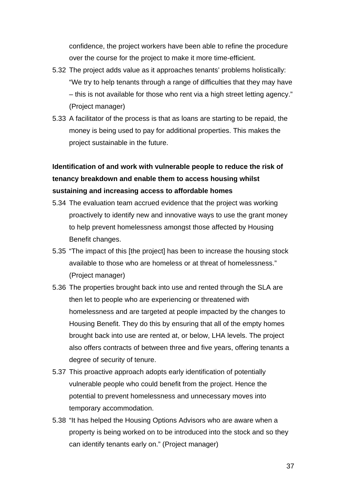confidence, the project workers have been able to refine the procedure over the course for the project to make it more time-efficient.

- 5.32 The project adds value as it approaches tenants' problems holistically: "We try to help tenants through a range of difficulties that they may have – this is not available for those who rent via a high street letting agency." (Project manager)
- 5.33 A facilitator of the process is that as loans are starting to be repaid, the money is being used to pay for additional properties. This makes the project sustainable in the future.

# **Identification of and work with vulnerable people to reduce the risk of tenancy breakdown and enable them to access housing whilst sustaining and increasing access to affordable homes**

- 5.34 The evaluation team accrued evidence that the project was working proactively to identify new and innovative ways to use the grant money to help prevent homelessness amongst those affected by Housing Benefit changes.
- 5.35 "The impact of this [the project] has been to increase the housing stock available to those who are homeless or at threat of homelessness." (Project manager)
- 5.36 The properties brought back into use and rented through the SLA are then let to people who are experiencing or threatened with homelessness and are targeted at people impacted by the changes to Housing Benefit. They do this by ensuring that all of the empty homes brought back into use are rented at, or below, LHA levels. The project also offers contracts of between three and five years, offering tenants a degree of security of tenure.
- 5.37 This proactive approach adopts early identification of potentially vulnerable people who could benefit from the project. Hence the potential to prevent homelessness and unnecessary moves into temporary accommodation.
- 5.38 "It has helped the Housing Options Advisors who are aware when a property is being worked on to be introduced into the stock and so they can identify tenants early on." (Project manager)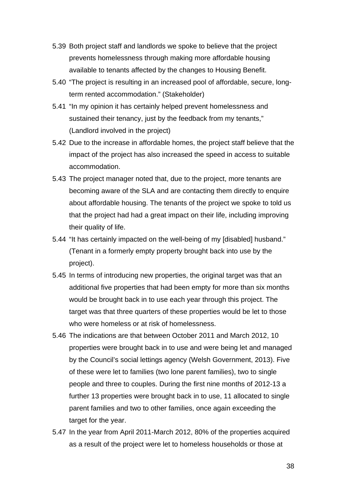- 5.39 Both project staff and landlords we spoke to believe that the project prevents homelessness through making more affordable housing available to tenants affected by the changes to Housing Benefit.
- 5.40 "The project is resulting in an increased pool of affordable, secure, longterm rented accommodation." (Stakeholder)
- 5.41 "In my opinion it has certainly helped prevent homelessness and sustained their tenancy, just by the feedback from my tenants," (Landlord involved in the project)
- 5.42 Due to the increase in affordable homes, the project staff believe that the impact of the project has also increased the speed in access to suitable accommodation.
- 5.43 The project manager noted that, due to the project, more tenants are becoming aware of the SLA and are contacting them directly to enquire about affordable housing. The tenants of the project we spoke to told us that the project had had a great impact on their life, including improving their quality of life.
- 5.44 "It has certainly impacted on the well-being of my [disabled] husband." (Tenant in a formerly empty property brought back into use by the project).
- 5.45 In terms of introducing new properties, the original target was that an additional five properties that had been empty for more than six months would be brought back in to use each year through this project. The target was that three quarters of these properties would be let to those who were homeless or at risk of homelessness.
- 5.46 The indications are that between October 2011 and March 2012, 10 properties were brought back in to use and were being let and managed by the Council's social lettings agency (Welsh Government, 2013). Five of these were let to families (two lone parent families), two to single people and three to couples. During the first nine months of 2012-13 a further 13 properties were brought back in to use, 11 allocated to single parent families and two to other families, once again exceeding the target for the year.
- 5.47 In the year from April 2011-March 2012, 80% of the properties acquired as a result of the project were let to homeless households or those at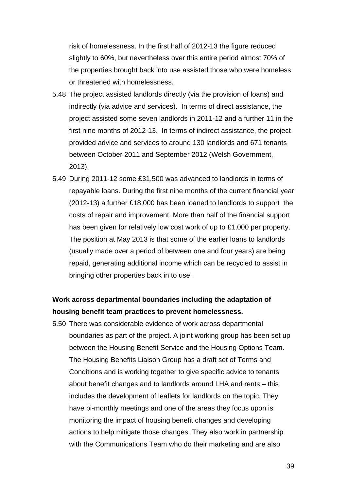risk of homelessness. In the first half of 2012-13 the figure reduced slightly to 60%, but nevertheless over this entire period almost 70% of the properties brought back into use assisted those who were homeless or threatened with homelessness.

- 5.48 The project assisted landlords directly (via the provision of loans) and indirectly (via advice and services). In terms of direct assistance, the project assisted some seven landlords in 2011-12 and a further 11 in the first nine months of 2012-13. In terms of indirect assistance, the project provided advice and services to around 130 landlords and 671 tenants between October 2011 and September 2012 (Welsh Government, 2013).
- 5.49 During 2011-12 some £31,500 was advanced to landlords in terms of repayable loans. During the first nine months of the current financial year (2012-13) a further £18,000 has been loaned to landlords to support the costs of repair and improvement. More than half of the financial support has been given for relatively low cost work of up to £1,000 per property. The position at May 2013 is that some of the earlier loans to landlords (usually made over a period of between one and four years) are being repaid, generating additional income which can be recycled to assist in bringing other properties back in to use.

## **Work across departmental boundaries including the adaptation of housing benefit team practices to prevent homelessness.**

5.50 There was considerable evidence of work across departmental boundaries as part of the project. A joint working group has been set up between the Housing Benefit Service and the Housing Options Team. The Housing Benefits Liaison Group has a draft set of Terms and Conditions and is working together to give specific advice to tenants about benefit changes and to landlords around LHA and rents – this includes the development of leaflets for landlords on the topic. They have bi-monthly meetings and one of the areas they focus upon is monitoring the impact of housing benefit changes and developing actions to help mitigate those changes. They also work in partnership with the Communications Team who do their marketing and are also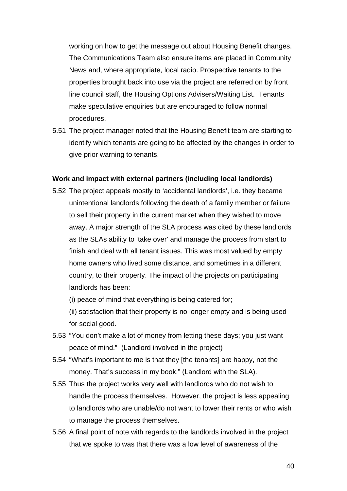working on how to get the message out about Housing Benefit changes. The Communications Team also ensure items are placed in Community News and, where appropriate, local radio. Prospective tenants to the properties brought back into use via the project are referred on by front line council staff, the Housing Options Advisers/Waiting List. Tenants make speculative enquiries but are encouraged to follow normal procedures.

5.51 The project manager noted that the Housing Benefit team are starting to identify which tenants are going to be affected by the changes in order to give prior warning to tenants.

### **Work and impact with external partners (including local landlords)**

5.52 The project appeals mostly to 'accidental landlords', i.e. they became unintentional landlords following the death of a family member or failure to sell their property in the current market when they wished to move away. A major strength of the SLA process was cited by these landlords as the SLAs ability to 'take over' and manage the process from start to finish and deal with all tenant issues. This was most valued by empty home owners who lived some distance, and sometimes in a different country, to their property. The impact of the projects on participating landlords has been:

(i) peace of mind that everything is being catered for;

(ii) satisfaction that their property is no longer empty and is being used for social good.

- 5.53 "You don't make a lot of money from letting these days; you just want peace of mind." (Landlord involved in the project)
- 5.54 "What's important to me is that they [the tenants] are happy, not the money. That's success in my book." (Landlord with the SLA).
- 5.55 Thus the project works very well with landlords who do not wish to handle the process themselves. However, the project is less appealing to landlords who are unable/do not want to lower their rents or who wish to manage the process themselves.
- 5.56 A final point of note with regards to the landlords involved in the project that we spoke to was that there was a low level of awareness of the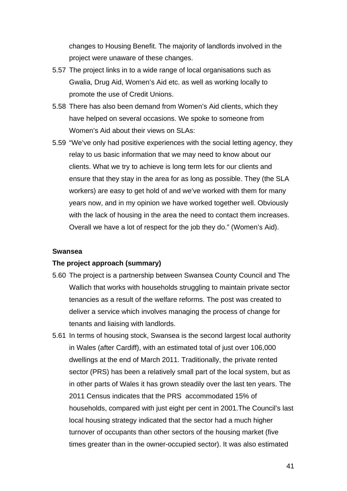changes to Housing Benefit. The majority of landlords involved in the project were unaware of these changes.

- 5.57 The project links in to a wide range of local organisations such as Gwalia, Drug Aid, Women's Aid etc. as well as working locally to promote the use of Credit Unions.
- 5.58 There has also been demand from Women's Aid clients, which they have helped on several occasions. We spoke to someone from Women's Aid about their views on SLAs:
- 5.59 "We've only had positive experiences with the social letting agency, they relay to us basic information that we may need to know about our clients. What we try to achieve is long term lets for our clients and ensure that they stay in the area for as long as possible. They (the SLA workers) are easy to get hold of and we've worked with them for many years now, and in my opinion we have worked together well. Obviously with the lack of housing in the area the need to contact them increases. Overall we have a lot of respect for the job they do." (Women's Aid).

#### **Swansea**

#### **The project approach (summary)**

- 5.60 The project is a partnership between Swansea County Council and The Wallich that works with households struggling to maintain private sector tenancies as a result of the welfare reforms. The post was created to deliver a service which involves managing the process of change for tenants and liaising with landlords.
- 5.61 In terms of housing stock, Swansea is the second largest local authority in Wales (after Cardiff), with an estimated total of just over 106,000 dwellings at the end of March 2011. Traditionally, the private rented sector (PRS) has been a relatively small part of the local system, but as in other parts of Wales it has grown steadily over the last ten years. The 2011 Census indicates that the PRS accommodated 15% of households, compared with just eight per cent in 2001.The Council's last local housing strategy indicated that the sector had a much higher turnover of occupants than other sectors of the housing market (five times greater than in the owner-occupied sector). It was also estimated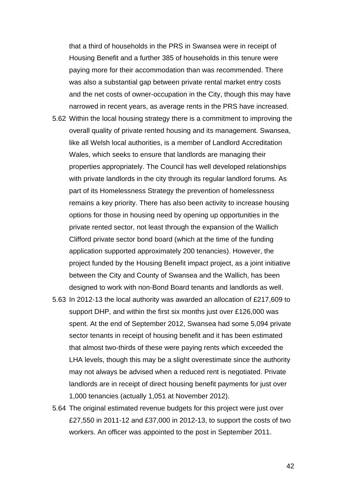that a third of households in the PRS in Swansea were in receipt of Housing Benefit and a further 385 of households in this tenure were paying more for their accommodation than was recommended. There was also a substantial gap between private rental market entry costs and the net costs of owner-occupation in the City, though this may have narrowed in recent years, as average rents in the PRS have increased.

- 5.62 Within the local housing strategy there is a commitment to improving the overall quality of private rented housing and its management. Swansea, like all Welsh local authorities, is a member of Landlord Accreditation Wales, which seeks to ensure that landlords are managing their properties appropriately. The Council has well developed relationships with private landlords in the city through its regular landlord forums. As part of its Homelessness Strategy the prevention of homelessness remains a key priority. There has also been activity to increase housing options for those in housing need by opening up opportunities in the private rented sector, not least through the expansion of the Wallich Clifford private sector bond board (which at the time of the funding application supported approximately 200 tenancies). However, the project funded by the Housing Benefit impact project, as a joint initiative between the City and County of Swansea and the Wallich, has been designed to work with non-Bond Board tenants and landlords as well.
- 5.63 In 2012-13 the local authority was awarded an allocation of £217,609 to support DHP, and within the first six months just over £126,000 was spent. At the end of September 2012, Swansea had some 5,094 private sector tenants in receipt of housing benefit and it has been estimated that almost two-thirds of these were paying rents which exceeded the LHA levels, though this may be a slight overestimate since the authority may not always be advised when a reduced rent is negotiated. Private landlords are in receipt of direct housing benefit payments for just over 1,000 tenancies (actually 1,051 at November 2012).
- 5.64 The original estimated revenue budgets for this project were just over £27,550 in 2011-12 and £37,000 in 2012-13, to support the costs of two workers. An officer was appointed to the post in September 2011.

42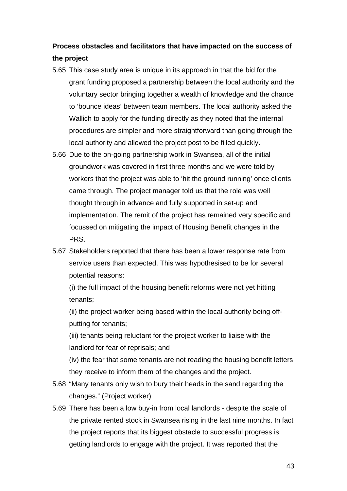# **Process obstacles and facilitators that have impacted on the success of the project**

- 5.65 This case study area is unique in its approach in that the bid for the grant funding proposed a partnership between the local authority and the voluntary sector bringing together a wealth of knowledge and the chance to 'bounce ideas' between team members. The local authority asked the Wallich to apply for the funding directly as they noted that the internal procedures are simpler and more straightforward than going through the local authority and allowed the project post to be filled quickly.
- 5.66 Due to the on-going partnership work in Swansea, all of the initial groundwork was covered in first three months and we were told by workers that the project was able to 'hit the ground running' once clients came through. The project manager told us that the role was well thought through in advance and fully supported in set-up and implementation. The remit of the project has remained very specific and focussed on mitigating the impact of Housing Benefit changes in the PRS.
- 5.67 Stakeholders reported that there has been a lower response rate from service users than expected. This was hypothesised to be for several potential reasons:

(i) the full impact of the housing benefit reforms were not yet hitting tenants;

(ii) the project worker being based within the local authority being offputting for tenants;

(iii) tenants being reluctant for the project worker to liaise with the landlord for fear of reprisals; and

(iv) the fear that some tenants are not reading the housing benefit letters they receive to inform them of the changes and the project.

- 5.68 "Many tenants only wish to bury their heads in the sand regarding the changes." (Project worker)
- 5.69 There has been a low buy-in from local landlords despite the scale of the private rented stock in Swansea rising in the last nine months. In fact the project reports that its biggest obstacle to successful progress is getting landlords to engage with the project. It was reported that the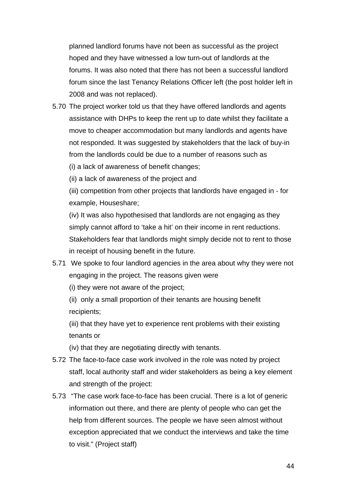planned landlord forums have not been as successful as the project hoped and they have witnessed a low turn-out of landlords at the forums. It was also noted that there has not been a successful landlord forum since the last Tenancy Relations Officer left (the post holder left in 2008 and was not replaced).

- 5.70 The project worker told us that they have offered landlords and agents assistance with DHPs to keep the rent up to date whilst they facilitate a move to cheaper accommodation but many landlords and agents have not responded. It was suggested by stakeholders that the lack of buy-in from the landlords could be due to a number of reasons such as
	- (i) a lack of awareness of benefit changes;

(ii) a lack of awareness of the project and

(iii) competition from other projects that landlords have engaged in - for example, Houseshare;

(iv) It was also hypothesised that landlords are not engaging as they simply cannot afford to 'take a hit' on their income in rent reductions. Stakeholders fear that landlords might simply decide not to rent to those in receipt of housing benefit in the future.

5.71 We spoke to four landlord agencies in the area about why they were not engaging in the project. The reasons given were

(i) they were not aware of the project;

(ii) only a small proportion of their tenants are housing benefit recipients;

(iii) that they have yet to experience rent problems with their existing tenants or

(iv) that they are negotiating directly with tenants.

- 5.72 The face-to-face case work involved in the role was noted by project staff, local authority staff and wider stakeholders as being a key element and strength of the project:
- 5.73 "The case work face-to-face has been crucial. There is a lot of generic information out there, and there are plenty of people who can get the help from different sources. The people we have seen almost without exception appreciated that we conduct the interviews and take the time to visit." (Project staff)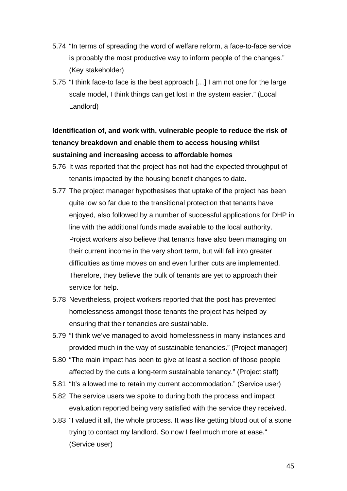- 5.74 "In terms of spreading the word of welfare reform, a face-to-face service is probably the most productive way to inform people of the changes." (Key stakeholder)
- 5.75 "I think face-to face is the best approach […] I am not one for the large scale model, I think things can get lost in the system easier." (Local Landlord)

# **Identification of, and work with, vulnerable people to reduce the risk of tenancy breakdown and enable them to access housing whilst sustaining and increasing access to affordable homes**

- 5.76 It was reported that the project has not had the expected throughput of tenants impacted by the housing benefit changes to date.
- 5.77 The project manager hypothesises that uptake of the project has been quite low so far due to the transitional protection that tenants have enjoyed, also followed by a number of successful applications for DHP in line with the additional funds made available to the local authority. Project workers also believe that tenants have also been managing on their current income in the very short term, but will fall into greater difficulties as time moves on and even further cuts are implemented. Therefore, they believe the bulk of tenants are yet to approach their service for help.
- 5.78 Nevertheless, project workers reported that the post has prevented homelessness amongst those tenants the project has helped by ensuring that their tenancies are sustainable.
- 5.79 "I think we've managed to avoid homelessness in many instances and provided much in the way of sustainable tenancies." (Project manager)
- 5.80 "The main impact has been to give at least a section of those people affected by the cuts a long-term sustainable tenancy." (Project staff)
- 5.81 "It's allowed me to retain my current accommodation." (Service user)
- 5.82 The service users we spoke to during both the process and impact evaluation reported being very satisfied with the service they received.
- 5.83 "I valued it all, the whole process. It was like getting blood out of a stone trying to contact my landlord. So now I feel much more at ease." (Service user)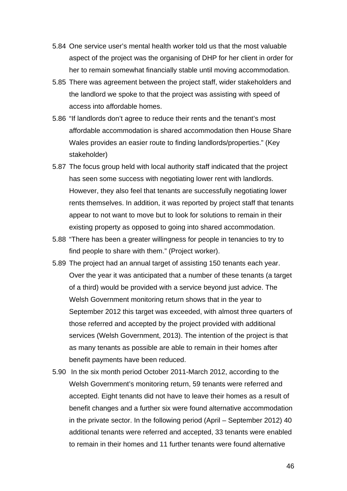- 5.84 One service user's mental health worker told us that the most valuable aspect of the project was the organising of DHP for her client in order for her to remain somewhat financially stable until moving accommodation.
- 5.85 There was agreement between the project staff, wider stakeholders and the landlord we spoke to that the project was assisting with speed of access into affordable homes.
- 5.86 "If landlords don't agree to reduce their rents and the tenant's most affordable accommodation is shared accommodation then House Share Wales provides an easier route to finding landlords/properties." (Key stakeholder)
- 5.87 The focus group held with local authority staff indicated that the project has seen some success with negotiating lower rent with landlords. However, they also feel that tenants are successfully negotiating lower rents themselves. In addition, it was reported by project staff that tenants appear to not want to move but to look for solutions to remain in their existing property as opposed to going into shared accommodation.
- 5.88 "There has been a greater willingness for people in tenancies to try to find people to share with them." (Project worker).
- 5.89 The project had an annual target of assisting 150 tenants each year. Over the year it was anticipated that a number of these tenants (a target of a third) would be provided with a service beyond just advice. The Welsh Government monitoring return shows that in the year to September 2012 this target was exceeded, with almost three quarters of those referred and accepted by the project provided with additional services (Welsh Government, 2013). The intention of the project is that as many tenants as possible are able to remain in their homes after benefit payments have been reduced.
- 5.90 In the six month period October 2011-March 2012, according to the Welsh Government's monitoring return, 59 tenants were referred and accepted. Eight tenants did not have to leave their homes as a result of benefit changes and a further six were found alternative accommodation in the private sector. In the following period (April – September 2012) 40 additional tenants were referred and accepted, 33 tenants were enabled to remain in their homes and 11 further tenants were found alternative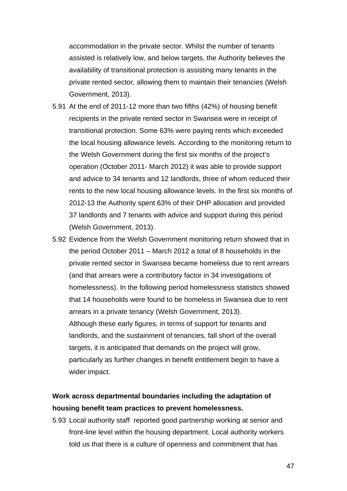accommodation in the private sector. Whilst the number of tenants assisted is relatively low, and below targets, the Authority believes the availability of transitional protection is assisting many tenants in the private rented sector, allowing them to maintain their tenancies (Welsh Government, 2013).

- 5.91 At the end of 2011-12 more than two fifths (42%) of housing benefit recipients in the private rented sector in Swansea were in receipt of transitional protection. Some 63% were paying rents which exceeded the local housing allowance levels. According to the monitoring return to the Welsh Government during the first six months of the project's operation (October 2011- March 2012) it was able to provide support and advice to 34 tenants and 12 landlords, three of whom reduced their rents to the new local housing allowance levels. In the first six months of 2012-13 the Authority spent 63% of their DHP allocation and provided 37 landlords and 7 tenants with advice and support during this period (Welsh Government, 2013).
- 5.92 Evidence from the Welsh Government monitoring return showed that in the period October 2011 – March 2012 a total of 8 households in the private rented sector in Swansea became homeless due to rent arrears (and that arrears were a contributory factor in 34 investigations of homelessness). In the following period homelessness statistics showed that 14 households were found to be homeless in Swansea due to rent arrears in a private tenancy (Welsh Government, 2013). Although these early figures, in terms of support for tenants and landlords, and the sustainment of tenancies, fall short of the overall targets, it is anticipated that demands on the project will grow, particularly as further changes in benefit entitlement begin to have a wider impact.

## **Work across departmental boundaries including the adaptation of housing benefit team practices to prevent homelessness.**

5.93 Local authority staff reported good partnership working at senior and front-line level within the housing department. Local authority workers told us that there is a culture of openness and commitment that has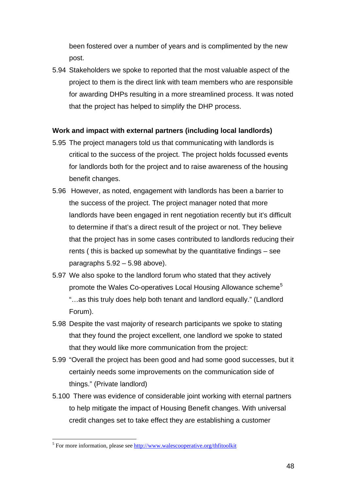been fostered over a number of years and is complimented by the new post.

5.94 Stakeholders we spoke to reported that the most valuable aspect of the project to them is the direct link with team members who are responsible for awarding DHPs resulting in a more streamlined process. It was noted that the project has helped to simplify the DHP process.

### **Work and impact with external partners (including local landlords)**

- 5.95 The project managers told us that communicating with landlords is critical to the success of the project. The project holds focussed events for landlords both for the project and to raise awareness of the housing benefit changes.
- 5.96 However, as noted, engagement with landlords has been a barrier to the success of the project. The project manager noted that more landlords have been engaged in rent negotiation recently but it's difficult to determine if that's a direct result of the project or not. They believe that the project has in some cases contributed to landlords reducing their rents ( this is backed up somewhat by the quantitative findings – see paragraphs 5.92 – 5.98 above).
- 5.97 We also spoke to the landlord forum who stated that they actively promote the Wales Co-operatives Local Housing Allowance scheme<sup>[5](#page-48-0)</sup> "…as this truly does help both tenant and landlord equally." (Landlord Forum).
- 5.98 Despite the vast majority of research participants we spoke to stating that they found the project excellent, one landlord we spoke to stated that they would like more communication from the project:
- 5.99 "Overall the project has been good and had some good successes, but it certainly needs some improvements on the communication side of things." (Private landlord)
- 5.100 There was evidence of considerable joint working with eternal partners to help mitigate the impact of Housing Benefit changes. With universal credit changes set to take effect they are establishing a customer

 $\overline{a}$ 

<span id="page-48-0"></span><sup>&</sup>lt;sup>5</sup> For more information, please see<http://www.walescooperative.org/thfitoolkit>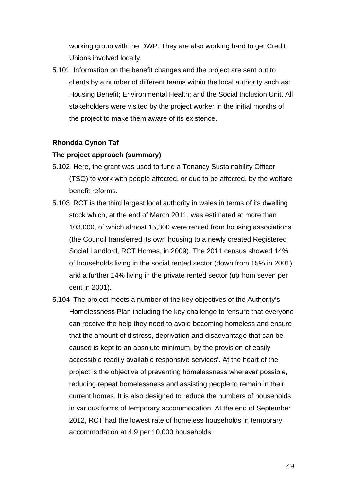working group with the DWP. They are also working hard to get Credit Unions involved locally.

5.101 Information on the benefit changes and the project are sent out to clients by a number of different teams within the local authority such as: Housing Benefit; Environmental Health; and the Social Inclusion Unit. All stakeholders were visited by the project worker in the initial months of the project to make them aware of its existence.

### **Rhondda Cynon Taf**

### **The project approach (summary)**

- 5.102 Here, the grant was used to fund a Tenancy Sustainability Officer (TSO) to work with people affected, or due to be affected, by the welfare benefit reforms.
- 5.103 RCT is the third largest local authority in wales in terms of its dwelling stock which, at the end of March 2011, was estimated at more than 103,000, of which almost 15,300 were rented from housing associations (the Council transferred its own housing to a newly created Registered Social Landlord, RCT Homes, in 2009). The 2011 census showed 14% of households living in the social rented sector (down from 15% in 2001) and a further 14% living in the private rented sector (up from seven per cent in 2001).
- 5.104 The project meets a number of the key objectives of the Authority's Homelessness Plan including the key challenge to 'ensure that everyone can receive the help they need to avoid becoming homeless and ensure that the amount of distress, deprivation and disadvantage that can be caused is kept to an absolute minimum, by the provision of easily accessible readily available responsive services'. At the heart of the project is the objective of preventing homelessness wherever possible, reducing repeat homelessness and assisting people to remain in their current homes. It is also designed to reduce the numbers of households in various forms of temporary accommodation. At the end of September 2012, RCT had the lowest rate of homeless households in temporary accommodation at 4.9 per 10,000 households.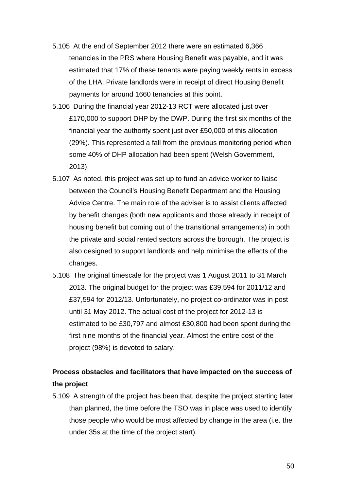- 5.105 At the end of September 2012 there were an estimated 6,366 tenancies in the PRS where Housing Benefit was payable, and it was estimated that 17% of these tenants were paying weekly rents in excess of the LHA. Private landlords were in receipt of direct Housing Benefit payments for around 1660 tenancies at this point.
- 5.106 During the financial year 2012-13 RCT were allocated just over £170,000 to support DHP by the DWP. During the first six months of the financial year the authority spent just over £50,000 of this allocation (29%). This represented a fall from the previous monitoring period when some 40% of DHP allocation had been spent (Welsh Government, 2013).
- 5.107 As noted, this project was set up to fund an advice worker to liaise between the Council's Housing Benefit Department and the Housing Advice Centre. The main role of the adviser is to assist clients affected by benefit changes (both new applicants and those already in receipt of housing benefit but coming out of the transitional arrangements) in both the private and social rented sectors across the borough. The project is also designed to support landlords and help minimise the effects of the changes.
- 5.108 The original timescale for the project was 1 August 2011 to 31 March 2013. The original budget for the project was £39,594 for 2011/12 and £37,594 for 2012/13. Unfortunately, no project co-ordinator was in post until 31 May 2012. The actual cost of the project for 2012-13 is estimated to be £30,797 and almost £30,800 had been spent during the first nine months of the financial year. Almost the entire cost of the project (98%) is devoted to salary.

## **Process obstacles and facilitators that have impacted on the success of the project**

5.109 A strength of the project has been that, despite the project starting later than planned, the time before the TSO was in place was used to identify those people who would be most affected by change in the area (i.e. the under 35s at the time of the project start).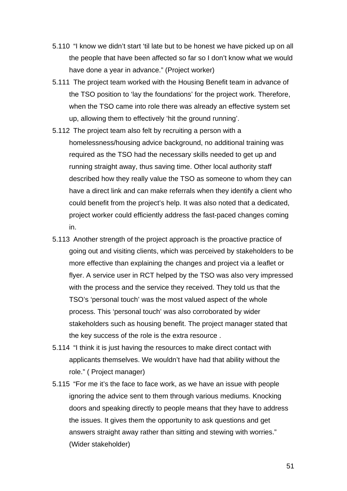- 5.110 "I know we didn't start 'til late but to be honest we have picked up on all the people that have been affected so far so I don't know what we would have done a year in advance." (Project worker)
- 5.111 The project team worked with the Housing Benefit team in advance of the TSO position to 'lay the foundations' for the project work. Therefore, when the TSO came into role there was already an effective system set up, allowing them to effectively 'hit the ground running'.
- 5.112 The project team also felt by recruiting a person with a homelessness/housing advice background, no additional training was required as the TSO had the necessary skills needed to get up and running straight away, thus saving time. Other local authority staff described how they really value the TSO as someone to whom they can have a direct link and can make referrals when they identify a client who could benefit from the project's help. It was also noted that a dedicated, project worker could efficiently address the fast-paced changes coming in.
- 5.113 Another strength of the project approach is the proactive practice of going out and visiting clients, which was perceived by stakeholders to be more effective than explaining the changes and project via a leaflet or flyer. A service user in RCT helped by the TSO was also very impressed with the process and the service they received. They told us that the TSO's 'personal touch' was the most valued aspect of the whole process. This 'personal touch' was also corroborated by wider stakeholders such as housing benefit. The project manager stated that the key success of the role is the extra resource .
- 5.114 "I think it is just having the resources to make direct contact with applicants themselves. We wouldn't have had that ability without the role." ( Project manager)
- 5.115 "For me it's the face to face work, as we have an issue with people ignoring the advice sent to them through various mediums. Knocking doors and speaking directly to people means that they have to address the issues. It gives them the opportunity to ask questions and get answers straight away rather than sitting and stewing with worries." (Wider stakeholder)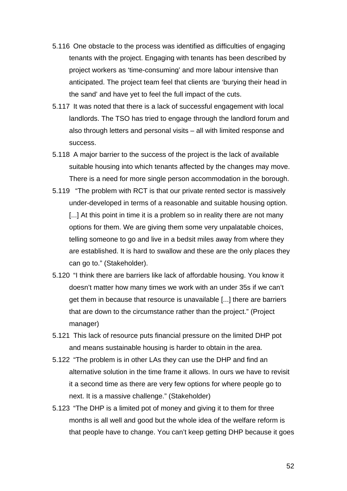- 5.116 One obstacle to the process was identified as difficulties of engaging tenants with the project. Engaging with tenants has been described by project workers as 'time-consuming' and more labour intensive than anticipated. The project team feel that clients are 'burying their head in the sand' and have yet to feel the full impact of the cuts.
- 5.117 It was noted that there is a lack of successful engagement with local landlords. The TSO has tried to engage through the landlord forum and also through letters and personal visits – all with limited response and success.
- 5.118 A major barrier to the success of the project is the lack of available suitable housing into which tenants affected by the changes may move. There is a need for more single person accommodation in the borough.
- 5.119 "The problem with RCT is that our private rented sector is massively under-developed in terms of a reasonable and suitable housing option. [...] At this point in time it is a problem so in reality there are not many options for them. We are giving them some very unpalatable choices, telling someone to go and live in a bedsit miles away from where they are established. It is hard to swallow and these are the only places they can go to." (Stakeholder).
- 5.120 "I think there are barriers like lack of affordable housing. You know it doesn't matter how many times we work with an under 35s if we can't get them in because that resource is unavailable [...] there are barriers that are down to the circumstance rather than the project." (Project manager)
- 5.121 This lack of resource puts financial pressure on the limited DHP pot and means sustainable housing is harder to obtain in the area.
- 5.122 "The problem is in other LAs they can use the DHP and find an alternative solution in the time frame it allows. In ours we have to revisit it a second time as there are very few options for where people go to next. It is a massive challenge." (Stakeholder)
- 5.123 "The DHP is a limited pot of money and giving it to them for three months is all well and good but the whole idea of the welfare reform is that people have to change. You can't keep getting DHP because it goes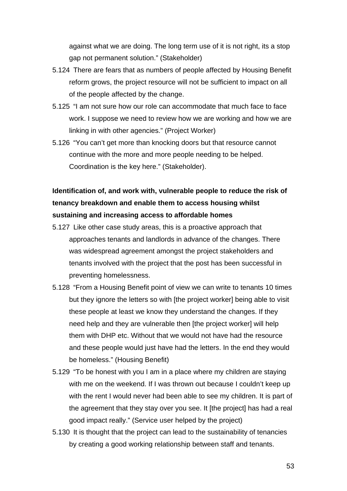against what we are doing. The long term use of it is not right, its a stop gap not permanent solution." (Stakeholder)

- 5.124 There are fears that as numbers of people affected by Housing Benefit reform grows, the project resource will not be sufficient to impact on all of the people affected by the change.
- 5.125 "I am not sure how our role can accommodate that much face to face work. I suppose we need to review how we are working and how we are linking in with other agencies." (Project Worker)
- 5.126 "You can't get more than knocking doors but that resource cannot continue with the more and more people needing to be helped. Coordination is the key here." (Stakeholder).

# **Identification of, and work with, vulnerable people to reduce the risk of tenancy breakdown and enable them to access housing whilst sustaining and increasing access to affordable homes**

- 5.127 Like other case study areas, this is a proactive approach that approaches tenants and landlords in advance of the changes. There was widespread agreement amongst the project stakeholders and tenants involved with the project that the post has been successful in preventing homelessness.
- 5.128 "From a Housing Benefit point of view we can write to tenants 10 times but they ignore the letters so with [the project worker] being able to visit these people at least we know they understand the changes. If they need help and they are vulnerable then [the project worker] will help them with DHP etc. Without that we would not have had the resource and these people would just have had the letters. In the end they would be homeless." (Housing Benefit)
- 5.129 "To be honest with you I am in a place where my children are staying with me on the weekend. If I was thrown out because I couldn't keep up with the rent I would never had been able to see my children. It is part of the agreement that they stay over you see. It [the project] has had a real good impact really." (Service user helped by the project)
- 5.130 It is thought that the project can lead to the sustainability of tenancies by creating a good working relationship between staff and tenants.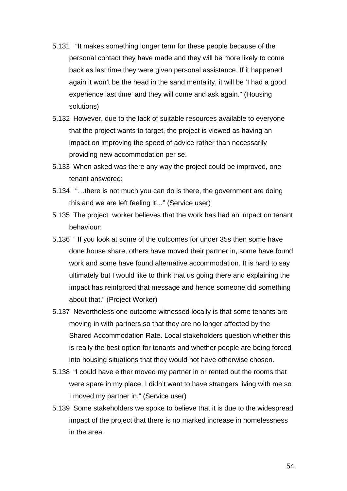- 5.131 "It makes something longer term for these people because of the personal contact they have made and they will be more likely to come back as last time they were given personal assistance. If it happened again it won't be the head in the sand mentality, it will be 'I had a good experience last time' and they will come and ask again." (Housing solutions)
- 5.132 However, due to the lack of suitable resources available to everyone that the project wants to target, the project is viewed as having an impact on improving the speed of advice rather than necessarily providing new accommodation per se.
- 5.133 When asked was there any way the project could be improved, one tenant answered:
- 5.134 "…there is not much you can do is there, the government are doing this and we are left feeling it…" (Service user)
- 5.135 The project worker believes that the work has had an impact on tenant behaviour:
- 5.136 " If you look at some of the outcomes for under 35s then some have done house share, others have moved their partner in, some have found work and some have found alternative accommodation. It is hard to say ultimately but I would like to think that us going there and explaining the impact has reinforced that message and hence someone did something about that." (Project Worker)
- 5.137 Nevertheless one outcome witnessed locally is that some tenants are moving in with partners so that they are no longer affected by the Shared Accommodation Rate. Local stakeholders question whether this is really the best option for tenants and whether people are being forced into housing situations that they would not have otherwise chosen.
- 5.138 "I could have either moved my partner in or rented out the rooms that were spare in my place. I didn't want to have strangers living with me so I moved my partner in." (Service user)
- 5.139 Some stakeholders we spoke to believe that it is due to the widespread impact of the project that there is no marked increase in homelessness in the area.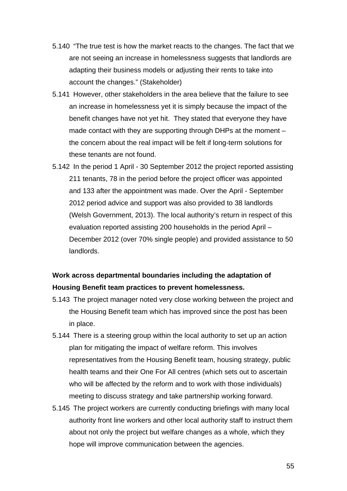- 5.140 "The true test is how the market reacts to the changes. The fact that we are not seeing an increase in homelessness suggests that landlords are adapting their business models or adjusting their rents to take into account the changes." (Stakeholder)
- 5.141 However, other stakeholders in the area believe that the failure to see an increase in homelessness yet it is simply because the impact of the benefit changes have not yet hit. They stated that everyone they have made contact with they are supporting through DHPs at the moment – the concern about the real impact will be felt if long-term solutions for these tenants are not found.
- 5.142 In the period 1 April 30 September 2012 the project reported assisting 211 tenants, 78 in the period before the project officer was appointed and 133 after the appointment was made. Over the April - September 2012 period advice and support was also provided to 38 landlords (Welsh Government, 2013). The local authority's return in respect of this evaluation reported assisting 200 households in the period April – December 2012 (over 70% single people) and provided assistance to 50 landlords.

## **Work across departmental boundaries including the adaptation of Housing Benefit team practices to prevent homelessness.**

- 5.143 The project manager noted very close working between the project and the Housing Benefit team which has improved since the post has been in place.
- 5.144 There is a steering group within the local authority to set up an action plan for mitigating the impact of welfare reform. This involves representatives from the Housing Benefit team, housing strategy, public health teams and their One For All centres (which sets out to ascertain who will be affected by the reform and to work with those individuals) meeting to discuss strategy and take partnership working forward.
- 5.145 The project workers are currently conducting briefings with many local authority front line workers and other local authority staff to instruct them about not only the project but welfare changes as a whole, which they hope will improve communication between the agencies.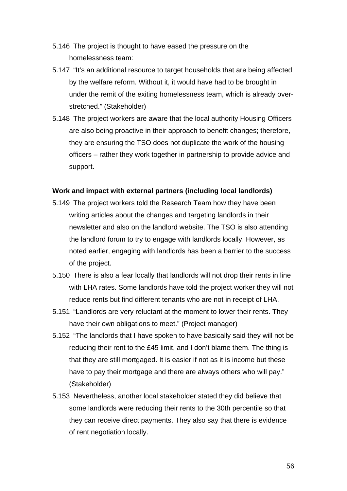- 5.146 The project is thought to have eased the pressure on the homelessness team:
- 5.147 "It's an additional resource to target households that are being affected by the welfare reform. Without it, it would have had to be brought in under the remit of the exiting homelessness team, which is already overstretched." (Stakeholder)
- 5.148 The project workers are aware that the local authority Housing Officers are also being proactive in their approach to benefit changes; therefore, they are ensuring the TSO does not duplicate the work of the housing officers – rather they work together in partnership to provide advice and support.

### **Work and impact with external partners (including local landlords)**

- 5.149 The project workers told the Research Team how they have been writing articles about the changes and targeting landlords in their newsletter and also on the landlord website. The TSO is also attending the landlord forum to try to engage with landlords locally. However, as noted earlier, engaging with landlords has been a barrier to the success of the project.
- 5.150 There is also a fear locally that landlords will not drop their rents in line with LHA rates. Some landlords have told the project worker they will not reduce rents but find different tenants who are not in receipt of LHA.
- 5.151 "Landlords are very reluctant at the moment to lower their rents. They have their own obligations to meet." (Project manager)
- 5.152 "The landlords that I have spoken to have basically said they will not be reducing their rent to the £45 limit, and I don't blame them. The thing is that they are still mortgaged. It is easier if not as it is income but these have to pay their mortgage and there are always others who will pay." (Stakeholder)
- 5.153 Nevertheless, another local stakeholder stated they did believe that some landlords were reducing their rents to the 30th percentile so that they can receive direct payments. They also say that there is evidence of rent negotiation locally.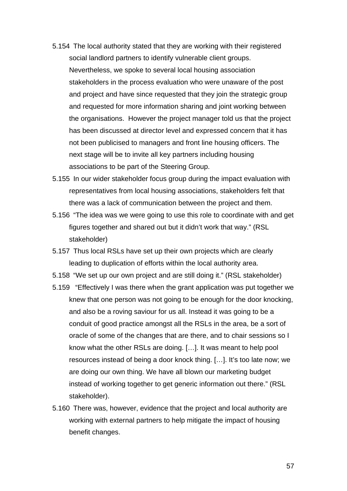- 5.154 The local authority stated that they are working with their registered social landlord partners to identify vulnerable client groups. Nevertheless, we spoke to several local housing association stakeholders in the process evaluation who were unaware of the post and project and have since requested that they join the strategic group and requested for more information sharing and joint working between the organisations. However the project manager told us that the project has been discussed at director level and expressed concern that it has not been publicised to managers and front line housing officers. The next stage will be to invite all key partners including housing associations to be part of the Steering Group.
- 5.155 In our wider stakeholder focus group during the impact evaluation with representatives from local housing associations, stakeholders felt that there was a lack of communication between the project and them.
- 5.156 "The idea was we were going to use this role to coordinate with and get figures together and shared out but it didn't work that way." (RSL stakeholder)
- 5.157 Thus local RSLs have set up their own projects which are clearly leading to duplication of efforts within the local authority area.
- 5.158 "We set up our own project and are still doing it." (RSL stakeholder)
- 5.159 "Effectively I was there when the grant application was put together we knew that one person was not going to be enough for the door knocking, and also be a roving saviour for us all. Instead it was going to be a conduit of good practice amongst all the RSLs in the area, be a sort of oracle of some of the changes that are there, and to chair sessions so I know what the other RSLs are doing. […]. It was meant to help pool resources instead of being a door knock thing. […]. It's too late now; we are doing our own thing. We have all blown our marketing budget instead of working together to get generic information out there." (RSL stakeholder).
- 5.160 There was, however, evidence that the project and local authority are working with external partners to help mitigate the impact of housing benefit changes.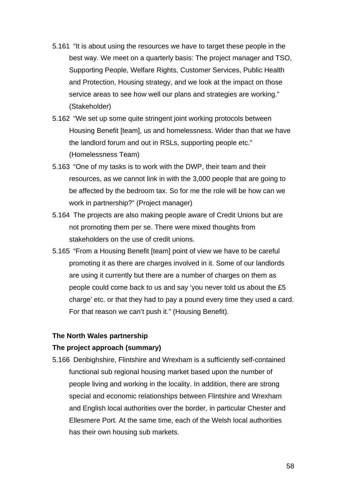- 5.161 "It is about using the resources we have to target these people in the best way. We meet on a quarterly basis: The project manager and TSO, Supporting People, Welfare Rights, Customer Services, Public Health and Protection, Housing strategy, and we look at the impact on those service areas to see how well our plans and strategies are working." (Stakeholder)
- 5.162 "We set up some quite stringent joint working protocols between Housing Benefit [team], us and homelessness. Wider than that we have the landlord forum and out in RSLs, supporting people etc." (Homelessness Team)
- 5.163 "One of my tasks is to work with the DWP, their team and their resources, as we cannot link in with the 3,000 people that are going to be affected by the bedroom tax. So for me the role will be how can we work in partnership?" (Project manager)
- 5.164 The projects are also making people aware of Credit Unions but are not promoting them per se. There were mixed thoughts from stakeholders on the use of credit unions.
- 5.165 "From a Housing Benefit [team] point of view we have to be careful promoting it as there are charges involved in it. Some of our landlords are using it currently but there are a number of charges on them as people could come back to us and say 'you never told us about the £5 charge' etc. or that they had to pay a pound every time they used a card. For that reason we can't push it." (Housing Benefit).

### **The North Wales partnership**

### **The project approach (summary)**

5.166 Denbighshire, Flintshire and Wrexham is a sufficiently self-contained functional sub regional housing market based upon the number of people living and working in the locality. In addition, there are strong special and economic relationships between Flintshire and Wrexham and English local authorities over the border, in particular Chester and Ellesmere Port. At the same time, each of the Welsh local authorities has their own housing sub markets.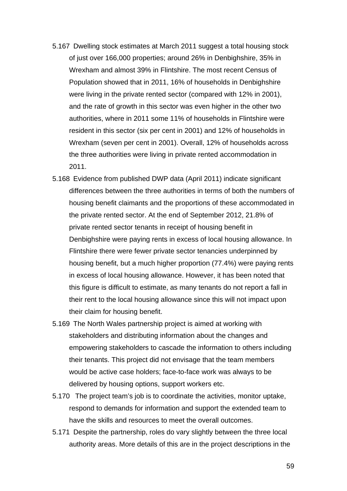- 5.167 Dwelling stock estimates at March 2011 suggest a total housing stock of just over 166,000 properties; around 26% in Denbighshire, 35% in Wrexham and almost 39% in Flintshire. The most recent Census of Population showed that in 2011, 16% of households in Denbighshire were living in the private rented sector (compared with 12% in 2001), and the rate of growth in this sector was even higher in the other two authorities, where in 2011 some 11% of households in Flintshire were resident in this sector (six per cent in 2001) and 12% of households in Wrexham (seven per cent in 2001). Overall, 12% of households across the three authorities were living in private rented accommodation in 2011.
- 5.168 Evidence from published DWP data (April 2011) indicate significant differences between the three authorities in terms of both the numbers of housing benefit claimants and the proportions of these accommodated in the private rented sector. At the end of September 2012, 21.8% of private rented sector tenants in receipt of housing benefit in Denbighshire were paying rents in excess of local housing allowance. In Flintshire there were fewer private sector tenancies underpinned by housing benefit, but a much higher proportion (77.4%) were paying rents in excess of local housing allowance. However, it has been noted that this figure is difficult to estimate, as many tenants do not report a fall in their rent to the local housing allowance since this will not impact upon their claim for housing benefit.
- 5.169 The North Wales partnership project is aimed at working with stakeholders and distributing information about the changes and empowering stakeholders to cascade the information to others including their tenants. This project did not envisage that the team members would be active case holders; face-to-face work was always to be delivered by housing options, support workers etc.
- 5.170 The project team's job is to coordinate the activities, monitor uptake, respond to demands for information and support the extended team to have the skills and resources to meet the overall outcomes.
- 5.171 Despite the partnership, roles do vary slightly between the three local authority areas. More details of this are in the project descriptions in the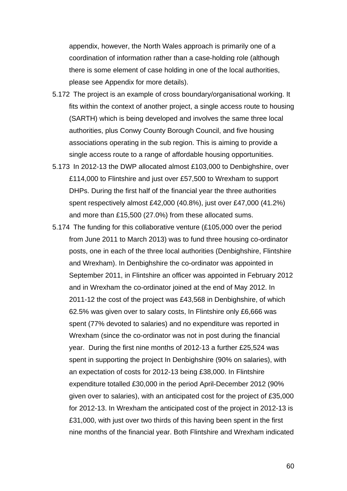appendix, however, the North Wales approach is primarily one of a coordination of information rather than a case-holding role (although there is some element of case holding in one of the local authorities, please see Appendix for more details).

- 5.172 The project is an example of cross boundary/organisational working. It fits within the context of another project, a single access route to housing (SARTH) which is being developed and involves the same three local authorities, plus Conwy County Borough Council, and five housing associations operating in the sub region. This is aiming to provide a single access route to a range of affordable housing opportunities.
- 5.173 In 2012-13 the DWP allocated almost £103,000 to Denbighshire, over £114,000 to Flintshire and just over £57,500 to Wrexham to support DHPs. During the first half of the financial year the three authorities spent respectively almost £42,000 (40.8%), just over £47,000 (41.2%) and more than £15,500 (27.0%) from these allocated sums.
- 5.174 The funding for this collaborative venture (£105,000 over the period from June 2011 to March 2013) was to fund three housing co-ordinator posts, one in each of the three local authorities (Denbighshire, Flintshire and Wrexham). In Denbighshire the co-ordinator was appointed in September 2011, in Flintshire an officer was appointed in February 2012 and in Wrexham the co-ordinator joined at the end of May 2012. In 2011-12 the cost of the project was £43,568 in Denbighshire, of which 62.5% was given over to salary costs, In Flintshire only £6,666 was spent (77% devoted to salaries) and no expenditure was reported in Wrexham (since the co-ordinator was not in post during the financial year. During the first nine months of 2012-13 a further £25,524 was spent in supporting the project In Denbighshire (90% on salaries), with an expectation of costs for 2012-13 being £38,000. In Flintshire expenditure totalled £30,000 in the period April-December 2012 (90% given over to salaries), with an anticipated cost for the project of £35,000 for 2012-13. In Wrexham the anticipated cost of the project in 2012-13 is £31,000, with just over two thirds of this having been spent in the first nine months of the financial year. Both Flintshire and Wrexham indicated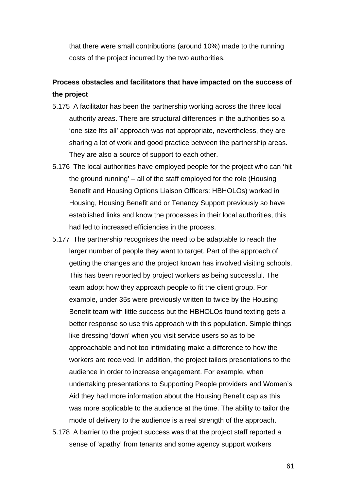that there were small contributions (around 10%) made to the running costs of the project incurred by the two authorities.

## **Process obstacles and facilitators that have impacted on the success of the project**

- 5.175 A facilitator has been the partnership working across the three local authority areas. There are structural differences in the authorities so a 'one size fits all' approach was not appropriate, nevertheless, they are sharing a lot of work and good practice between the partnership areas. They are also a source of support to each other.
- 5.176 The local authorities have employed people for the project who can 'hit the ground running' – all of the staff employed for the role (Housing Benefit and Housing Options Liaison Officers: HBHOLOs) worked in Housing, Housing Benefit and or Tenancy Support previously so have established links and know the processes in their local authorities, this had led to increased efficiencies in the process.
- 5.177 The partnership recognises the need to be adaptable to reach the larger number of people they want to target. Part of the approach of getting the changes and the project known has involved visiting schools. This has been reported by project workers as being successful. The team adopt how they approach people to fit the client group. For example, under 35s were previously written to twice by the Housing Benefit team with little success but the HBHOLOs found texting gets a better response so use this approach with this population. Simple things like dressing 'down' when you visit service users so as to be approachable and not too intimidating make a difference to how the workers are received. In addition, the project tailors presentations to the audience in order to increase engagement. For example, when undertaking presentations to Supporting People providers and Women's Aid they had more information about the Housing Benefit cap as this was more applicable to the audience at the time. The ability to tailor the mode of delivery to the audience is a real strength of the approach.
- 5.178 A barrier to the project success was that the project staff reported a sense of 'apathy' from tenants and some agency support workers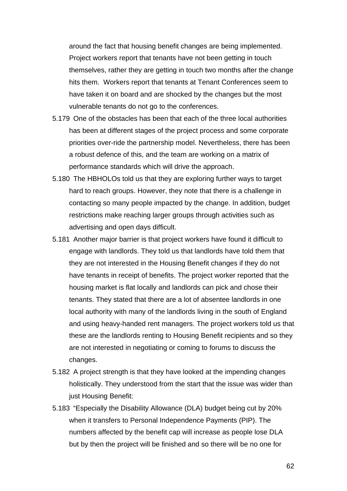around the fact that housing benefit changes are being implemented. Project workers report that tenants have not been getting in touch themselves, rather they are getting in touch two months after the change hits them. Workers report that tenants at Tenant Conferences seem to have taken it on board and are shocked by the changes but the most vulnerable tenants do not go to the conferences.

- 5.179 One of the obstacles has been that each of the three local authorities has been at different stages of the project process and some corporate priorities over-ride the partnership model. Nevertheless, there has been a robust defence of this, and the team are working on a matrix of performance standards which will drive the approach.
- 5.180 The HBHOLOs told us that they are exploring further ways to target hard to reach groups. However, they note that there is a challenge in contacting so many people impacted by the change. In addition, budget restrictions make reaching larger groups through activities such as advertising and open days difficult.
- 5.181 Another major barrier is that project workers have found it difficult to engage with landlords. They told us that landlords have told them that they are not interested in the Housing Benefit changes if they do not have tenants in receipt of benefits. The project worker reported that the housing market is flat locally and landlords can pick and chose their tenants. They stated that there are a lot of absentee landlords in one local authority with many of the landlords living in the south of England and using heavy-handed rent managers. The project workers told us that these are the landlords renting to Housing Benefit recipients and so they are not interested in negotiating or coming to forums to discuss the changes.
- 5.182 A project strength is that they have looked at the impending changes holistically. They understood from the start that the issue was wider than just Housing Benefit:
- 5.183 "Especially the Disability Allowance (DLA) budget being cut by 20% when it transfers to Personal Independence Payments (PIP). The numbers affected by the benefit cap will increase as people lose DLA but by then the project will be finished and so there will be no one for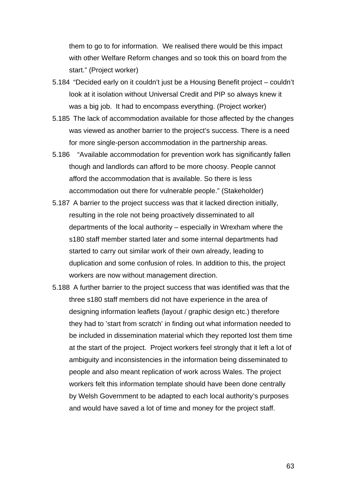them to go to for information. We realised there would be this impact with other Welfare Reform changes and so took this on board from the start." (Project worker)

- 5.184 "Decided early on it couldn't just be a Housing Benefit project couldn't look at it isolation without Universal Credit and PIP so always knew it was a big job. It had to encompass everything. (Project worker)
- 5.185 The lack of accommodation available for those affected by the changes was viewed as another barrier to the project's success. There is a need for more single-person accommodation in the partnership areas.
- 5.186 "Available accommodation for prevention work has significantly fallen though and landlords can afford to be more choosy. People cannot afford the accommodation that is available. So there is less accommodation out there for vulnerable people." (Stakeholder)
- 5.187 A barrier to the project success was that it lacked direction initially, resulting in the role not being proactively disseminated to all departments of the local authority – especially in Wrexham where the s180 staff member started later and some internal departments had started to carry out similar work of their own already, leading to duplication and some confusion of roles. In addition to this, the project workers are now without management direction.
- 5.188 A further barrier to the project success that was identified was that the three s180 staff members did not have experience in the area of designing information leaflets (layout / graphic design etc.) therefore they had to 'start from scratch' in finding out what information needed to be included in dissemination material which they reported lost them time at the start of the project. Project workers feel strongly that it left a lot of ambiguity and inconsistencies in the information being disseminated to people and also meant replication of work across Wales. The project workers felt this information template should have been done centrally by Welsh Government to be adapted to each local authority's purposes and would have saved a lot of time and money for the project staff.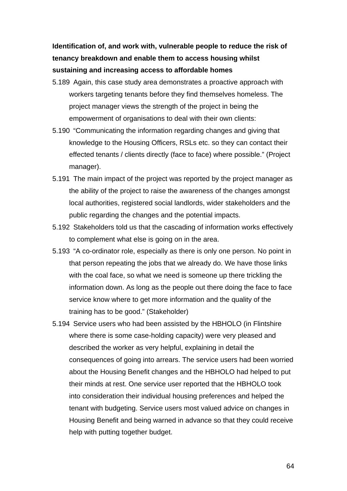**Identification of, and work with, vulnerable people to reduce the risk of tenancy breakdown and enable them to access housing whilst sustaining and increasing access to affordable homes** 

- 5.189 Again, this case study area demonstrates a proactive approach with workers targeting tenants before they find themselves homeless. The project manager views the strength of the project in being the empowerment of organisations to deal with their own clients:
- 5.190 "Communicating the information regarding changes and giving that knowledge to the Housing Officers, RSLs etc. so they can contact their effected tenants / clients directly (face to face) where possible." (Project manager).
- 5.191 The main impact of the project was reported by the project manager as the ability of the project to raise the awareness of the changes amongst local authorities, registered social landlords, wider stakeholders and the public regarding the changes and the potential impacts.
- 5.192 Stakeholders told us that the cascading of information works effectively to complement what else is going on in the area.
- 5.193 "A co-ordinator role, especially as there is only one person. No point in that person repeating the jobs that we already do. We have those links with the coal face, so what we need is someone up there trickling the information down. As long as the people out there doing the face to face service know where to get more information and the quality of the training has to be good." (Stakeholder)
- 5.194 Service users who had been assisted by the HBHOLO (in Flintshire where there is some case-holding capacity) were very pleased and described the worker as very helpful, explaining in detail the consequences of going into arrears. The service users had been worried about the Housing Benefit changes and the HBHOLO had helped to put their minds at rest. One service user reported that the HBHOLO took into consideration their individual housing preferences and helped the tenant with budgeting. Service users most valued advice on changes in Housing Benefit and being warned in advance so that they could receive help with putting together budget.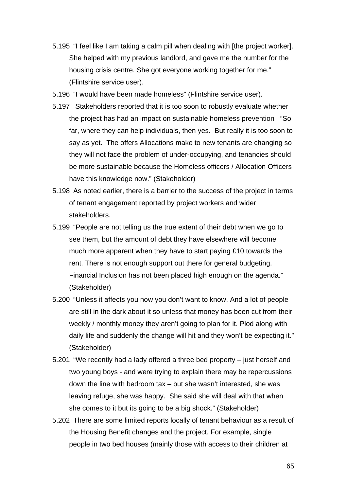- 5.195 "I feel like I am taking a calm pill when dealing with [the project worker]. She helped with my previous landlord, and gave me the number for the housing crisis centre. She got everyone working together for me." (Flintshire service user).
- 5.196 "I would have been made homeless" (Flintshire service user).
- 5.197 Stakeholders reported that it is too soon to robustly evaluate whether the project has had an impact on sustainable homeless prevention "So far, where they can help individuals, then yes. But really it is too soon to say as yet. The offers Allocations make to new tenants are changing so they will not face the problem of under-occupying, and tenancies should be more sustainable because the Homeless officers / Allocation Officers have this knowledge now." (Stakeholder)
- 5.198 As noted earlier, there is a barrier to the success of the project in terms of tenant engagement reported by project workers and wider stakeholders.
- 5.199 "People are not telling us the true extent of their debt when we go to see them, but the amount of debt they have elsewhere will become much more apparent when they have to start paying £10 towards the rent. There is not enough support out there for general budgeting. Financial Inclusion has not been placed high enough on the agenda." (Stakeholder)
- 5.200 "Unless it affects you now you don't want to know. And a lot of people are still in the dark about it so unless that money has been cut from their weekly / monthly money they aren't going to plan for it. Plod along with daily life and suddenly the change will hit and they won't be expecting it." (Stakeholder)
- 5.201 "We recently had a lady offered a three bed property just herself and two young boys - and were trying to explain there may be repercussions down the line with bedroom tax – but she wasn't interested, she was leaving refuge, she was happy. She said she will deal with that when she comes to it but its going to be a big shock." (Stakeholder)
- 5.202 There are some limited reports locally of tenant behaviour as a result of the Housing Benefit changes and the project. For example, single people in two bed houses (mainly those with access to their children at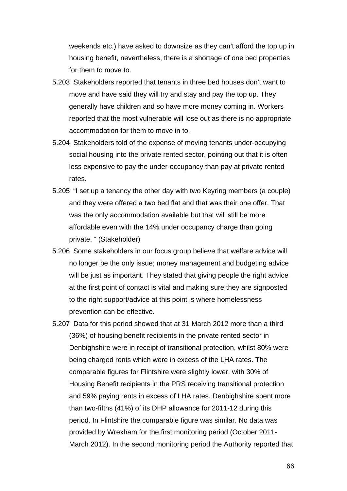weekends etc.) have asked to downsize as they can't afford the top up in housing benefit, nevertheless, there is a shortage of one bed properties for them to move to.

- 5.203 Stakeholders reported that tenants in three bed houses don't want to move and have said they will try and stay and pay the top up. They generally have children and so have more money coming in. Workers reported that the most vulnerable will lose out as there is no appropriate accommodation for them to move in to.
- 5.204 Stakeholders told of the expense of moving tenants under-occupying social housing into the private rented sector, pointing out that it is often less expensive to pay the under-occupancy than pay at private rented rates.
- 5.205 "I set up a tenancy the other day with two Keyring members (a couple) and they were offered a two bed flat and that was their one offer. That was the only accommodation available but that will still be more affordable even with the 14% under occupancy charge than going private. " (Stakeholder)
- 5.206 Some stakeholders in our focus group believe that welfare advice will no longer be the only issue; money management and budgeting advice will be just as important. They stated that giving people the right advice at the first point of contact is vital and making sure they are signposted to the right support/advice at this point is where homelessness prevention can be effective.
- 5.207 Data for this period showed that at 31 March 2012 more than a third (36%) of housing benefit recipients in the private rented sector in Denbighshire were in receipt of transitional protection, whilst 80% were being charged rents which were in excess of the LHA rates. The comparable figures for Flintshire were slightly lower, with 30% of Housing Benefit recipients in the PRS receiving transitional protection and 59% paying rents in excess of LHA rates. Denbighshire spent more than two-fifths (41%) of its DHP allowance for 2011-12 during this period. In Flintshire the comparable figure was similar. No data was provided by Wrexham for the first monitoring period (October 2011- March 2012). In the second monitoring period the Authority reported that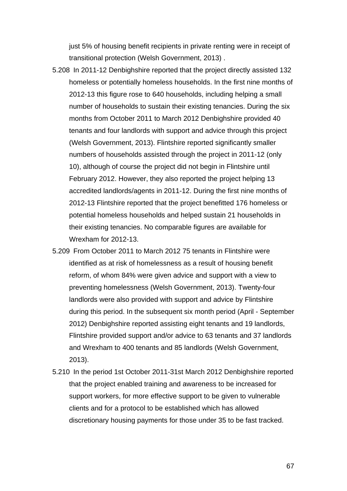just 5% of housing benefit recipients in private renting were in receipt of transitional protection (Welsh Government, 2013) .

- 5.208 In 2011-12 Denbighshire reported that the project directly assisted 132 homeless or potentially homeless households. In the first nine months of 2012-13 this figure rose to 640 households, including helping a small number of households to sustain their existing tenancies. During the six months from October 2011 to March 2012 Denbighshire provided 40 tenants and four landlords with support and advice through this project (Welsh Government, 2013). Flintshire reported significantly smaller numbers of households assisted through the project in 2011-12 (only 10), although of course the project did not begin in Flintshire until February 2012. However, they also reported the project helping 13 accredited landlords/agents in 2011-12. During the first nine months of 2012-13 Flintshire reported that the project benefitted 176 homeless or potential homeless households and helped sustain 21 households in their existing tenancies. No comparable figures are available for Wrexham for 2012-13.
- 5.209 From October 2011 to March 2012 75 tenants in Flintshire were identified as at risk of homelessness as a result of housing benefit reform, of whom 84% were given advice and support with a view to preventing homelessness (Welsh Government, 2013). Twenty-four landlords were also provided with support and advice by Flintshire during this period. In the subsequent six month period (April - September 2012) Denbighshire reported assisting eight tenants and 19 landlords, Flintshire provided support and/or advice to 63 tenants and 37 landlords and Wrexham to 400 tenants and 85 landlords (Welsh Government, 2013).
- 5.210 In the period 1st October 2011-31st March 2012 Denbighshire reported that the project enabled training and awareness to be increased for support workers, for more effective support to be given to vulnerable clients and for a protocol to be established which has allowed discretionary housing payments for those under 35 to be fast tracked.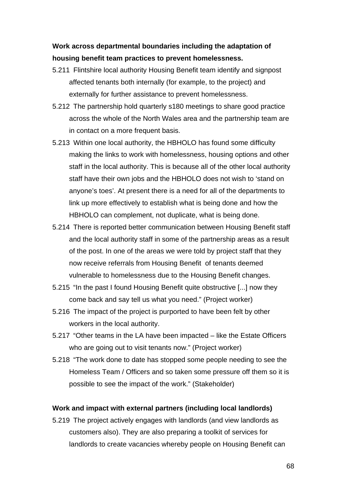## **Work across departmental boundaries including the adaptation of housing benefit team practices to prevent homelessness.**

- 5.211 Flintshire local authority Housing Benefit team identify and signpost affected tenants both internally (for example, to the project) and externally for further assistance to prevent homelessness.
- 5.212 The partnership hold quarterly s180 meetings to share good practice across the whole of the North Wales area and the partnership team are in contact on a more frequent basis.
- 5.213 Within one local authority, the HBHOLO has found some difficulty making the links to work with homelessness, housing options and other staff in the local authority. This is because all of the other local authority staff have their own jobs and the HBHOLO does not wish to 'stand on anyone's toes'. At present there is a need for all of the departments to link up more effectively to establish what is being done and how the HBHOLO can complement, not duplicate, what is being done.
- 5.214 There is reported better communication between Housing Benefit staff and the local authority staff in some of the partnership areas as a result of the post. In one of the areas we were told by project staff that they now receive referrals from Housing Benefit of tenants deemed vulnerable to homelessness due to the Housing Benefit changes.
- 5.215 "In the past I found Housing Benefit quite obstructive [...] now they come back and say tell us what you need." (Project worker)
- 5.216 The impact of the project is purported to have been felt by other workers in the local authority.
- 5.217 "Other teams in the LA have been impacted like the Estate Officers who are going out to visit tenants now." (Project worker)
- 5.218 "The work done to date has stopped some people needing to see the Homeless Team / Officers and so taken some pressure off them so it is possible to see the impact of the work." (Stakeholder)

#### **Work and impact with external partners (including local landlords)**

5.219 The project actively engages with landlords (and view landlords as customers also). They are also preparing a toolkit of services for landlords to create vacancies whereby people on Housing Benefit can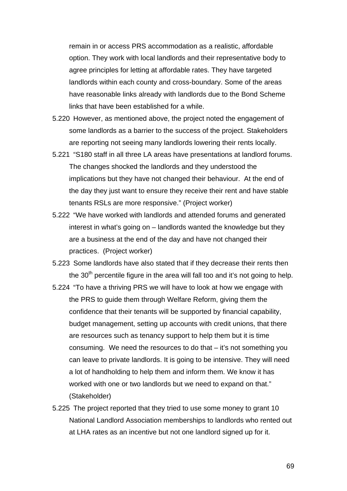remain in or access PRS accommodation as a realistic, affordable option. They work with local landlords and their representative body to agree principles for letting at affordable rates. They have targeted landlords within each county and cross-boundary. Some of the areas have reasonable links already with landlords due to the Bond Scheme links that have been established for a while.

- 5.220 However, as mentioned above, the project noted the engagement of some landlords as a barrier to the success of the project. Stakeholders are reporting not seeing many landlords lowering their rents locally.
- 5.221 "S180 staff in all three LA areas have presentations at landlord forums. The changes shocked the landlords and they understood the implications but they have not changed their behaviour. At the end of the day they just want to ensure they receive their rent and have stable tenants RSLs are more responsive." (Project worker)
- 5.222 "We have worked with landlords and attended forums and generated interest in what's going on – landlords wanted the knowledge but they are a business at the end of the day and have not changed their practices. (Project worker)
- 5.223 Some landlords have also stated that if they decrease their rents then the  $30<sup>th</sup>$  percentile figure in the area will fall too and it's not going to help.
- 5.224 "To have a thriving PRS we will have to look at how we engage with the PRS to guide them through Welfare Reform, giving them the confidence that their tenants will be supported by financial capability, budget management, setting up accounts with credit unions, that there are resources such as tenancy support to help them but it is time consuming. We need the resources to do that – it's not something you can leave to private landlords. It is going to be intensive. They will need a lot of handholding to help them and inform them. We know it has worked with one or two landlords but we need to expand on that." (Stakeholder)
- 5.225 The project reported that they tried to use some money to grant 10 National Landlord Association memberships to landlords who rented out at LHA rates as an incentive but not one landlord signed up for it.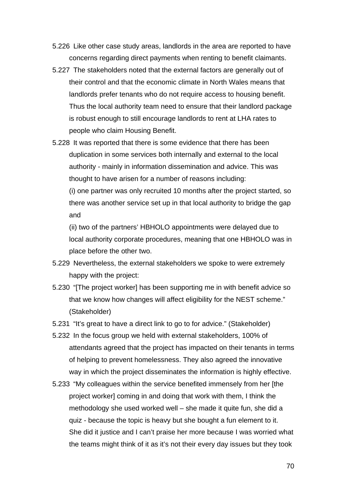- 5.226 Like other case study areas, landlords in the area are reported to have concerns regarding direct payments when renting to benefit claimants.
- 5.227 The stakeholders noted that the external factors are generally out of their control and that the economic climate in North Wales means that landlords prefer tenants who do not require access to housing benefit. Thus the local authority team need to ensure that their landlord package is robust enough to still encourage landlords to rent at LHA rates to people who claim Housing Benefit.
- 5.228 It was reported that there is some evidence that there has been duplication in some services both internally and external to the local authority - mainly in information dissemination and advice. This was thought to have arisen for a number of reasons including:

(i) one partner was only recruited 10 months after the project started, so there was another service set up in that local authority to bridge the gap and

(ii) two of the partners' HBHOLO appointments were delayed due to local authority corporate procedures, meaning that one HBHOLO was in place before the other two.

- 5.229 Nevertheless, the external stakeholders we spoke to were extremely happy with the project:
- 5.230 "[The project worker] has been supporting me in with benefit advice so that we know how changes will affect eligibility for the NEST scheme." (Stakeholder)
- 5.231 "It's great to have a direct link to go to for advice." (Stakeholder)
- 5.232 In the focus group we held with external stakeholders, 100% of attendants agreed that the project has impacted on their tenants in terms of helping to prevent homelessness. They also agreed the innovative way in which the project disseminates the information is highly effective.
- 5.233 "My colleagues within the service benefited immensely from her [the project worker] coming in and doing that work with them, I think the methodology she used worked well – she made it quite fun, she did a quiz - because the topic is heavy but she bought a fun element to it. She did it justice and I can't praise her more because I was worried what the teams might think of it as it's not their every day issues but they took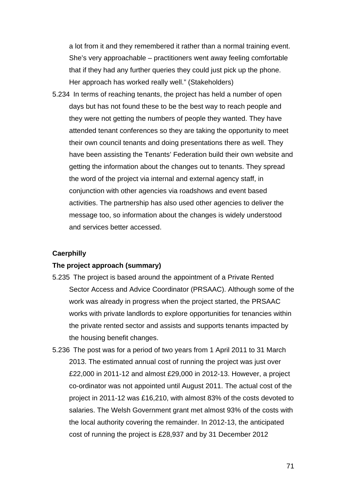a lot from it and they remembered it rather than a normal training event. She's very approachable – practitioners went away feeling comfortable that if they had any further queries they could just pick up the phone. Her approach has worked really well." (Stakeholders)

5.234 In terms of reaching tenants, the project has held a number of open days but has not found these to be the best way to reach people and they were not getting the numbers of people they wanted. They have attended tenant conferences so they are taking the opportunity to meet their own council tenants and doing presentations there as well. They have been assisting the Tenants' Federation build their own website and getting the information about the changes out to tenants. They spread the word of the project via internal and external agency staff, in conjunction with other agencies via roadshows and event based activities. The partnership has also used other agencies to deliver the message too, so information about the changes is widely understood and services better accessed.

### **Caerphilly**

#### **The project approach (summary)**

- 5.235 The project is based around the appointment of a Private Rented Sector Access and Advice Coordinator (PRSAAC). Although some of the work was already in progress when the project started, the PRSAAC works with private landlords to explore opportunities for tenancies within the private rented sector and assists and supports tenants impacted by the housing benefit changes.
- 5.236 The post was for a period of two years from 1 April 2011 to 31 March 2013. The estimated annual cost of running the project was just over £22,000 in 2011-12 and almost £29,000 in 2012-13. However, a project co-ordinator was not appointed until August 2011. The actual cost of the project in 2011-12 was £16,210, with almost 83% of the costs devoted to salaries. The Welsh Government grant met almost 93% of the costs with the local authority covering the remainder. In 2012-13, the anticipated cost of running the project is £28,937 and by 31 December 2012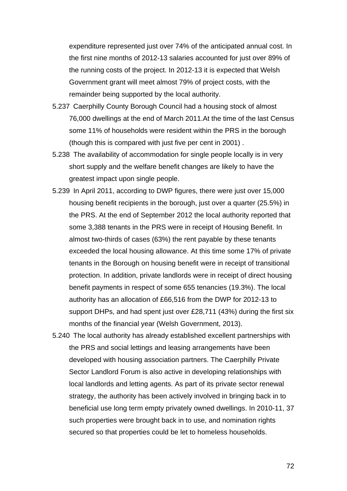expenditure represented just over 74% of the anticipated annual cost. In the first nine months of 2012-13 salaries accounted for just over 89% of the running costs of the project. In 2012-13 it is expected that Welsh Government grant will meet almost 79% of project costs, with the remainder being supported by the local authority.

- 5.237 Caerphilly County Borough Council had a housing stock of almost 76,000 dwellings at the end of March 2011.At the time of the last Census some 11% of households were resident within the PRS in the borough (though this is compared with just five per cent in 2001) .
- 5.238 The availability of accommodation for single people locally is in very short supply and the welfare benefit changes are likely to have the greatest impact upon single people.
- 5.239 In April 2011, according to DWP figures, there were just over 15,000 housing benefit recipients in the borough, just over a quarter (25.5%) in the PRS. At the end of September 2012 the local authority reported that some 3,388 tenants in the PRS were in receipt of Housing Benefit. In almost two-thirds of cases (63%) the rent payable by these tenants exceeded the local housing allowance. At this time some 17% of private tenants in the Borough on housing benefit were in receipt of transitional protection. In addition, private landlords were in receipt of direct housing benefit payments in respect of some 655 tenancies (19.3%). The local authority has an allocation of £66,516 from the DWP for 2012-13 to support DHPs, and had spent just over £28,711 (43%) during the first six months of the financial year (Welsh Government, 2013).
- 5.240 The local authority has already established excellent partnerships with the PRS and social lettings and leasing arrangements have been developed with housing association partners. The Caerphilly Private Sector Landlord Forum is also active in developing relationships with local landlords and letting agents. As part of its private sector renewal strategy, the authority has been actively involved in bringing back in to beneficial use long term empty privately owned dwellings. In 2010-11, 37 such properties were brought back in to use, and nomination rights secured so that properties could be let to homeless households.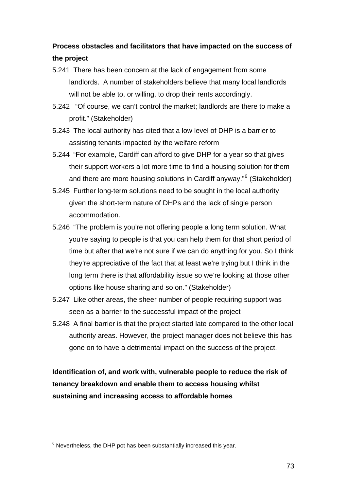# **Process obstacles and facilitators that have impacted on the success of the project**

- 5.241 There has been concern at the lack of engagement from some landlords. A number of stakeholders believe that many local landlords will not be able to, or willing, to drop their rents accordingly.
- 5.242 "Of course, we can't control the market; landlords are there to make a profit." (Stakeholder)
- 5.243 The local authority has cited that a low level of DHP is a barrier to assisting tenants impacted by the welfare reform
- 5.244 "For example, Cardiff can afford to give DHP for a year so that gives their support workers a lot more time to find a housing solution for them and there are more housing solutions in Cardiff anyway."<sup>[6](#page-73-0)</sup> (Stakeholder)
- 5.245 Further long-term solutions need to be sought in the local authority given the short-term nature of DHPs and the lack of single person accommodation.
- 5.246 "The problem is you're not offering people a long term solution. What you're saying to people is that you can help them for that short period of time but after that we're not sure if we can do anything for you. So I think they're appreciative of the fact that at least we're trying but I think in the long term there is that affordability issue so we're looking at those other options like house sharing and so on." (Stakeholder)
- 5.247 Like other areas, the sheer number of people requiring support was seen as a barrier to the successful impact of the project
- 5.248 A final barrier is that the project started late compared to the other local authority areas. However, the project manager does not believe this has gone on to have a detrimental impact on the success of the project.

**Identification of, and work with, vulnerable people to reduce the risk of tenancy breakdown and enable them to access housing whilst sustaining and increasing access to affordable homes** 

<span id="page-73-0"></span> 6 Nevertheless, the DHP pot has been substantially increased this year.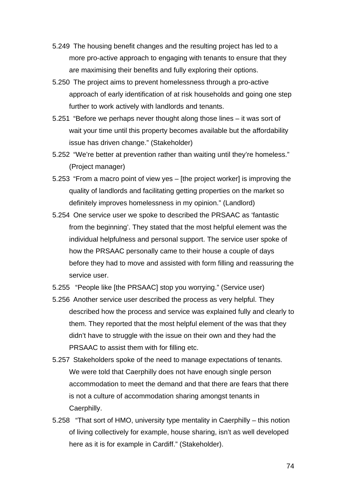- 5.249 The housing benefit changes and the resulting project has led to a more pro-active approach to engaging with tenants to ensure that they are maximising their benefits and fully exploring their options.
- 5.250 The project aims to prevent homelessness through a pro-active approach of early identification of at risk households and going one step further to work actively with landlords and tenants.
- 5.251 "Before we perhaps never thought along those lines it was sort of wait your time until this property becomes available but the affordability issue has driven change." (Stakeholder)
- 5.252 "We're better at prevention rather than waiting until they're homeless." (Project manager)
- 5.253 "From a macro point of view yes [the project worker] is improving the quality of landlords and facilitating getting properties on the market so definitely improves homelessness in my opinion." (Landlord)
- 5.254 One service user we spoke to described the PRSAAC as 'fantastic from the beginning'. They stated that the most helpful element was the individual helpfulness and personal support. The service user spoke of how the PRSAAC personally came to their house a couple of days before they had to move and assisted with form filling and reassuring the service user.
- 5.255 "People like [the PRSAAC] stop you worrying." (Service user)
- 5.256 Another service user described the process as very helpful. They described how the process and service was explained fully and clearly to them. They reported that the most helpful element of the was that they didn't have to struggle with the issue on their own and they had the PRSAAC to assist them with for filling etc.
- 5.257 Stakeholders spoke of the need to manage expectations of tenants. We were told that Caerphilly does not have enough single person accommodation to meet the demand and that there are fears that there is not a culture of accommodation sharing amongst tenants in Caerphilly.
- 5.258 "That sort of HMO, university type mentality in Caerphilly this notion of living collectively for example, house sharing, isn't as well developed here as it is for example in Cardiff." (Stakeholder).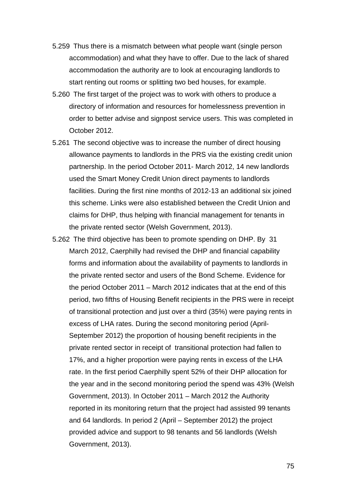- 5.259 Thus there is a mismatch between what people want (single person accommodation) and what they have to offer. Due to the lack of shared accommodation the authority are to look at encouraging landlords to start renting out rooms or splitting two bed houses, for example.
- 5.260 The first target of the project was to work with others to produce a directory of information and resources for homelessness prevention in order to better advise and signpost service users. This was completed in October 2012.
- 5.261 The second objective was to increase the number of direct housing allowance payments to landlords in the PRS via the existing credit union partnership. In the period October 2011- March 2012, 14 new landlords used the Smart Money Credit Union direct payments to landlords facilities. During the first nine months of 2012-13 an additional six joined this scheme. Links were also established between the Credit Union and claims for DHP, thus helping with financial management for tenants in the private rented sector (Welsh Government, 2013).
- 5.262 The third objective has been to promote spending on DHP. By 31 March 2012, Caerphilly had revised the DHP and financial capability forms and information about the availability of payments to landlords in the private rented sector and users of the Bond Scheme. Evidence for the period October 2011 – March 2012 indicates that at the end of this period, two fifths of Housing Benefit recipients in the PRS were in receipt of transitional protection and just over a third (35%) were paying rents in excess of LHA rates. During the second monitoring period (April-September 2012) the proportion of housing benefit recipients in the private rented sector in receipt of transitional protection had fallen to 17%, and a higher proportion were paying rents in excess of the LHA rate. In the first period Caerphilly spent 52% of their DHP allocation for the year and in the second monitoring period the spend was 43% (Welsh Government, 2013). In October 2011 – March 2012 the Authority reported in its monitoring return that the project had assisted 99 tenants and 64 landlords. In period 2 (April – September 2012) the project provided advice and support to 98 tenants and 56 landlords (Welsh Government, 2013).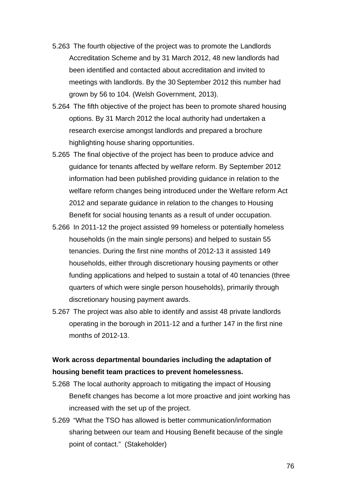- 5.263 The fourth objective of the project was to promote the Landlords Accreditation Scheme and by 31 March 2012, 48 new landlords had been identified and contacted about accreditation and invited to meetings with landlords. By the 30 September 2012 this number had grown by 56 to 104. (Welsh Government, 2013).
- 5.264 The fifth objective of the project has been to promote shared housing options. By 31 March 2012 the local authority had undertaken a research exercise amongst landlords and prepared a brochure highlighting house sharing opportunities.
- 5.265 The final objective of the project has been to produce advice and guidance for tenants affected by welfare reform. By September 2012 information had been published providing guidance in relation to the welfare reform changes being introduced under the Welfare reform Act 2012 and separate guidance in relation to the changes to Housing Benefit for social housing tenants as a result of under occupation.
- 5.266 In 2011-12 the project assisted 99 homeless or potentially homeless households (in the main single persons) and helped to sustain 55 tenancies. During the first nine months of 2012-13 it assisted 149 households, either through discretionary housing payments or other funding applications and helped to sustain a total of 40 tenancies (three quarters of which were single person households), primarily through discretionary housing payment awards.
- 5.267 The project was also able to identify and assist 48 private landlords operating in the borough in 2011-12 and a further 147 in the first nine months of 2012-13.

## **Work across departmental boundaries including the adaptation of housing benefit team practices to prevent homelessness.**

- 5.268 The local authority approach to mitigating the impact of Housing Benefit changes has become a lot more proactive and joint working has increased with the set up of the project.
- 5.269 "What the TSO has allowed is better communication/information sharing between our team and Housing Benefit because of the single point of contact." (Stakeholder)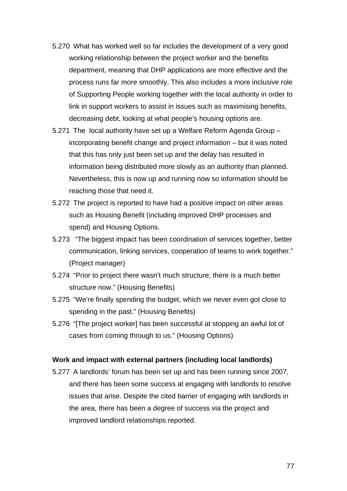- 5.270 What has worked well so far includes the development of a very good working relationship between the project worker and the benefits department, meaning that DHP applications are more effective and the process runs far more smoothly. This also includes a more inclusive role of Supporting People working together with the local authority in order to link in support workers to assist in issues such as maximising benefits, decreasing debt, looking at what people's housing options are.
- 5.271 The local authority have set up a Welfare Reform Agenda Group incorporating benefit change and project information – but it was noted that this has only just been set up and the delay has resulted in information being distributed more slowly as an authority than planned. Nevertheless, this is now up and running now so information should be reaching those that need it.
- 5.272 The project is reported to have had a positive impact on other areas such as Housing Benefit (including improved DHP processes and spend) and Housing Options.
- 5.273 "The biggest impact has been coordination of services together, better communication, linking services, cooperation of teams to work together." (Project manager)
- 5.274 "Prior to project there wasn't much structure; there is a much better structure now." (Housing Benefits)
- 5.275 "We're finally spending the budget, which we never even got close to spending in the past." (Housing Benefits)
- 5.276 "[The project worker] has been successful at stopping an awful lot of cases from coming through to us." (Housing Options)

### **Work and impact with external partners (including local landlords)**

5.277 A landlords' forum has been set up and has been running since 2007, and there has been some success at engaging with landlords to resolve issues that arise. Despite the cited barrier of engaging with landlords in the area, there has been a degree of success via the project and improved landlord relationships reported.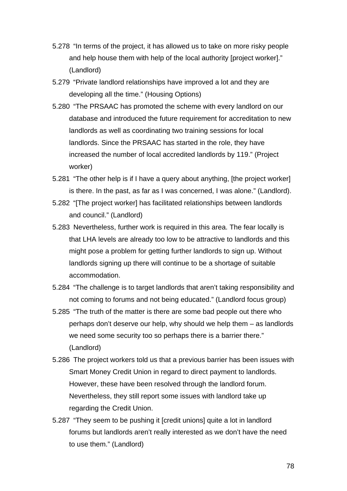- 5.278 "In terms of the project, it has allowed us to take on more risky people and help house them with help of the local authority [project worker]." (Landlord)
- 5.279 "Private landlord relationships have improved a lot and they are developing all the time." (Housing Options)
- 5.280 "The PRSAAC has promoted the scheme with every landlord on our database and introduced the future requirement for accreditation to new landlords as well as coordinating two training sessions for local landlords. Since the PRSAAC has started in the role, they have increased the number of local accredited landlords by 119." (Project worker)
- 5.281 "The other help is if I have a query about anything, [the project worker] is there. In the past, as far as I was concerned, I was alone." (Landlord).
- 5.282 "[The project worker] has facilitated relationships between landlords and council." (Landlord)
- 5.283 Nevertheless, further work is required in this area. The fear locally is that LHA levels are already too low to be attractive to landlords and this might pose a problem for getting further landlords to sign up. Without landlords signing up there will continue to be a shortage of suitable accommodation.
- 5.284 "The challenge is to target landlords that aren't taking responsibility and not coming to forums and not being educated." (Landlord focus group)
- 5.285 "The truth of the matter is there are some bad people out there who perhaps don't deserve our help, why should we help them – as landlords we need some security too so perhaps there is a barrier there." (Landlord)
- 5.286 The project workers told us that a previous barrier has been issues with Smart Money Credit Union in regard to direct payment to landlords. However, these have been resolved through the landlord forum. Nevertheless, they still report some issues with landlord take up regarding the Credit Union.
- 5.287 "They seem to be pushing it [credit unions] quite a lot in landlord forums but landlords aren't really interested as we don't have the need to use them." (Landlord)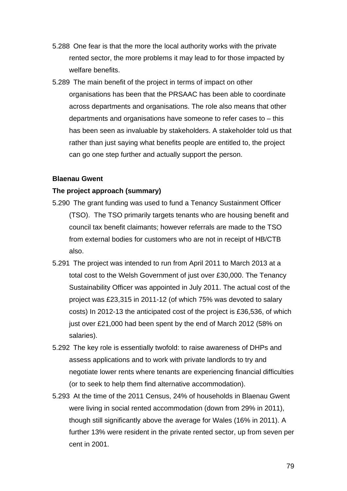- 5.288 One fear is that the more the local authority works with the private rented sector, the more problems it may lead to for those impacted by welfare benefits.
- 5.289 The main benefit of the project in terms of impact on other organisations has been that the PRSAAC has been able to coordinate across departments and organisations. The role also means that other departments and organisations have someone to refer cases to – this has been seen as invaluable by stakeholders. A stakeholder told us that rather than just saying what benefits people are entitled to, the project can go one step further and actually support the person.

### **Blaenau Gwent**

#### **The project approach (summary)**

- 5.290 The grant funding was used to fund a Tenancy Sustainment Officer (TSO). The TSO primarily targets tenants who are housing benefit and council tax benefit claimants; however referrals are made to the TSO from external bodies for customers who are not in receipt of HB/CTB also.
- 5.291 The project was intended to run from April 2011 to March 2013 at a total cost to the Welsh Government of just over £30,000. The Tenancy Sustainability Officer was appointed in July 2011. The actual cost of the project was £23,315 in 2011-12 (of which 75% was devoted to salary costs) In 2012-13 the anticipated cost of the project is £36,536, of which just over £21,000 had been spent by the end of March 2012 (58% on salaries).
- 5.292 The key role is essentially twofold: to raise awareness of DHPs and assess applications and to work with private landlords to try and negotiate lower rents where tenants are experiencing financial difficulties (or to seek to help them find alternative accommodation).
- 5.293 At the time of the 2011 Census, 24% of households in Blaenau Gwent were living in social rented accommodation (down from 29% in 2011), though still significantly above the average for Wales (16% in 2011). A further 13% were resident in the private rented sector, up from seven per cent in 2001.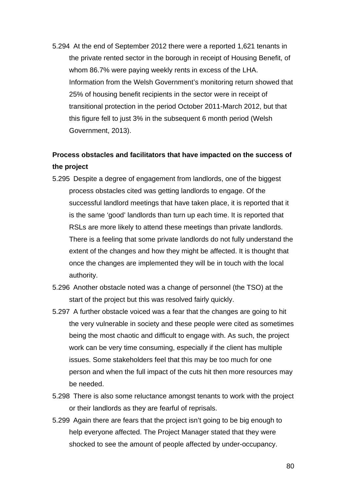5.294 At the end of September 2012 there were a reported 1,621 tenants in the private rented sector in the borough in receipt of Housing Benefit, of whom 86.7% were paying weekly rents in excess of the LHA. Information from the Welsh Government's monitoring return showed that 25% of housing benefit recipients in the sector were in receipt of transitional protection in the period October 2011-March 2012, but that this figure fell to just 3% in the subsequent 6 month period (Welsh Government, 2013).

# **Process obstacles and facilitators that have impacted on the success of the project**

- 5.295 Despite a degree of engagement from landlords, one of the biggest process obstacles cited was getting landlords to engage. Of the successful landlord meetings that have taken place, it is reported that it is the same 'good' landlords than turn up each time. It is reported that RSLs are more likely to attend these meetings than private landlords. There is a feeling that some private landlords do not fully understand the extent of the changes and how they might be affected. It is thought that once the changes are implemented they will be in touch with the local authority.
- 5.296 Another obstacle noted was a change of personnel (the TSO) at the start of the project but this was resolved fairly quickly.
- 5.297 A further obstacle voiced was a fear that the changes are going to hit the very vulnerable in society and these people were cited as sometimes being the most chaotic and difficult to engage with. As such, the project work can be very time consuming, especially if the client has multiple issues. Some stakeholders feel that this may be too much for one person and when the full impact of the cuts hit then more resources may be needed.
- 5.298 There is also some reluctance amongst tenants to work with the project or their landlords as they are fearful of reprisals.
- 5.299 Again there are fears that the project isn't going to be big enough to help everyone affected. The Project Manager stated that they were shocked to see the amount of people affected by under-occupancy.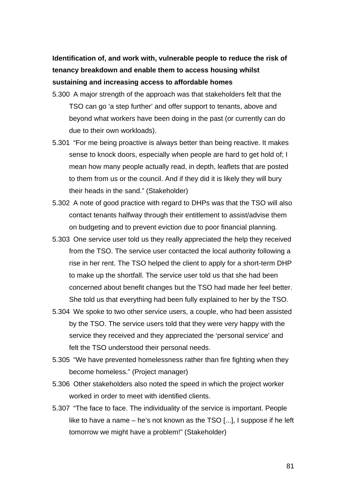**Identification of, and work with, vulnerable people to reduce the risk of tenancy breakdown and enable them to access housing whilst sustaining and increasing access to affordable homes** 

- 5.300 A major strength of the approach was that stakeholders felt that the TSO can go 'a step further' and offer support to tenants, above and beyond what workers have been doing in the past (or currently can do due to their own workloads).
- 5.301 "For me being proactive is always better than being reactive. It makes sense to knock doors, especially when people are hard to get hold of; I mean how many people actually read, in depth, leaflets that are posted to them from us or the council. And if they did it is likely they will bury their heads in the sand." (Stakeholder)
- 5.302 A note of good practice with regard to DHPs was that the TSO will also contact tenants halfway through their entitlement to assist/advise them on budgeting and to prevent eviction due to poor financial planning.
- 5.303 One service user told us they really appreciated the help they received from the TSO. The service user contacted the local authority following a rise in her rent. The TSO helped the client to apply for a short-term DHP to make up the shortfall. The service user told us that she had been concerned about benefit changes but the TSO had made her feel better. She told us that everything had been fully explained to her by the TSO.
- 5.304 We spoke to two other service users, a couple, who had been assisted by the TSO. The service users told that they were very happy with the service they received and they appreciated the 'personal service' and felt the TSO understood their personal needs.
- 5.305 "We have prevented homelessness rather than fire fighting when they become homeless." (Project manager)
- 5.306 Other stakeholders also noted the speed in which the project worker worked in order to meet with identified clients.
- 5.307 "The face to face. The individuality of the service is important. People like to have a name – he's not known as the TSO [...], I suppose if he left tomorrow we might have a problem!" (Stakeholder)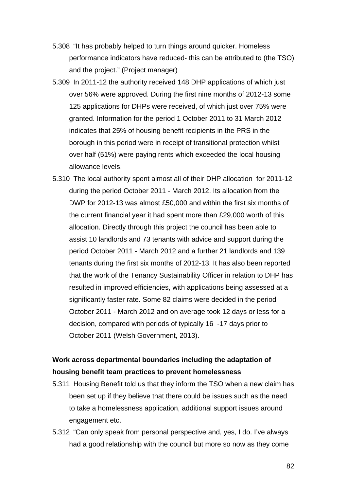- 5.308 "It has probably helped to turn things around quicker. Homeless performance indicators have reduced- this can be attributed to (the TSO) and the project." (Project manager)
- 5.309 In 2011-12 the authority received 148 DHP applications of which just over 56% were approved. During the first nine months of 2012-13 some 125 applications for DHPs were received, of which just over 75% were granted. Information for the period 1 October 2011 to 31 March 2012 indicates that 25% of housing benefit recipients in the PRS in the borough in this period were in receipt of transitional protection whilst over half (51%) were paying rents which exceeded the local housing allowance levels.
- 5.310 The local authority spent almost all of their DHP allocation for 2011-12 during the period October 2011 - March 2012. Its allocation from the DWP for 2012-13 was almost £50,000 and within the first six months of the current financial year it had spent more than £29,000 worth of this allocation. Directly through this project the council has been able to assist 10 landlords and 73 tenants with advice and support during the period October 2011 - March 2012 and a further 21 landlords and 139 tenants during the first six months of 2012-13. It has also been reported that the work of the Tenancy Sustainability Officer in relation to DHP has resulted in improved efficiencies, with applications being assessed at a significantly faster rate. Some 82 claims were decided in the period October 2011 - March 2012 and on average took 12 days or less for a decision, compared with periods of typically 16 -17 days prior to October 2011 (Welsh Government, 2013).

## **Work across departmental boundaries including the adaptation of housing benefit team practices to prevent homelessness**

- 5.311 Housing Benefit told us that they inform the TSO when a new claim has been set up if they believe that there could be issues such as the need to take a homelessness application, additional support issues around engagement etc.
- 5.312 "Can only speak from personal perspective and, yes, I do. I've always had a good relationship with the council but more so now as they come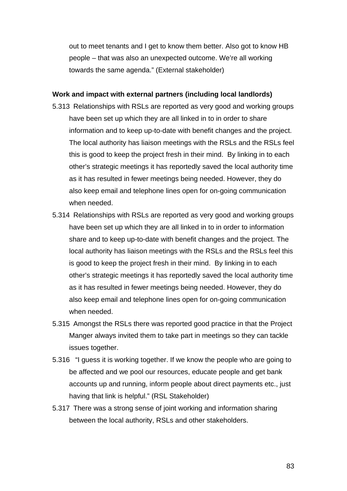out to meet tenants and I get to know them better. Also got to know HB people – that was also an unexpected outcome. We're all working towards the same agenda." (External stakeholder)

#### **Work and impact with external partners (including local landlords)**

- 5.313 Relationships with RSLs are reported as very good and working groups have been set up which they are all linked in to in order to share information and to keep up-to-date with benefit changes and the project. The local authority has liaison meetings with the RSLs and the RSLs feel this is good to keep the project fresh in their mind. By linking in to each other's strategic meetings it has reportedly saved the local authority time as it has resulted in fewer meetings being needed. However, they do also keep email and telephone lines open for on-going communication when needed.
- 5.314 Relationships with RSLs are reported as very good and working groups have been set up which they are all linked in to in order to information share and to keep up-to-date with benefit changes and the project. The local authority has liaison meetings with the RSLs and the RSLs feel this is good to keep the project fresh in their mind. By linking in to each other's strategic meetings it has reportedly saved the local authority time as it has resulted in fewer meetings being needed. However, they do also keep email and telephone lines open for on-going communication when needed.
- 5.315 Amongst the RSLs there was reported good practice in that the Project Manger always invited them to take part in meetings so they can tackle issues together.
- 5.316 "I guess it is working together. If we know the people who are going to be affected and we pool our resources, educate people and get bank accounts up and running, inform people about direct payments etc., just having that link is helpful." (RSL Stakeholder)
- 5.317 There was a strong sense of joint working and information sharing between the local authority, RSLs and other stakeholders.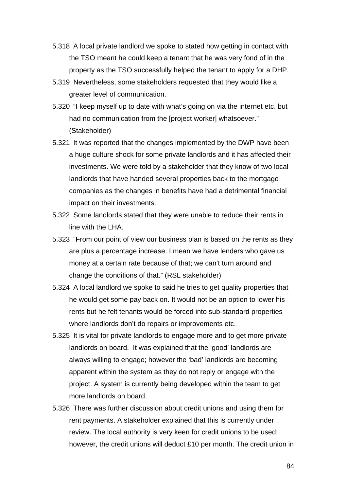- 5.318 A local private landlord we spoke to stated how getting in contact with the TSO meant he could keep a tenant that he was very fond of in the property as the TSO successfully helped the tenant to apply for a DHP.
- 5.319 Nevertheless, some stakeholders requested that they would like a greater level of communication.
- 5.320 "I keep myself up to date with what's going on via the internet etc. but had no communication from the [project worker] whatsoever." (Stakeholder)
- 5.321 It was reported that the changes implemented by the DWP have been a huge culture shock for some private landlords and it has affected their investments. We were told by a stakeholder that they know of two local landlords that have handed several properties back to the mortgage companies as the changes in benefits have had a detrimental financial impact on their investments.
- 5.322 Some landlords stated that they were unable to reduce their rents in line with the LHA.
- 5.323 "From our point of view our business plan is based on the rents as they are plus a percentage increase. I mean we have lenders who gave us money at a certain rate because of that; we can't turn around and change the conditions of that." (RSL stakeholder)
- 5.324 A local landlord we spoke to said he tries to get quality properties that he would get some pay back on. It would not be an option to lower his rents but he felt tenants would be forced into sub-standard properties where landlords don't do repairs or improvements etc.
- 5.325 It is vital for private landlords to engage more and to get more private landlords on board. It was explained that the 'good' landlords are always willing to engage; however the 'bad' landlords are becoming apparent within the system as they do not reply or engage with the project. A system is currently being developed within the team to get more landlords on board.
- 5.326 There was further discussion about credit unions and using them for rent payments. A stakeholder explained that this is currently under review. The local authority is very keen for credit unions to be used; however, the credit unions will deduct £10 per month. The credit union in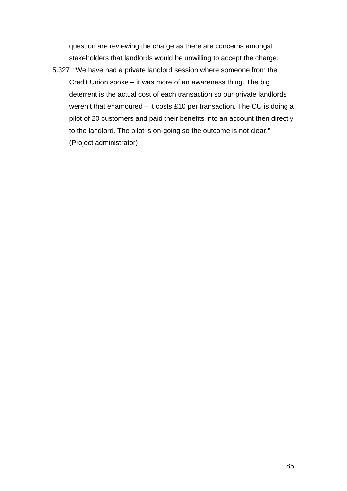question are reviewing the charge as there are concerns amongst stakeholders that landlords would be unwilling to accept the charge.

5.327 "We have had a private landlord session where someone from the Credit Union spoke – it was more of an awareness thing. The big deterrent is the actual cost of each transaction so our private landlords weren't that enamoured – it costs £10 per transaction. The CU is doing a pilot of 20 customers and paid their benefits into an account then directly to the landlord. The pilot is on-going so the outcome is not clear." (Project administrator)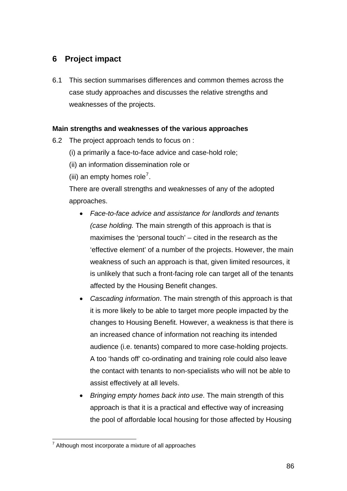# **6 Project impact**

6.1 This section summarises differences and common themes across the case study approaches and discusses the relative strengths and weaknesses of the projects.

## **Main strengths and weaknesses of the various approaches**

- 6.2 The project approach tends to focus on :
	- (i) a primarily a face-to-face advice and case-hold role;
	- (ii) an information dissemination role or
	- (iii) an empty homes role<sup>[7](#page-86-0)</sup>.

There are overall strengths and weaknesses of any of the adopted approaches.

- *Face-to-face advice and assistance for landlords and tenants (case holding.* The main strength of this approach is that is maximises the 'personal touch' – cited in the research as the 'effective element' of a number of the projects. However, the main weakness of such an approach is that, given limited resources, it is unlikely that such a front-facing role can target all of the tenants affected by the Housing Benefit changes.
- *Cascading information*. The main strength of this approach is that it is more likely to be able to target more people impacted by the changes to Housing Benefit. However, a weakness is that there is an increased chance of information not reaching its intended audience (i.e. tenants) compared to more case-holding projects. A too 'hands off' co-ordinating and training role could also leave the contact with tenants to non-specialists who will not be able to assist effectively at all levels.
- *Bringing empty homes back into use*. The main strength of this approach is that it is a practical and effective way of increasing the pool of affordable local housing for those affected by Housing

<span id="page-86-0"></span> 7 Although most incorporate a mixture of all approaches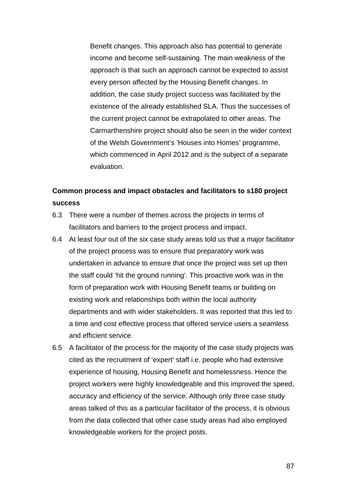Benefit changes. This approach also has potential to generate income and become self-sustaining. The main weakness of the approach is that such an approach cannot be expected to assist every person affected by the Housing Benefit changes. In addition, the case study project success was facilitated by the existence of the already established SLA. Thus the successes of the current project cannot be extrapolated to other areas. The Carmarthenshire project should also be seen in the wider context of the Welsh Government's 'Houses into Homes' programme, which commenced in April 2012 and is the subject of a separate evaluation.

# **Common process and impact obstacles and facilitators to s180 project success**

- 6.3 There were a number of themes across the projects in terms of facilitators and barriers to the project process and impact.
- 6.4 At least four out of the six case study areas told us that a major facilitator of the project process was to ensure that preparatory work was undertaken in advance to ensure that once the project was set up then the staff could 'hit the ground running'. This proactive work was in the form of preparation work with Housing Benefit teams or building on existing work and relationships both within the local authority departments and with wider stakeholders. It was reported that this led to a time and cost effective process that offered service users a seamless and efficient service.
- 6.5 A facilitator of the process for the majority of the case study projects was cited as the recruitment of 'expert' staff i.e. people who had extensive experience of housing, Housing Benefit and homelessness. Hence the project workers were highly knowledgeable and this improved the speed, accuracy and efficiency of the service. Although only three case study areas talked of this as a particular facilitator of the process, it is obvious from the data collected that other case study areas had also employed knowledgeable workers for the project posts.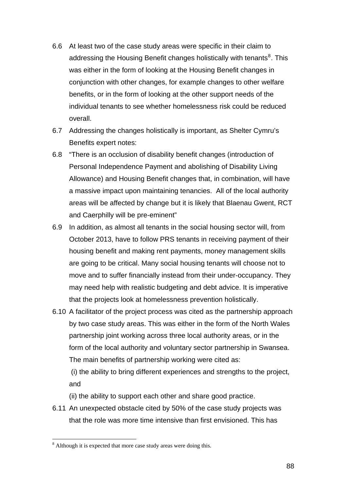- 6.6 At least two of the case study areas were specific in their claim to addressing the Housing Benefit changes holistically with tenants<sup>[8](#page-88-0)</sup>. This was either in the form of looking at the Housing Benefit changes in conjunction with other changes, for example changes to other welfare benefits, or in the form of looking at the other support needs of the individual tenants to see whether homelessness risk could be reduced overall.
- 6.7 Addressing the changes holistically is important, as Shelter Cymru's Benefits expert notes:
- 6.8 "There is an occlusion of disability benefit changes (introduction of Personal Independence Payment and abolishing of Disability Living Allowance) and Housing Benefit changes that, in combination, will have a massive impact upon maintaining tenancies. All of the local authority areas will be affected by change but it is likely that Blaenau Gwent, RCT and Caerphilly will be pre-eminent"
- 6.9 In addition, as almost all tenants in the social housing sector will, from October 2013, have to follow PRS tenants in receiving payment of their housing benefit and making rent payments, money management skills are going to be critical. Many social housing tenants will choose not to move and to suffer financially instead from their under-occupancy. They may need help with realistic budgeting and debt advice. It is imperative that the projects look at homelessness prevention holistically.
- 6.10 A facilitator of the project process was cited as the partnership approach by two case study areas. This was either in the form of the North Wales partnership joint working across three local authority areas, or in the form of the local authority and voluntary sector partnership in Swansea. The main benefits of partnership working were cited as:

 (i) the ability to bring different experiences and strengths to the project, and

- (ii) the ability to support each other and share good practice.
- 6.11 An unexpected obstacle cited by 50% of the case study projects was that the role was more time intensive than first envisioned. This has

 $\overline{a}$ 

<span id="page-88-0"></span><sup>&</sup>lt;sup>8</sup> Although it is expected that more case study areas were doing this.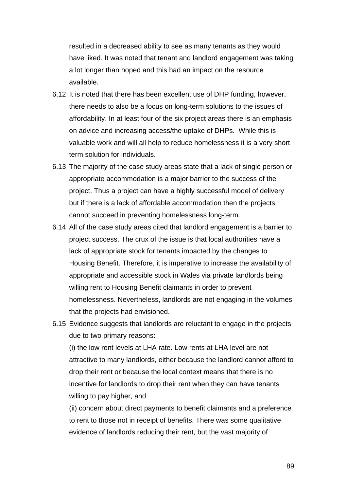resulted in a decreased ability to see as many tenants as they would have liked. It was noted that tenant and landlord engagement was taking a lot longer than hoped and this had an impact on the resource available.

- 6.12 It is noted that there has been excellent use of DHP funding, however, there needs to also be a focus on long-term solutions to the issues of affordability. In at least four of the six project areas there is an emphasis on advice and increasing access/the uptake of DHPs. While this is valuable work and will all help to reduce homelessness it is a very short term solution for individuals.
- 6.13 The majority of the case study areas state that a lack of single person or appropriate accommodation is a major barrier to the success of the project. Thus a project can have a highly successful model of delivery but if there is a lack of affordable accommodation then the projects cannot succeed in preventing homelessness long-term.
- 6.14 All of the case study areas cited that landlord engagement is a barrier to project success. The crux of the issue is that local authorities have a lack of appropriate stock for tenants impacted by the changes to Housing Benefit. Therefore, it is imperative to increase the availability of appropriate and accessible stock in Wales via private landlords being willing rent to Housing Benefit claimants in order to prevent homelessness. Nevertheless, landlords are not engaging in the volumes that the projects had envisioned.
- 6.15 Evidence suggests that landlords are reluctant to engage in the projects due to two primary reasons:

(i) the low rent levels at LHA rate. Low rents at LHA level are not attractive to many landlords, either because the landlord cannot afford to drop their rent or because the local context means that there is no incentive for landlords to drop their rent when they can have tenants willing to pay higher, and

(ii) concern about direct payments to benefit claimants and a preference to rent to those not in receipt of benefits. There was some qualitative evidence of landlords reducing their rent, but the vast majority of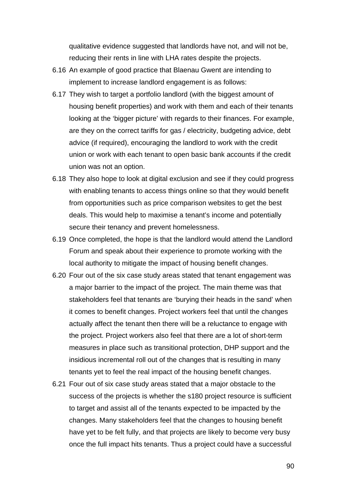qualitative evidence suggested that landlords have not, and will not be, reducing their rents in line with LHA rates despite the projects.

- 6.16 An example of good practice that Blaenau Gwent are intending to implement to increase landlord engagement is as follows:
- 6.17 They wish to target a portfolio landlord (with the biggest amount of housing benefit properties) and work with them and each of their tenants looking at the 'bigger picture' with regards to their finances. For example, are they on the correct tariffs for gas / electricity, budgeting advice, debt advice (if required), encouraging the landlord to work with the credit union or work with each tenant to open basic bank accounts if the credit union was not an option.
- 6.18 They also hope to look at digital exclusion and see if they could progress with enabling tenants to access things online so that they would benefit from opportunities such as price comparison websites to get the best deals. This would help to maximise a tenant's income and potentially secure their tenancy and prevent homelessness.
- 6.19 Once completed, the hope is that the landlord would attend the Landlord Forum and speak about their experience to promote working with the local authority to mitigate the impact of housing benefit changes.
- 6.20 Four out of the six case study areas stated that tenant engagement was a major barrier to the impact of the project. The main theme was that stakeholders feel that tenants are 'burying their heads in the sand' when it comes to benefit changes. Project workers feel that until the changes actually affect the tenant then there will be a reluctance to engage with the project. Project workers also feel that there are a lot of short-term measures in place such as transitional protection, DHP support and the insidious incremental roll out of the changes that is resulting in many tenants yet to feel the real impact of the housing benefit changes.
- 6.21 Four out of six case study areas stated that a major obstacle to the success of the projects is whether the s180 project resource is sufficient to target and assist all of the tenants expected to be impacted by the changes. Many stakeholders feel that the changes to housing benefit have yet to be felt fully, and that projects are likely to become very busy once the full impact hits tenants. Thus a project could have a successful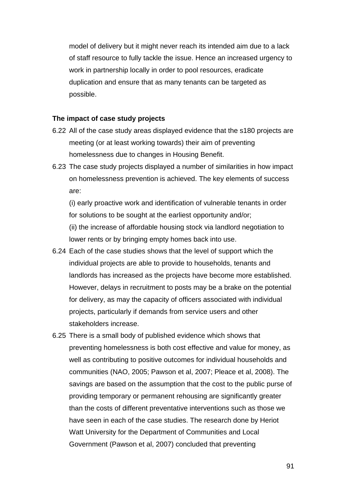model of delivery but it might never reach its intended aim due to a lack of staff resource to fully tackle the issue. Hence an increased urgency to work in partnership locally in order to pool resources, eradicate duplication and ensure that as many tenants can be targeted as possible.

### **The impact of case study projects**

- 6.22 All of the case study areas displayed evidence that the s180 projects are meeting (or at least working towards) their aim of preventing homelessness due to changes in Housing Benefit.
- 6.23 The case study projects displayed a number of similarities in how impact on homelessness prevention is achieved. The key elements of success are:

(i) early proactive work and identification of vulnerable tenants in order for solutions to be sought at the earliest opportunity and/or; (ii) the increase of affordable housing stock via landlord negotiation to lower rents or by bringing empty homes back into use.

- 6.24 Each of the case studies shows that the level of support which the individual projects are able to provide to households, tenants and landlords has increased as the projects have become more established. However, delays in recruitment to posts may be a brake on the potential for delivery, as may the capacity of officers associated with individual projects, particularly if demands from service users and other stakeholders increase.
- 6.25 There is a small body of published evidence which shows that preventing homelessness is both cost effective and value for money, as well as contributing to positive outcomes for individual households and communities (NAO, 2005; Pawson et al, 2007; Pleace et al, 2008). The savings are based on the assumption that the cost to the public purse of providing temporary or permanent rehousing are significantly greater than the costs of different preventative interventions such as those we have seen in each of the case studies. The research done by Heriot Watt University for the Department of Communities and Local Government (Pawson et al, 2007) concluded that preventing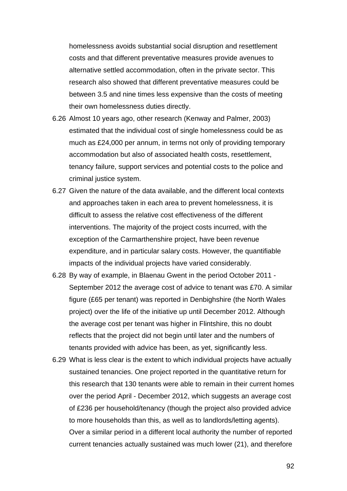homelessness avoids substantial social disruption and resettlement costs and that different preventative measures provide avenues to alternative settled accommodation, often in the private sector. This research also showed that different preventative measures could be between 3.5 and nine times less expensive than the costs of meeting their own homelessness duties directly.

- 6.26 Almost 10 years ago, other research (Kenway and Palmer, 2003) estimated that the individual cost of single homelessness could be as much as £24,000 per annum, in terms not only of providing temporary accommodation but also of associated health costs, resettlement, tenancy failure, support services and potential costs to the police and criminal justice system.
- 6.27 Given the nature of the data available, and the different local contexts and approaches taken in each area to prevent homelessness, it is difficult to assess the relative cost effectiveness of the different interventions. The majority of the project costs incurred, with the exception of the Carmarthenshire project, have been revenue expenditure, and in particular salary costs. However, the quantifiable impacts of the individual projects have varied considerably.
- 6.28 By way of example, in Blaenau Gwent in the period October 2011 September 2012 the average cost of advice to tenant was £70. A similar figure (£65 per tenant) was reported in Denbighshire (the North Wales project) over the life of the initiative up until December 2012. Although the average cost per tenant was higher in Flintshire, this no doubt reflects that the project did not begin until later and the numbers of tenants provided with advice has been, as yet, significantly less.
- 6.29 What is less clear is the extent to which individual projects have actually sustained tenancies. One project reported in the quantitative return for this research that 130 tenants were able to remain in their current homes over the period April - December 2012, which suggests an average cost of £236 per household/tenancy (though the project also provided advice to more households than this, as well as to landlords/letting agents). Over a similar period in a different local authority the number of reported current tenancies actually sustained was much lower (21), and therefore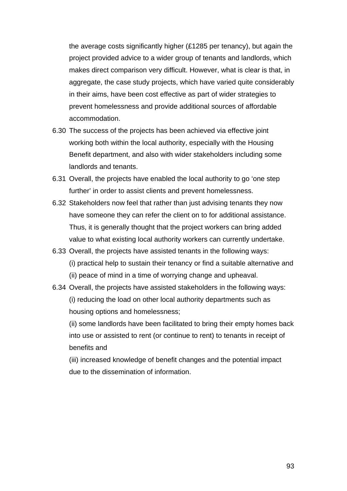the average costs significantly higher (£1285 per tenancy), but again the project provided advice to a wider group of tenants and landlords, which makes direct comparison very difficult. However, what is clear is that, in aggregate, the case study projects, which have varied quite considerably in their aims, have been cost effective as part of wider strategies to prevent homelessness and provide additional sources of affordable accommodation.

- 6.30 The success of the projects has been achieved via effective joint working both within the local authority, especially with the Housing Benefit department, and also with wider stakeholders including some landlords and tenants.
- 6.31 Overall, the projects have enabled the local authority to go 'one step further' in order to assist clients and prevent homelessness.
- 6.32 Stakeholders now feel that rather than just advising tenants they now have someone they can refer the client on to for additional assistance. Thus, it is generally thought that the project workers can bring added value to what existing local authority workers can currently undertake.
- 6.33 Overall, the projects have assisted tenants in the following ways: (i) practical help to sustain their tenancy or find a suitable alternative and (ii) peace of mind in a time of worrying change and upheaval.
- 6.34 Overall, the projects have assisted stakeholders in the following ways: (i) reducing the load on other local authority departments such as housing options and homelessness;

(ii) some landlords have been facilitated to bring their empty homes back into use or assisted to rent (or continue to rent) to tenants in receipt of benefits and

(iii) increased knowledge of benefit changes and the potential impact due to the dissemination of information.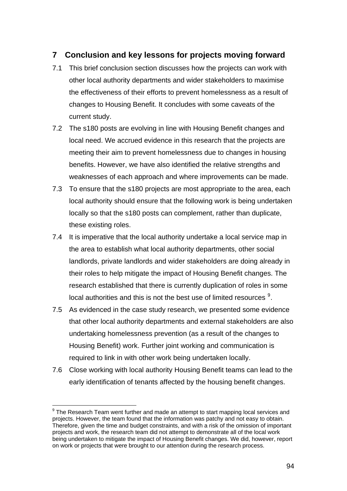## **7 Conclusion and key lessons for projects moving forward**

- 7.1 This brief conclusion section discusses how the projects can work with other local authority departments and wider stakeholders to maximise the effectiveness of their efforts to prevent homelessness as a result of changes to Housing Benefit. It concludes with some caveats of the current study.
- 7.2 The s180 posts are evolving in line with Housing Benefit changes and local need. We accrued evidence in this research that the projects are meeting their aim to prevent homelessness due to changes in housing benefits. However, we have also identified the relative strengths and weaknesses of each approach and where improvements can be made.
- 7.3 To ensure that the s180 projects are most appropriate to the area, each local authority should ensure that the following work is being undertaken locally so that the s180 posts can complement, rather than duplicate, these existing roles.
- 7.4 It is imperative that the local authority undertake a local service map in the area to establish what local authority departments, other social landlords, private landlords and wider stakeholders are doing already in their roles to help mitigate the impact of Housing Benefit changes. The research established that there is currently duplication of roles in some local authorities and this is not the best use of limited resources  $9$ .
- 7.5 As evidenced in the case study research, we presented some evidence that other local authority departments and external stakeholders are also undertaking homelessness prevention (as a result of the changes to Housing Benefit) work. Further joint working and communication is required to link in with other work being undertaken locally.
- 7.6 Close working with local authority Housing Benefit teams can lead to the early identification of tenants affected by the housing benefit changes.

<span id="page-94-0"></span> $\overline{a}$  $9$  The Research Team went further and made an attempt to start mapping local services and projects. However, the team found that the information was patchy and not easy to obtain. Therefore, given the time and budget constraints, and with a risk of the omission of important projects and work, the research team did not attempt to demonstrate all of the local work being undertaken to mitigate the impact of Housing Benefit changes. We did, however, report on work or projects that were brought to our attention during the research process.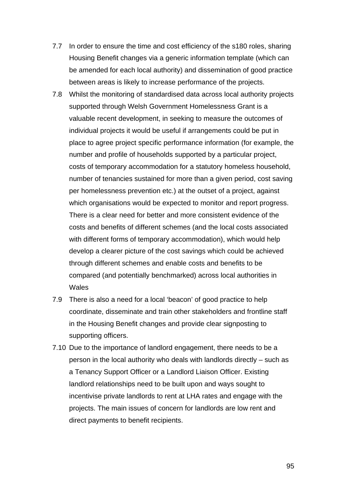- 7.7 In order to ensure the time and cost efficiency of the s180 roles, sharing Housing Benefit changes via a generic information template (which can be amended for each local authority) and dissemination of good practice between areas is likely to increase performance of the projects.
- 7.8 Whilst the monitoring of standardised data across local authority projects supported through Welsh Government Homelessness Grant is a valuable recent development, in seeking to measure the outcomes of individual projects it would be useful if arrangements could be put in place to agree project specific performance information (for example, the number and profile of households supported by a particular project, costs of temporary accommodation for a statutory homeless household, number of tenancies sustained for more than a given period, cost saving per homelessness prevention etc.) at the outset of a project, against which organisations would be expected to monitor and report progress. There is a clear need for better and more consistent evidence of the costs and benefits of different schemes (and the local costs associated with different forms of temporary accommodation), which would help develop a clearer picture of the cost savings which could be achieved through different schemes and enable costs and benefits to be compared (and potentially benchmarked) across local authorities in **Wales**
- 7.9 There is also a need for a local 'beacon' of good practice to help coordinate, disseminate and train other stakeholders and frontline staff in the Housing Benefit changes and provide clear signposting to supporting officers.
- 7.10 Due to the importance of landlord engagement, there needs to be a person in the local authority who deals with landlords directly – such as a Tenancy Support Officer or a Landlord Liaison Officer. Existing landlord relationships need to be built upon and ways sought to incentivise private landlords to rent at LHA rates and engage with the projects. The main issues of concern for landlords are low rent and direct payments to benefit recipients.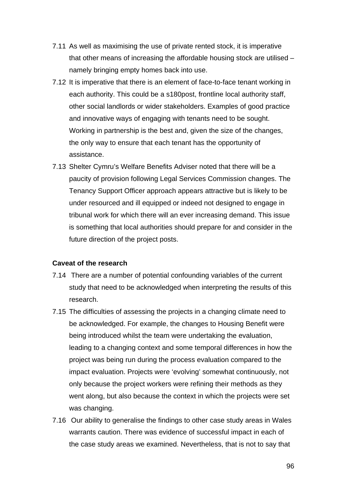- 7.11 As well as maximising the use of private rented stock, it is imperative that other means of increasing the affordable housing stock are utilised – namely bringing empty homes back into use.
- 7.12 It is imperative that there is an element of face-to-face tenant working in each authority. This could be a s180post, frontline local authority staff, other social landlords or wider stakeholders. Examples of good practice and innovative ways of engaging with tenants need to be sought. Working in partnership is the best and, given the size of the changes, the only way to ensure that each tenant has the opportunity of assistance.
- 7.13 Shelter Cymru's Welfare Benefits Adviser noted that there will be a paucity of provision following Legal Services Commission changes. The Tenancy Support Officer approach appears attractive but is likely to be under resourced and ill equipped or indeed not designed to engage in tribunal work for which there will an ever increasing demand. This issue is something that local authorities should prepare for and consider in the future direction of the project posts.

#### **Caveat of the research**

- 7.14 There are a number of potential confounding variables of the current study that need to be acknowledged when interpreting the results of this research.
- 7.15 The difficulties of assessing the projects in a changing climate need to be acknowledged. For example, the changes to Housing Benefit were being introduced whilst the team were undertaking the evaluation, leading to a changing context and some temporal differences in how the project was being run during the process evaluation compared to the impact evaluation. Projects were 'evolving' somewhat continuously, not only because the project workers were refining their methods as they went along, but also because the context in which the projects were set was changing.
- 7.16 Our ability to generalise the findings to other case study areas in Wales warrants caution. There was evidence of successful impact in each of the case study areas we examined. Nevertheless, that is not to say that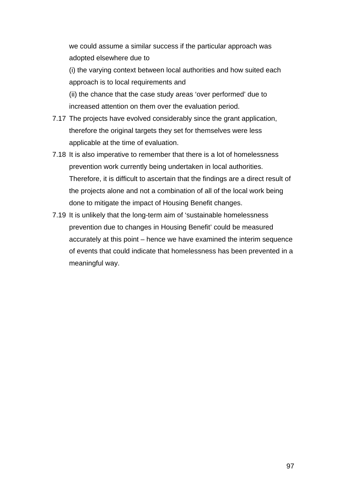we could assume a similar success if the particular approach was adopted elsewhere due to

(i) the varying context between local authorities and how suited each approach is to local requirements and

(ii) the chance that the case study areas 'over performed' due to increased attention on them over the evaluation period.

- 7.17 The projects have evolved considerably since the grant application, therefore the original targets they set for themselves were less applicable at the time of evaluation.
- 7.18 It is also imperative to remember that there is a lot of homelessness prevention work currently being undertaken in local authorities. Therefore, it is difficult to ascertain that the findings are a direct result of the projects alone and not a combination of all of the local work being done to mitigate the impact of Housing Benefit changes.
- 7.19 It is unlikely that the long-term aim of 'sustainable homelessness prevention due to changes in Housing Benefit' could be measured accurately at this point – hence we have examined the interim sequence of events that could indicate that homelessness has been prevented in a meaningful way.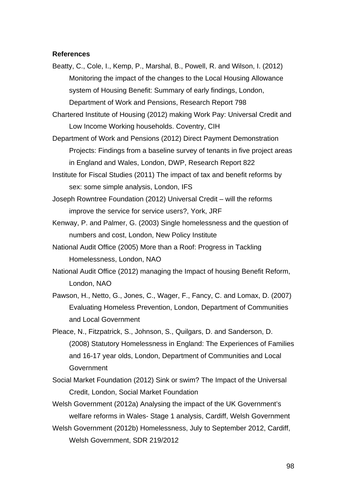#### **References**

Beatty, C., Cole, I., Kemp, P., Marshal, B., Powell, R. and Wilson, I. (2012) Monitoring the impact of the changes to the Local Housing Allowance system of Housing Benefit: Summary of early findings, London, Department of Work and Pensions, Research Report 798

Chartered Institute of Housing (2012) making Work Pay: Universal Credit and Low Income Working households. Coventry, CIH

- Department of Work and Pensions (2012) Direct Payment Demonstration Projects: Findings from a baseline survey of tenants in five project areas in England and Wales, London, DWP, Research Report 822
- Institute for Fiscal Studies (2011) The impact of tax and benefit reforms by sex: some simple analysis, London, IFS
- Joseph Rowntree Foundation (2012) Universal Credit will the reforms improve the service for service users?, York, JRF
- Kenway, P. and Palmer, G. (2003) Single homelessness and the question of numbers and cost, London, New Policy Institute
- National Audit Office (2005) More than a Roof: Progress in Tackling Homelessness, London, NAO
- National Audit Office (2012) managing the Impact of housing Benefit Reform, London, NAO
- Pawson, H., Netto, G., Jones, C., Wager, F., Fancy, C. and Lomax, D. (2007) Evaluating Homeless Prevention, London, Department of Communities and Local Government
- Pleace, N., Fitzpatrick, S., Johnson, S., Quilgars, D. and Sanderson, D. (2008) Statutory Homelessness in England: The Experiences of Families and 16-17 year olds, London, Department of Communities and Local **Government**
- Social Market Foundation (2012) Sink or swim? The Impact of the Universal Credit, London, Social Market Foundation
- Welsh Government (2012a) Analysing the impact of the UK Government's welfare reforms in Wales- Stage 1 analysis, Cardiff, Welsh Government
- Welsh Government (2012b) Homelessness, July to September 2012, Cardiff, Welsh Government, SDR 219/2012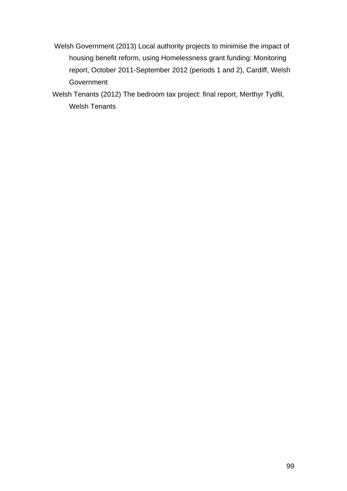- Welsh Government (2013) Local authority projects to minimise the impact of housing benefit reform, using Homelessness grant funding: Monitoring report, October 2011-September 2012 (periods 1 and 2), Cardiff, Welsh **Government**
- Welsh Tenants (2012) The bedroom tax project: final report, Merthyr Tydfil, Welsh Tenants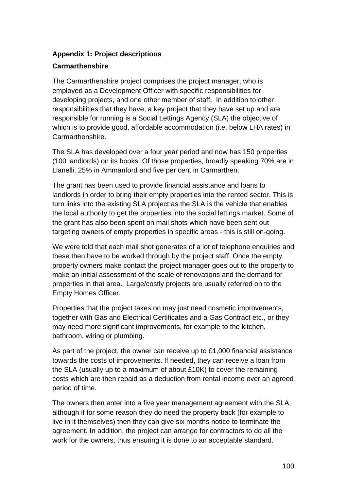## **Appendix 1: Project descriptions**

### **Carmarthenshire**

The Carmarthenshire project comprises the project manager, who is employed as a Development Officer with specific responsibilities for developing projects, and one other member of staff. In addition to other responsibilities that they have, a key project that they have set up and are responsible for running is a Social Lettings Agency (SLA) the objective of which is to provide good, affordable accommodation (i.e. below LHA rates) in Carmarthenshire.

The SLA has developed over a four year period and now has 150 properties (100 landlords) on its books. Of those properties, broadly speaking 70% are in Llanelli, 25% in Ammanford and five per cent in Carmarthen.

The grant has been used to provide financial assistance and loans to landlords in order to bring their empty properties into the rented sector. This is turn links into the existing SLA project as the SLA is the vehicle that enables the local authority to get the properties into the social lettings market. Some of the grant has also been spent on mail shots which have been sent out targeting owners of empty properties in specific areas - this is still on-going.

We were told that each mail shot generates of a lot of telephone enquiries and these then have to be worked through by the project staff. Once the empty property owners make contact the project manager goes out to the property to make an initial assessment of the scale of renovations and the demand for properties in that area. Large/costly projects are usually referred on to the Empty Homes Officer.

Properties that the project takes on may just need cosmetic improvements, together with Gas and Electrical Certificates and a Gas Contract etc., or they may need more significant improvements, for example to the kitchen, bathroom, wiring or plumbing.

As part of the project, the owner can receive up to £1,000 financial assistance towards the costs of improvements. If needed, they can receive a loan from the SLA (usually up to a maximum of about £10K) to cover the remaining costs which are then repaid as a deduction from rental income over an agreed period of time.

The owners then enter into a five year management agreement with the SLA; although if for some reason they do need the property back (for example to live in it themselves) then they can give six months notice to terminate the agreement. In addition, the project can arrange for contractors to do all the work for the owners, thus ensuring it is done to an acceptable standard.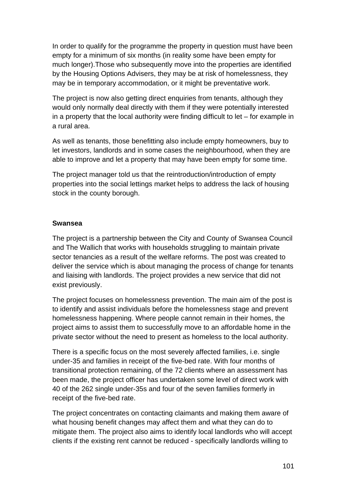In order to qualify for the programme the property in question must have been empty for a minimum of six months (in reality some have been empty for much longer).Those who subsequently move into the properties are identified by the Housing Options Advisers, they may be at risk of homelessness, they may be in temporary accommodation, or it might be preventative work.

The project is now also getting direct enquiries from tenants, although they would only normally deal directly with them if they were potentially interested in a property that the local authority were finding difficult to let – for example in a rural area.

As well as tenants, those benefitting also include empty homeowners, buy to let investors, landlords and in some cases the neighbourhood, when they are able to improve and let a property that may have been empty for some time.

The project manager told us that the reintroduction/introduction of empty properties into the social lettings market helps to address the lack of housing stock in the county borough.

### **Swansea**

The project is a partnership between the City and County of Swansea Council and The Wallich that works with households struggling to maintain private sector tenancies as a result of the welfare reforms. The post was created to deliver the service which is about managing the process of change for tenants and liaising with landlords. The project provides a new service that did not exist previously.

The project focuses on homelessness prevention. The main aim of the post is to identify and assist individuals before the homelessness stage and prevent homelessness happening. Where people cannot remain in their homes, the project aims to assist them to successfully move to an affordable home in the private sector without the need to present as homeless to the local authority.

There is a specific focus on the most severely affected families, i.e. single under-35 and families in receipt of the five-bed rate. With four months of transitional protection remaining, of the 72 clients where an assessment has been made, the project officer has undertaken some level of direct work with 40 of the 262 single under-35s and four of the seven families formerly in receipt of the five-bed rate.

The project concentrates on contacting claimants and making them aware of what housing benefit changes may affect them and what they can do to mitigate them. The project also aims to identify local landlords who will accept clients if the existing rent cannot be reduced - specifically landlords willing to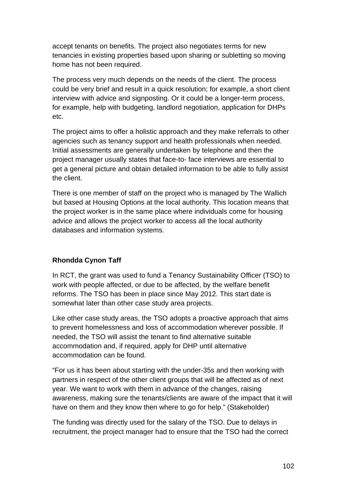accept tenants on benefits. The project also negotiates terms for new tenancies in existing properties based upon sharing or subletting so moving home has not been required.

The process very much depends on the needs of the client. The process could be very brief and result in a quick resolution; for example, a short client interview with advice and signposting. Or it could be a longer-term process, for example, help with budgeting, landlord negotiation, application for DHPs etc.

The project aims to offer a holistic approach and they make referrals to other agencies such as tenancy support and health professionals when needed. Initial assessments are generally undertaken by telephone and then the project manager usually states that face-to- face interviews are essential to get a general picture and obtain detailed information to be able to fully assist the client.

There is one member of staff on the project who is managed by The Wallich but based at Housing Options at the local authority. This location means that the project worker is in the same place where individuals come for housing advice and allows the project worker to access all the local authority databases and information systems.

## **Rhondda Cynon Taff**

In RCT, the grant was used to fund a Tenancy Sustainability Officer (TSO) to work with people affected, or due to be affected, by the welfare benefit reforms. The TSO has been in place since May 2012. This start date is somewhat later than other case study area projects.

Like other case study areas, the TSO adopts a proactive approach that aims to prevent homelessness and loss of accommodation wherever possible. If needed, the TSO will assist the tenant to find alternative suitable accommodation and, if required, apply for DHP until alternative accommodation can be found.

"For us it has been about starting with the under-35s and then working with partners in respect of the other client groups that will be affected as of next year. We want to work with them in advance of the changes, raising awareness, making sure the tenants/clients are aware of the impact that it will have on them and they know then where to go for help." (Stakeholder)

The funding was directly used for the salary of the TSO. Due to delays in recruitment, the project manager had to ensure that the TSO had the correct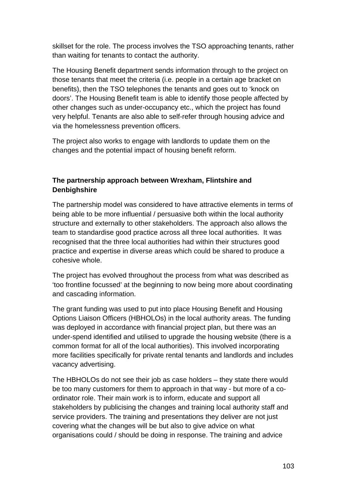skillset for the role. The process involves the TSO approaching tenants, rather than waiting for tenants to contact the authority.

The Housing Benefit department sends information through to the project on those tenants that meet the criteria (i.e. people in a certain age bracket on benefits), then the TSO telephones the tenants and goes out to 'knock on doors'. The Housing Benefit team is able to identify those people affected by other changes such as under-occupancy etc., which the project has found very helpful. Tenants are also able to self-refer through housing advice and via the homelessness prevention officers.

The project also works to engage with landlords to update them on the changes and the potential impact of housing benefit reform.

## **The partnership approach between Wrexham, Flintshire and Denbighshire**

The partnership model was considered to have attractive elements in terms of being able to be more influential / persuasive both within the local authority structure and externally to other stakeholders. The approach also allows the team to standardise good practice across all three local authorities. It was recognised that the three local authorities had within their structures good practice and expertise in diverse areas which could be shared to produce a cohesive whole.

The project has evolved throughout the process from what was described as 'too frontline focussed' at the beginning to now being more about coordinating and cascading information.

The grant funding was used to put into place Housing Benefit and Housing Options Liaison Officers (HBHOLOs) in the local authority areas. The funding was deployed in accordance with financial project plan, but there was an under-spend identified and utilised to upgrade the housing website (there is a common format for all of the local authorities). This involved incorporating more facilities specifically for private rental tenants and landlords and includes vacancy advertising.

The HBHOLOs do not see their job as case holders – they state there would be too many customers for them to approach in that way - but more of a coordinator role. Their main work is to inform, educate and support all stakeholders by publicising the changes and training local authority staff and service providers. The training and presentations they deliver are not just covering what the changes will be but also to give advice on what organisations could / should be doing in response. The training and advice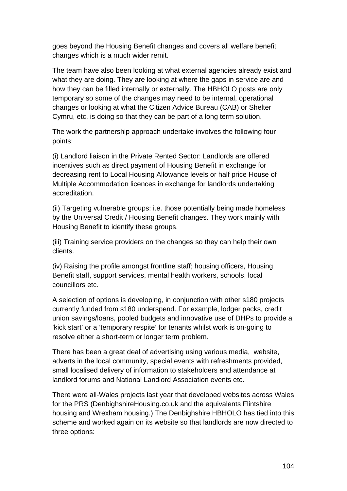goes beyond the Housing Benefit changes and covers all welfare benefit changes which is a much wider remit.

The team have also been looking at what external agencies already exist and what they are doing. They are looking at where the gaps in service are and how they can be filled internally or externally. The HBHOLO posts are only temporary so some of the changes may need to be internal, operational changes or looking at what the Citizen Advice Bureau (CAB) or Shelter Cymru, etc. is doing so that they can be part of a long term solution.

The work the partnership approach undertake involves the following four points:

(i) Landlord liaison in the Private Rented Sector: Landlords are offered incentives such as direct payment of Housing Benefit in exchange for decreasing rent to Local Housing Allowance levels or half price House of Multiple Accommodation licences in exchange for landlords undertaking accreditation.

(ii) Targeting vulnerable groups: i.e. those potentially being made homeless by the Universal Credit / Housing Benefit changes. They work mainly with Housing Benefit to identify these groups.

(iii) Training service providers on the changes so they can help their own clients.

(iv) Raising the profile amongst frontline staff; housing officers, Housing Benefit staff, support services, mental health workers, schools, local councillors etc.

A selection of options is developing, in conjunction with other s180 projects currently funded from s180 underspend. For example, lodger packs, credit union savings/loans, pooled budgets and innovative use of DHPs to provide a 'kick start' or a 'temporary respite' for tenants whilst work is on-going to resolve either a short-term or longer term problem.

There has been a great deal of advertising using various media, website, adverts in the local community, special events with refreshments provided, small localised delivery of information to stakeholders and attendance at landlord forums and National Landlord Association events etc.

There were all-Wales projects last year that developed websites across Wales for the PRS (DenbighshireHousing.co.uk and the equivalents Flintshire housing and Wrexham housing.) The Denbighshire HBHOLO has tied into this scheme and worked again on its website so that landlords are now directed to three options: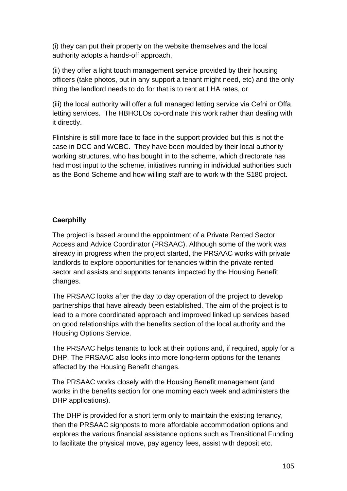(i) they can put their property on the website themselves and the local authority adopts a hands-off approach,

(ii) they offer a light touch management service provided by their housing officers (take photos, put in any support a tenant might need, etc) and the only thing the landlord needs to do for that is to rent at LHA rates, or

(iii) the local authority will offer a full managed letting service via Cefni or Offa letting services. The HBHOLOs co-ordinate this work rather than dealing with it directly.

Flintshire is still more face to face in the support provided but this is not the case in DCC and WCBC. They have been moulded by their local authority working structures, who has bought in to the scheme, which directorate has had most input to the scheme, initiatives running in individual authorities such as the Bond Scheme and how willing staff are to work with the S180 project.

## **Caerphilly**

The project is based around the appointment of a Private Rented Sector Access and Advice Coordinator (PRSAAC). Although some of the work was already in progress when the project started, the PRSAAC works with private landlords to explore opportunities for tenancies within the private rented sector and assists and supports tenants impacted by the Housing Benefit changes.

The PRSAAC looks after the day to day operation of the project to develop partnerships that have already been established. The aim of the project is to lead to a more coordinated approach and improved linked up services based on good relationships with the benefits section of the local authority and the Housing Options Service.

The PRSAAC helps tenants to look at their options and, if required, apply for a DHP. The PRSAAC also looks into more long-term options for the tenants affected by the Housing Benefit changes.

The PRSAAC works closely with the Housing Benefit management (and works in the benefits section for one morning each week and administers the DHP applications).

The DHP is provided for a short term only to maintain the existing tenancy, then the PRSAAC signposts to more affordable accommodation options and explores the various financial assistance options such as Transitional Funding to facilitate the physical move, pay agency fees, assist with deposit etc.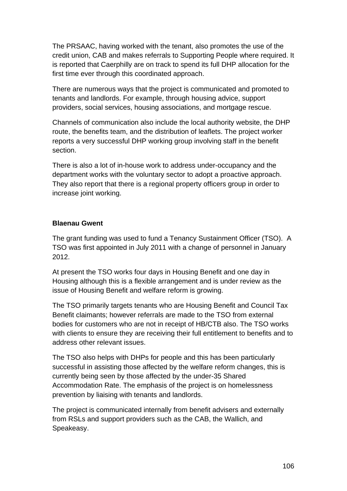The PRSAAC, having worked with the tenant, also promotes the use of the credit union, CAB and makes referrals to Supporting People where required. It is reported that Caerphilly are on track to spend its full DHP allocation for the first time ever through this coordinated approach.

There are numerous ways that the project is communicated and promoted to tenants and landlords. For example, through housing advice, support providers, social services, housing associations, and mortgage rescue.

Channels of communication also include the local authority website, the DHP route, the benefits team, and the distribution of leaflets. The project worker reports a very successful DHP working group involving staff in the benefit section.

There is also a lot of in-house work to address under-occupancy and the department works with the voluntary sector to adopt a proactive approach. They also report that there is a regional property officers group in order to increase joint working.

## **Blaenau Gwent**

The grant funding was used to fund a Tenancy Sustainment Officer (TSO). A TSO was first appointed in July 2011 with a change of personnel in January 2012.

At present the TSO works four days in Housing Benefit and one day in Housing although this is a flexible arrangement and is under review as the issue of Housing Benefit and welfare reform is growing.

The TSO primarily targets tenants who are Housing Benefit and Council Tax Benefit claimants; however referrals are made to the TSO from external bodies for customers who are not in receipt of HB/CTB also. The TSO works with clients to ensure they are receiving their full entitlement to benefits and to address other relevant issues.

The TSO also helps with DHPs for people and this has been particularly successful in assisting those affected by the welfare reform changes, this is currently being seen by those affected by the under-35 Shared Accommodation Rate. The emphasis of the project is on homelessness prevention by liaising with tenants and landlords.

The project is communicated internally from benefit advisers and externally from RSLs and support providers such as the CAB, the Wallich, and Speakeasy.